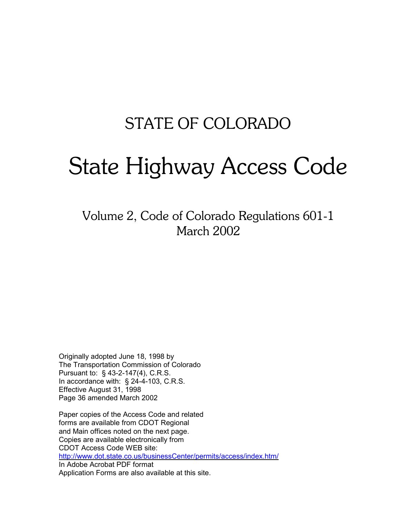## STATE OF COLORADO

# State Highway Access Code

Volume 2, Code of Colorado Regulations 601-1 March 2002

Originally adopted June 18, 1998 by The Transportation Commission of Colorado Pursuant to: § 43-2-147(4), C.R.S. In accordance with: § 24-4-103, C.R.S. Effective August 31, 1998 Page 36 amended March 2002

Paper copies of the Access Code and related forms are available from CDOT Regional and Main offices noted on the next page. Copies are available electronically from CDOT Access Code WEB site: http://www.dot.state.co.us/businessCenter/permits/access/index.htm/ In Adobe Acrobat PDF format Application Forms are also available at this site.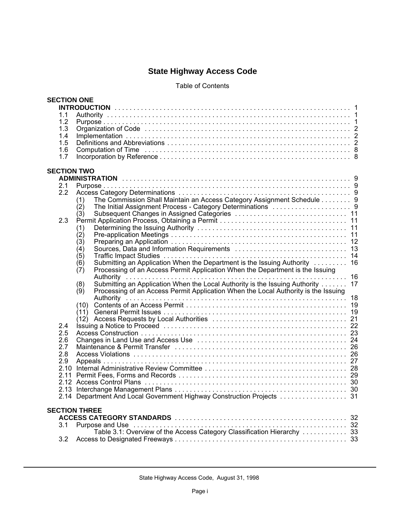### **State Highway Access Code**

#### Table of Contents

| 1.1<br>1.2<br>1.3<br>1.4<br>1.5<br>1.6<br>1.7<br><b>SECTION TWO</b><br>2.1<br>2.2<br>The Commission Shall Maintain an Access Category Assignment Schedule 9<br>(1)<br>(2)<br>(3)<br>2.3<br>(1)<br>$\hat{c}(2)$<br>(3)<br>(4)<br>(5)<br>Submitting an Application When the Department is the Issuing Authority  16<br>(6)<br>Processing of an Access Permit Application When the Department is the Issuing<br>(7)<br>Submitting an Application When the Local Authority is the Issuing Authority<br>17<br>(8)<br>Processing of an Access Permit Application When the Local Authority is the Issuing<br>(9)<br>(10)<br>2.4<br>2.5<br>2.6<br>2.7<br>2.8<br>2.9<br><b>SECTION THREE</b><br>3.1 |  | <b>SECTION ONE</b> |  |
|--------------------------------------------------------------------------------------------------------------------------------------------------------------------------------------------------------------------------------------------------------------------------------------------------------------------------------------------------------------------------------------------------------------------------------------------------------------------------------------------------------------------------------------------------------------------------------------------------------------------------------------------------------------------------------------------|--|--------------------|--|
|                                                                                                                                                                                                                                                                                                                                                                                                                                                                                                                                                                                                                                                                                            |  |                    |  |
|                                                                                                                                                                                                                                                                                                                                                                                                                                                                                                                                                                                                                                                                                            |  |                    |  |
|                                                                                                                                                                                                                                                                                                                                                                                                                                                                                                                                                                                                                                                                                            |  |                    |  |
|                                                                                                                                                                                                                                                                                                                                                                                                                                                                                                                                                                                                                                                                                            |  |                    |  |
|                                                                                                                                                                                                                                                                                                                                                                                                                                                                                                                                                                                                                                                                                            |  |                    |  |
|                                                                                                                                                                                                                                                                                                                                                                                                                                                                                                                                                                                                                                                                                            |  |                    |  |
|                                                                                                                                                                                                                                                                                                                                                                                                                                                                                                                                                                                                                                                                                            |  |                    |  |
|                                                                                                                                                                                                                                                                                                                                                                                                                                                                                                                                                                                                                                                                                            |  |                    |  |
|                                                                                                                                                                                                                                                                                                                                                                                                                                                                                                                                                                                                                                                                                            |  |                    |  |
|                                                                                                                                                                                                                                                                                                                                                                                                                                                                                                                                                                                                                                                                                            |  |                    |  |
|                                                                                                                                                                                                                                                                                                                                                                                                                                                                                                                                                                                                                                                                                            |  |                    |  |
|                                                                                                                                                                                                                                                                                                                                                                                                                                                                                                                                                                                                                                                                                            |  |                    |  |
|                                                                                                                                                                                                                                                                                                                                                                                                                                                                                                                                                                                                                                                                                            |  |                    |  |
|                                                                                                                                                                                                                                                                                                                                                                                                                                                                                                                                                                                                                                                                                            |  |                    |  |
|                                                                                                                                                                                                                                                                                                                                                                                                                                                                                                                                                                                                                                                                                            |  |                    |  |
|                                                                                                                                                                                                                                                                                                                                                                                                                                                                                                                                                                                                                                                                                            |  |                    |  |
|                                                                                                                                                                                                                                                                                                                                                                                                                                                                                                                                                                                                                                                                                            |  |                    |  |
|                                                                                                                                                                                                                                                                                                                                                                                                                                                                                                                                                                                                                                                                                            |  |                    |  |
|                                                                                                                                                                                                                                                                                                                                                                                                                                                                                                                                                                                                                                                                                            |  |                    |  |
|                                                                                                                                                                                                                                                                                                                                                                                                                                                                                                                                                                                                                                                                                            |  |                    |  |
|                                                                                                                                                                                                                                                                                                                                                                                                                                                                                                                                                                                                                                                                                            |  |                    |  |
|                                                                                                                                                                                                                                                                                                                                                                                                                                                                                                                                                                                                                                                                                            |  |                    |  |
|                                                                                                                                                                                                                                                                                                                                                                                                                                                                                                                                                                                                                                                                                            |  |                    |  |
|                                                                                                                                                                                                                                                                                                                                                                                                                                                                                                                                                                                                                                                                                            |  |                    |  |
|                                                                                                                                                                                                                                                                                                                                                                                                                                                                                                                                                                                                                                                                                            |  |                    |  |
|                                                                                                                                                                                                                                                                                                                                                                                                                                                                                                                                                                                                                                                                                            |  |                    |  |
|                                                                                                                                                                                                                                                                                                                                                                                                                                                                                                                                                                                                                                                                                            |  |                    |  |
|                                                                                                                                                                                                                                                                                                                                                                                                                                                                                                                                                                                                                                                                                            |  |                    |  |
|                                                                                                                                                                                                                                                                                                                                                                                                                                                                                                                                                                                                                                                                                            |  |                    |  |
|                                                                                                                                                                                                                                                                                                                                                                                                                                                                                                                                                                                                                                                                                            |  |                    |  |
|                                                                                                                                                                                                                                                                                                                                                                                                                                                                                                                                                                                                                                                                                            |  |                    |  |
|                                                                                                                                                                                                                                                                                                                                                                                                                                                                                                                                                                                                                                                                                            |  |                    |  |
|                                                                                                                                                                                                                                                                                                                                                                                                                                                                                                                                                                                                                                                                                            |  |                    |  |
|                                                                                                                                                                                                                                                                                                                                                                                                                                                                                                                                                                                                                                                                                            |  |                    |  |
|                                                                                                                                                                                                                                                                                                                                                                                                                                                                                                                                                                                                                                                                                            |  |                    |  |
|                                                                                                                                                                                                                                                                                                                                                                                                                                                                                                                                                                                                                                                                                            |  |                    |  |
|                                                                                                                                                                                                                                                                                                                                                                                                                                                                                                                                                                                                                                                                                            |  |                    |  |
|                                                                                                                                                                                                                                                                                                                                                                                                                                                                                                                                                                                                                                                                                            |  |                    |  |
|                                                                                                                                                                                                                                                                                                                                                                                                                                                                                                                                                                                                                                                                                            |  |                    |  |
|                                                                                                                                                                                                                                                                                                                                                                                                                                                                                                                                                                                                                                                                                            |  |                    |  |
|                                                                                                                                                                                                                                                                                                                                                                                                                                                                                                                                                                                                                                                                                            |  |                    |  |
|                                                                                                                                                                                                                                                                                                                                                                                                                                                                                                                                                                                                                                                                                            |  |                    |  |
|                                                                                                                                                                                                                                                                                                                                                                                                                                                                                                                                                                                                                                                                                            |  |                    |  |
|                                                                                                                                                                                                                                                                                                                                                                                                                                                                                                                                                                                                                                                                                            |  |                    |  |
|                                                                                                                                                                                                                                                                                                                                                                                                                                                                                                                                                                                                                                                                                            |  |                    |  |
| Table 3.1: Overview of the Access Category Classification Hierarchy  33                                                                                                                                                                                                                                                                                                                                                                                                                                                                                                                                                                                                                    |  |                    |  |
| 3.2                                                                                                                                                                                                                                                                                                                                                                                                                                                                                                                                                                                                                                                                                        |  |                    |  |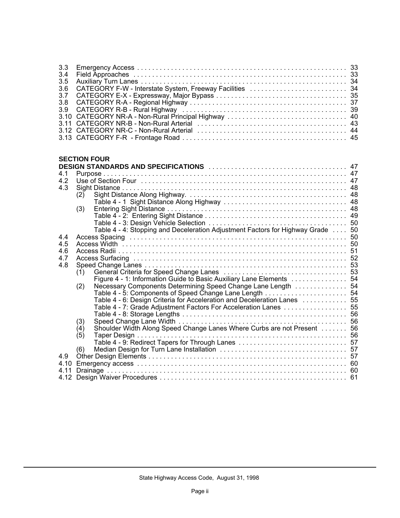| 3.3<br>3.4<br>3.5<br>3.6<br>3.7<br>3.8<br>3.9<br>3.10<br>3.11 |                                                                                |  |
|---------------------------------------------------------------|--------------------------------------------------------------------------------|--|
|                                                               | <b>SECTION FOUR</b>                                                            |  |
| 4.1                                                           | DESIGN STANDARDS AND SPECIFICATIONS And account the contract of the 47         |  |
| 4.2                                                           |                                                                                |  |
| 4.3                                                           |                                                                                |  |
|                                                               | (2)                                                                            |  |
|                                                               |                                                                                |  |
|                                                               | (3)                                                                            |  |
|                                                               |                                                                                |  |
|                                                               |                                                                                |  |
|                                                               | Table 4 - 4: Stopping and Deceleration Adjustment Factors for Highway Grade 50 |  |
| 4.4                                                           |                                                                                |  |
| 4.5                                                           |                                                                                |  |
| 4.6                                                           |                                                                                |  |
| 4.7<br>4.8                                                    |                                                                                |  |
|                                                               | (1)                                                                            |  |
|                                                               | Figure 4 - 1: Information Guide to Basic Auxiliary Lane Elements 54            |  |
|                                                               | Necessary Components Determining Speed Change Lane Length  54<br>(2)           |  |
|                                                               |                                                                                |  |
|                                                               | Table 4 - 6: Design Criteria for Acceleration and Deceleration Lanes  55       |  |
|                                                               | Table 4 - 7: Grade Adjustment Factors For Acceleration Lanes 55                |  |
|                                                               |                                                                                |  |
|                                                               | (3)                                                                            |  |
|                                                               | Shoulder Width Along Speed Change Lanes Where Curbs are not Present  56<br>(4) |  |
|                                                               | (5)                                                                            |  |
|                                                               |                                                                                |  |
| 4.9                                                           | (6)                                                                            |  |
|                                                               |                                                                                |  |
| 4.11                                                          |                                                                                |  |
|                                                               |                                                                                |  |
|                                                               |                                                                                |  |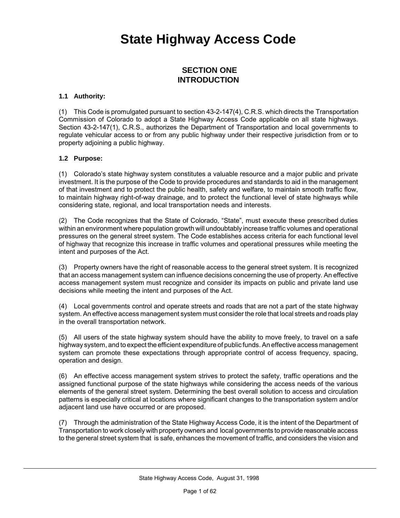## **State Highway Access Code**

#### **SECTION ONE INTRODUCTION**

#### **1.1 Authority:**

(1) This Code is promulgated pursuant to section 43-2-147(4), C.R.S. which directs the Transportation Commission of Colorado to adopt a State Highway Access Code applicable on all state highways. Section 43-2-147(1), C.R.S., authorizes the Department of Transportation and local governments to regulate vehicular access to or from any public highway under their respective jurisdiction from or to property adjoining a public highway.

#### **1.2 Purpose:**

(1) Colorado's state highway system constitutes a valuable resource and a major public and private investment. It is the purpose of the Code to provide procedures and standards to aid in the management of that investment and to protect the public health, safety and welfare, to maintain smooth traffic flow, to maintain highway right-of-way drainage, and to protect the functional level of state highways while considering state, regional, and local transportation needs and interests.

(2) The Code recognizes that the State of Colorado, "State", must execute these prescribed duties within an environment where population growth will undoubtably increase traffic volumes and operational pressures on the general street system. The Code establishes access criteria for each functional level of highway that recognize this increase in traffic volumes and operational pressures while meeting the intent and purposes of the Act.

(3) Property owners have the right of reasonable access to the general street system. It is recognized that an access management system can influence decisions concerning the use of property. An effective access management system must recognize and consider its impacts on public and private land use decisions while meeting the intent and purposes of the Act.

(4) Local governments control and operate streets and roads that are not a part of the state highway system. An effective access management system must consider the role that local streets and roads play in the overall transportation network.

(5) All users of the state highway system should have the ability to move freely, to travel on a safe highway system, and to expect the efficient expenditure of public funds. An effective access management system can promote these expectations through appropriate control of access frequency, spacing, operation and design.

(6) An effective access management system strives to protect the safety, traffic operations and the assigned functional purpose of the state highways while considering the access needs of the various elements of the general street system. Determining the best overall solution to access and circulation patterns is especially critical at locations where significant changes to the transportation system and/or adjacent land use have occurred or are proposed.

(7) Through the administration of the State Highway Access Code, it is the intent of the Department of Transportation to work closely with property owners and local governments to provide reasonable access to the general street system that is safe, enhances the movement of traffic, and considers the vision and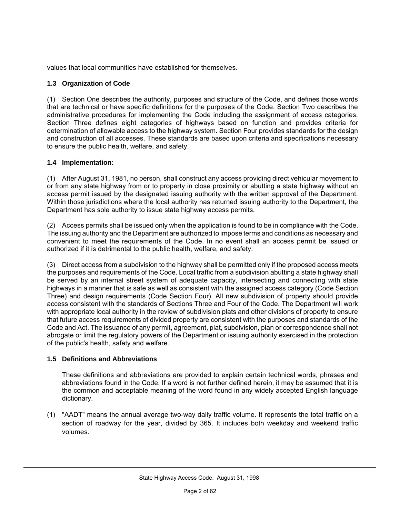values that local communities have established for themselves.

#### **1.3 Organization of Code**

(1) Section One describes the authority, purposes and structure of the Code, and defines those words that are technical or have specific definitions for the purposes of the Code. Section Two describes the administrative procedures for implementing the Code including the assignment of access categories. Section Three defines eight categories of highways based on function and provides criteria for determination of allowable access to the highway system. Section Four provides standards for the design and construction of all accesses. These standards are based upon criteria and specifications necessary to ensure the public health, welfare, and safety.

#### **1.4 Implementation:**

(1) After August 31, 1981, no person, shall construct any access providing direct vehicular movement to or from any state highway from or to property in close proximity or abutting a state highway without an access permit issued by the designated issuing authority with the written approval of the Department. Within those jurisdictions where the local authority has returned issuing authority to the Department, the Department has sole authority to issue state highway access permits.

(2) Access permits shall be issued only when the application is found to be in compliance with the Code. The issuing authority and the Department are authorized to impose terms and conditions as necessary and convenient to meet the requirements of the Code. In no event shall an access permit be issued or authorized if it is detrimental to the public health, welfare, and safety.

(3) Direct access from a subdivision to the highway shall be permitted only if the proposed access meets the purposes and requirements of the Code. Local traffic from a subdivision abutting a state highway shall be served by an internal street system of adequate capacity, intersecting and connecting with state highways in a manner that is safe as well as consistent with the assigned access category (Code Section Three) and design requirements (Code Section Four). All new subdivision of property should provide access consistent with the standards of Sections Three and Four of the Code. The Department will work with appropriate local authority in the review of subdivision plats and other divisions of property to ensure that future access requirements of divided property are consistent with the purposes and standards of the Code and Act. The issuance of any permit, agreement, plat, subdivision, plan or correspondence shall not abrogate or limit the regulatory powers of the Department or issuing authority exercised in the protection of the public's health, safety and welfare.

#### **1.5 Definitions and Abbreviations**

These definitions and abbreviations are provided to explain certain technical words, phrases and abbreviations found in the Code. If a word is not further defined herein, it may be assumed that it is the common and acceptable meaning of the word found in any widely accepted English language dictionary.

(1) "AADT" means the annual average two-way daily traffic volume. It represents the total traffic on a section of roadway for the year, divided by 365. It includes both weekday and weekend traffic volumes.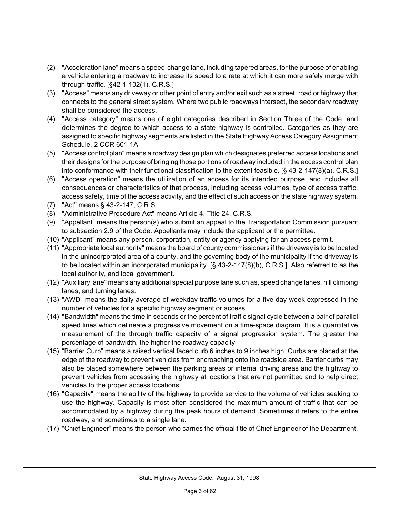- (2) "Acceleration lane" means a speed-change lane, including tapered areas, for the purpose of enabling a vehicle entering a roadway to increase its speed to a rate at which it can more safely merge with through traffic. [§42-1-102(1), C.R.S.]
- (3) "Access" means any driveway or other point of entry and/or exit such as a street, road or highway that connects to the general street system. Where two public roadways intersect, the secondary roadway shall be considered the access.
- (4) "Access category" means one of eight categories described in Section Three of the Code, and determines the degree to which access to a state highway is controlled. Categories as they are assigned to specific highway segments are listed in the State Highway Access Category Assignment Schedule, 2 CCR 601-1A.
- (5) "Access control plan" means a roadway design plan which designates preferred access locations and their designs for the purpose of bringing those portions of roadway included in the access control plan into conformance with their functional classification to the extent feasible. [§ 43-2-147(8)(a), C.R.S.]
- (6) "Access operation" means the utilization of an access for its intended purpose, and includes all consequences or characteristics of that process, including access volumes, type of access traffic, access safety, time of the access activity, and the effect of such access on the state highway system.
- (7) "Act" means § 43-2-147, C.R.S.
- (8) "Administrative Procedure Act" means Article 4, Title 24, C.R.S.
- (9) "Appellant" means the person(s) who submit an appeal to the Transportation Commission pursuant to subsection 2.9 of the Code. Appellants may include the applicant or the permittee.
- (10) "Applicant" means any person, corporation, entity or agency applying for an access permit.
- (11) "Appropriate local authority" means the board of county commissioners if the driveway is to be located in the unincorporated area of a county, and the governing body of the municipality if the driveway is to be located within an incorporated municipality. [§ 43-2-147(8)(b), C.R.S.] Also referred to as the local authority, and local government.
- (12) "Auxiliary lane" means any additional special purpose lane such as, speed change lanes, hill climbing lanes, and turning lanes.
- (13) "AWD" means the daily average of weekday traffic volumes for a five day week expressed in the number of vehicles for a specific highway segment or access.
- (14) "Bandwidth" means the time in seconds or the percent of traffic signal cycle between a pair of parallel speed lines which delineate a progressive movement on a time-space diagram. It is a quantitative measurement of the through traffic capacity of a signal progression system. The greater the percentage of bandwidth, the higher the roadway capacity.
- (15) "Barrier Curb" means a raised vertical faced curb 6 inches to 9 inches high. Curbs are placed at the edge of the roadway to prevent vehicles from encroaching onto the roadside area. Barrier curbs may also be placed somewhere between the parking areas or internal driving areas and the highway to prevent vehicles from accessing the highway at locations that are not permitted and to help direct vehicles to the proper access locations.
- (16) "Capacity" means the ability of the highway to provide service to the volume of vehicles seeking to use the highway. Capacity is most often considered the maximum amount of traffic that can be accommodated by a highway during the peak hours of demand. Sometimes it refers to the entire roadway, and sometimes to a single lane.
- (17) "Chief Engineer" means the person who carries the official title of Chief Engineer of the Department.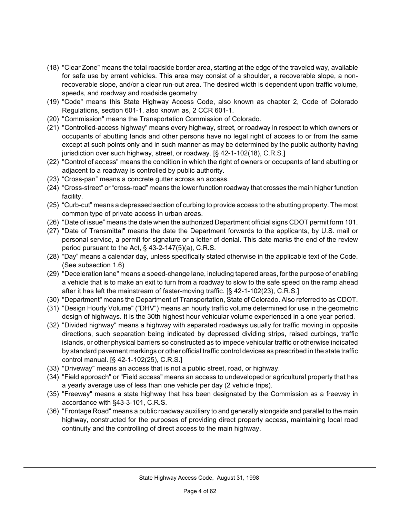- (18) "Clear Zone" means the total roadside border area, starting at the edge of the traveled way, available for safe use by errant vehicles. This area may consist of a shoulder, a recoverable slope, a nonrecoverable slope, and/or a clear run-out area. The desired width is dependent upon traffic volume, speeds, and roadway and roadside geometry.
- (19) "Code" means this State Highway Access Code, also known as chapter 2, Code of Colorado Regulations, section 601-1, also known as, 2 CCR 601-1.
- (20) "Commission" means the Transportation Commission of Colorado.
- (21) "Controlled-access highway" means every highway, street, or roadway in respect to which owners or occupants of abutting lands and other persons have no legal right of access to or from the same except at such points only and in such manner as may be determined by the public authority having jurisdiction over such highway, street, or roadway. [§ 42-1-102(18), C.R.S.]
- (22) "Control of access" means the condition in which the right of owners or occupants of land abutting or adjacent to a roadway is controlled by public authority.
- (23) "Cross-pan" means a concrete gutter across an access.
- (24) "Cross-street" or "cross-road" means the lower function roadway that crosses the main higher function facility.
- (25) "Curb-cut" means a depressed section of curbing to provide access to the abutting property. The most common type of private access in urban areas.
- (26) "Date of issue" means the date when the authorized Department official signs CDOT permit form 101.
- (27) "Date of Transmittal" means the date the Department forwards to the applicants, by U.S. mail or personal service, a permit for signature or a letter of denial. This date marks the end of the review period pursuant to the Act, § 43-2-147(5)(a), C.R.S.
- (28) "Day" means a calendar day, unless specifically stated otherwise in the applicable text of the Code. (See subsection 1.6)
- (29) "Deceleration lane" means a speed-change lane, including tapered areas, for the purpose of enabling a vehicle that is to make an exit to turn from a roadway to slow to the safe speed on the ramp ahead after it has left the mainstream of faster-moving traffic. [§ 42-1-102(23), C.R.S.]
- (30) "Department" means the Department of Transportation, State of Colorado. Also referred to as CDOT.
- (31) "Design Hourly Volume" ("DHV") means an hourly traffic volume determined for use in the geometric design of highways. It is the 30th highest hour vehicular volume experienced in a one year period.
- (32) "Divided highway" means a highway with separated roadways usually for traffic moving in opposite directions, such separation being indicated by depressed dividing strips, raised curbings, traffic islands, or other physical barriers so constructed as to impede vehicular traffic or otherwise indicated by standard pavement markings or other official traffic control devices as prescribed in the state traffic control manual. [§ 42-1-102(25), C.R.S.]
- (33) "Driveway" means an access that is not a public street, road, or highway.
- (34) "Field approach" or "Field access" means an access to undeveloped or agricultural property that has a yearly average use of less than one vehicle per day (2 vehicle trips).
- (35) "Freeway" means a state highway that has been designated by the Commission as a freeway in accordance with §43-3-101, C.R.S.
- (36) "Frontage Road" means a public roadway auxiliary to and generally alongside and parallel to the main highway, constructed for the purposes of providing direct property access, maintaining local road continuity and the controlling of direct access to the main highway.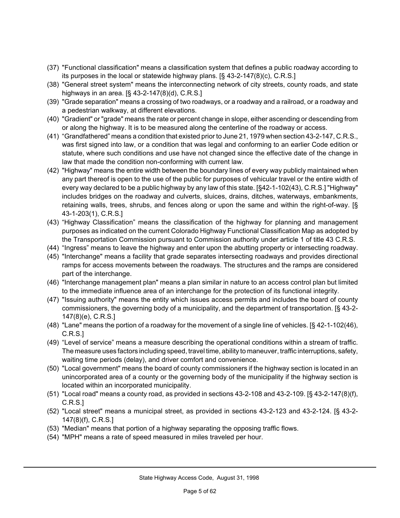- (37) "Functional classification" means a classification system that defines a public roadway according to its purposes in the local or statewide highway plans. [§ 43-2-147(8)(c), C.R.S.]
- (38) "General street system" means the interconnecting network of city streets, county roads, and state highways in an area. [§ 43-2-147(8)(d), C.R.S.]
- (39) "Grade separation" means a crossing of two roadways, or a roadway and a railroad, or a roadway and a pedestrian walkway, at different elevations.
- (40) "Gradient" or "grade" means the rate or percent change in slope, either ascending or descending from or along the highway. It is to be measured along the centerline of the roadway or access.
- (41) "Grandfathered" means a condition that existed prior to June 21, 1979 when section 43-2-147, C.R.S., was first signed into law, or a condition that was legal and conforming to an earlier Code edition or statute, where such conditions and use have not changed since the effective date of the change in law that made the condition non-conforming with current law.
- (42) "Highway" means the entire width between the boundary lines of every way publicly maintained when any part thereof is open to the use of the public for purposes of vehicular travel or the entire width of every way declared to be a public highway by any law of this state. [§42-1-102(43), C.R.S.] "Highway" includes bridges on the roadway and culverts, sluices, drains, ditches, waterways, embankments, retaining walls, trees, shrubs, and fences along or upon the same and within the right-of-way. [§ 43-1-203(1), C.R.S.]
- (43) "Highway Classification" means the classification of the highway for planning and management purposes as indicated on the current Colorado Highway Functional Classification Map as adopted by the Transportation Commission pursuant to Commission authority under article 1 of title 43 C.R.S.
- (44) "Ingress" means to leave the highway and enter upon the abutting property or intersecting roadway.
- (45) "Interchange" means a facility that grade separates intersecting roadways and provides directional ramps for access movements between the roadways. The structures and the ramps are considered part of the interchange.
- (46) "Interchange management plan" means a plan similar in nature to an access control plan but limited to the immediate influence area of an interchange for the protection of its functional integrity.
- (47) "Issuing authority" means the entity which issues access permits and includes the board of county commissioners, the governing body of a municipality, and the department of transportation. [§ 43-2- 147(8)(e), C.R.S.]
- (48) "Lane" means the portion of a roadway for the movement of a single line of vehicles. [§ 42-1-102(46), C.R.S.]
- (49) "Level of service" means a measure describing the operational conditions within a stream of traffic. The measure uses factors including speed, travel time, ability to maneuver, traffic interruptions, safety, waiting time periods (delay), and driver comfort and convenience.
- (50) "Local government" means the board of county commissioners if the highway section is located in an unincorporated area of a county or the governing body of the municipality if the highway section is located within an incorporated municipality.
- (51) "Local road" means a county road, as provided in sections 43-2-108 and 43-2-109. [§ 43-2-147(8)(f), C.R.S.]
- (52) "Local street" means a municipal street, as provided in sections 43-2-123 and 43-2-124. [§ 43-2- 147(8)(f), C.R.S.]
- (53) "Median" means that portion of a highway separating the opposing traffic flows.
- (54) "MPH" means a rate of speed measured in miles traveled per hour.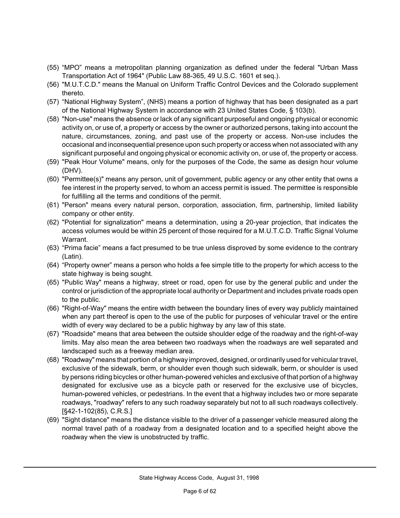- (55) "MPO" means a metropolitan planning organization as defined under the federal "Urban Mass Transportation Act of 1964" (Public Law 88-365, 49 U.S.C. 1601 et seq.).
- (56) "M.U.T.C.D." means the Manual on Uniform Traffic Control Devices and the Colorado supplement thereto.
- (57) "National Highway System", (NHS) means a portion of highway that has been designated as a part of the National Highway System in accordance with 23 United States Code, § 103(b).
- (58) "Non-use" means the absence or lack of any significant purposeful and ongoing physical or economic activity on, or use of, a property or access by the owner or authorized persons, taking into account the nature, circumstances, zoning, and past use of the property or access. Non-use includes the occasional and inconsequential presence upon such property or access when not associated with any significant purposeful and ongoing physical or economic activity on, or use of, the property or access.
- (59) "Peak Hour Volume" means, only for the purposes of the Code, the same as design hour volume (DHV).
- (60) "Permittee(s)" means any person, unit of government, public agency or any other entity that owns a fee interest in the property served, to whom an access permit is issued. The permittee is responsible for fulfilling all the terms and conditions of the permit.
- (61) "Person" means every natural person, corporation, association, firm, partnership, limited liability company or other entity.
- (62) "Potential for signalization" means a determination, using a 20-year projection, that indicates the access volumes would be within 25 percent of those required for a M.U.T.C.D. Traffic Signal Volume Warrant.
- (63) "Prima facie" means a fact presumed to be true unless disproved by some evidence to the contrary (Latin).
- (64) "Property owner" means a person who holds a fee simple title to the property for which access to the state highway is being sought.
- (65) "Public Way" means a highway, street or road, open for use by the general public and under the control or jurisdiction of the appropriate local authority or Department and includes private roads open to the public.
- (66) "Right-of-Way" means the entire width between the boundary lines of every way publicly maintained when any part thereof is open to the use of the public for purposes of vehicular travel or the entire width of every way declared to be a public highway by any law of this state.
- (67) "Roadside" means that area between the outside shoulder edge of the roadway and the right-of-way limits. May also mean the area between two roadways when the roadways are well separated and landscaped such as a freeway median area.
- (68) "Roadway" means that portion of a highway improved, designed, or ordinarily used for vehicular travel, exclusive of the sidewalk, berm, or shoulder even though such sidewalk, berm, or shoulder is used by persons riding bicycles or other human-powered vehicles and exclusive of that portion of a highway designated for exclusive use as a bicycle path or reserved for the exclusive use of bicycles, human-powered vehicles, or pedestrians. In the event that a highway includes two or more separate roadways, "roadway" refers to any such roadway separately but not to all such roadways collectively. [§42-1-102(85), C.R.S.]
- (69) "Sight distance" means the distance visible to the driver of a passenger vehicle measured along the normal travel path of a roadway from a designated location and to a specified height above the roadway when the view is unobstructed by traffic.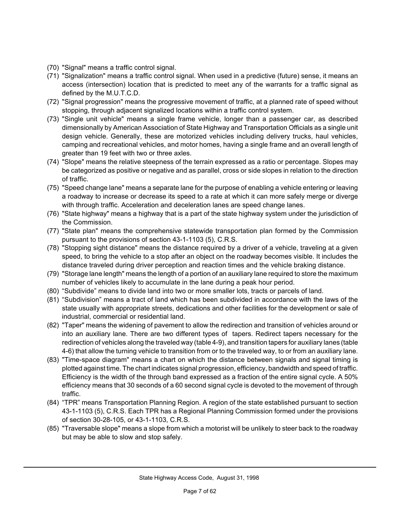- (70) "Signal" means a traffic control signal.
- (71) "Signalization" means a traffic control signal. When used in a predictive (future) sense, it means an access (intersection) location that is predicted to meet any of the warrants for a traffic signal as defined by the M.U.T.C.D.
- (72) "Signal progression" means the progressive movement of traffic, at a planned rate of speed without stopping, through adjacent signalized locations within a traffic control system.
- (73) "Single unit vehicle" means a single frame vehicle, longer than a passenger car, as described dimensionally by American Association of State Highway and Transportation Officials as a single unit design vehicle. Generally, these are motorized vehicles including delivery trucks, haul vehicles, camping and recreational vehicles, and motor homes, having a single frame and an overall length of greater than 19 feet with two or three axles.
- (74) "Slope" means the relative steepness of the terrain expressed as a ratio or percentage. Slopes may be categorized as positive or negative and as parallel, cross or side slopes in relation to the direction of traffic.
- (75) "Speed change lane" means a separate lane for the purpose of enabling a vehicle entering or leaving a roadway to increase or decrease its speed to a rate at which it can more safely merge or diverge with through traffic. Acceleration and deceleration lanes are speed change lanes.
- (76) "State highway" means a highway that is a part of the state highway system under the jurisdiction of the Commission.
- (77) "State plan" means the comprehensive statewide transportation plan formed by the Commission pursuant to the provisions of section 43-1-1103 (5), C.R.S.
- (78) "Stopping sight distance" means the distance required by a driver of a vehicle, traveling at a given speed, to bring the vehicle to a stop after an object on the roadway becomes visible. It includes the distance traveled during driver perception and reaction times and the vehicle braking distance.
- (79) "Storage lane length" means the length of a portion of an auxiliary lane required to store the maximum number of vehicles likely to accumulate in the lane during a peak hour period.
- (80) "Subdivide" means to divide land into two or more smaller lots, tracts or parcels of land.
- (81) "Subdivision" means a tract of land which has been subdivided in accordance with the laws of the state usually with appropriate streets, dedications and other facilities for the development or sale of industrial, commercial or residential land.
- (82) "Taper" means the widening of pavement to allow the redirection and transition of vehicles around or into an auxiliary lane. There are two different types of tapers. Redirect tapers necessary for the redirection of vehicles along the traveled way (table 4-9), and transition tapers for auxiliary lanes (table 4-6) that allow the turning vehicle to transition from or to the traveled way, to or from an auxiliary lane.
- (83) "Time-space diagram" means a chart on which the distance between signals and signal timing is plotted against time. The chart indicates signal progression, efficiency, bandwidth and speed of traffic. Efficiency is the width of the through band expressed as a fraction of the entire signal cycle. A 50% efficiency means that 30 seconds of a 60 second signal cycle is devoted to the movement of through traffic.
- (84) "TPR" means Transportation Planning Region. A region of the state established pursuant to section 43-1-1103 (5), C.R.S. Each TPR has a Regional Planning Commission formed under the provisions of section 30-28-105, or 43-1-1103, C.R.S.
- (85) "Traversable slope" means a slope from which a motorist will be unlikely to steer back to the roadway but may be able to slow and stop safely.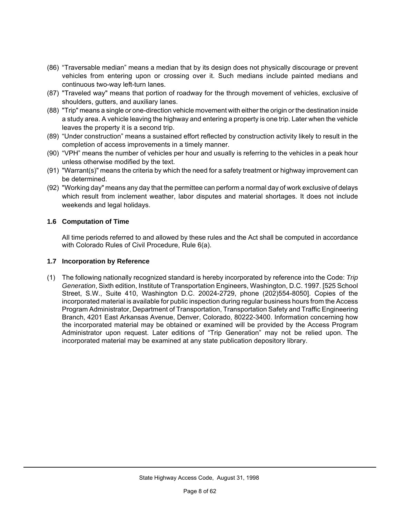- (86) "Traversable median" means a median that by its design does not physically discourage or prevent vehicles from entering upon or crossing over it. Such medians include painted medians and continuous two-way left-turn lanes.
- (87) "Traveled way" means that portion of roadway for the through movement of vehicles, exclusive of shoulders, gutters, and auxiliary lanes.
- (88) "Trip" means a single or one-direction vehicle movement with either the origin or the destination inside a study area. A vehicle leaving the highway and entering a property is one trip. Later when the vehicle leaves the property it is a second trip.
- (89) "Under construction" means a sustained effort reflected by construction activity likely to result in the completion of access improvements in a timely manner.
- (90) "VPH" means the number of vehicles per hour and usually is referring to the vehicles in a peak hour unless otherwise modified by the text.
- (91) "Warrant(s)" means the criteria by which the need for a safety treatment or highway improvement can be determined.
- (92) "Working day" means any day that the permittee can perform a normal day of work exclusive of delays which result from inclement weather, labor disputes and material shortages. It does not include weekends and legal holidays.

#### **1.6 Computation of Time**

All time periods referred to and allowed by these rules and the Act shall be computed in accordance with Colorado Rules of Civil Procedure, Rule 6(a).

#### **1.7 Incorporation by Reference**

(1) The following nationally recognized standard is hereby incorporated by reference into the Code: *Trip Generation*, Sixth edition, Institute of Transportation Engineers, Washington, D.C. 1997. [525 School Street, S.W., Suite 410, Washington D.C. 20024-2729, phone (202)554-8050]. Copies of the incorporated material is available for public inspection during regular business hours from the Access Program Administrator, Department of Transportation, Transportation Safety and Traffic Engineering Branch, 4201 East Arkansas Avenue, Denver, Colorado, 80222-3400. Information concerning how the incorporated material may be obtained or examined will be provided by the Access Program Administrator upon request. Later editions of "Trip Generation" may not be relied upon. The incorporated material may be examined at any state publication depository library.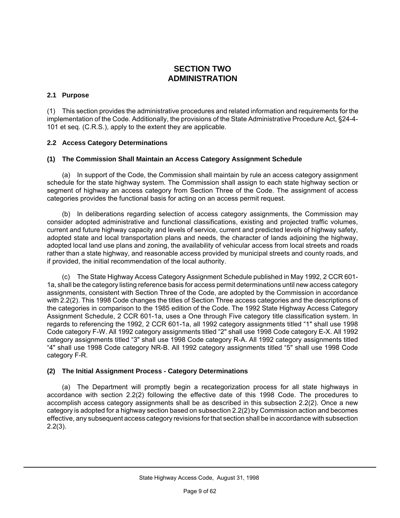#### **SECTION TWO ADMINISTRATION**

#### **2.1 Purpose**

(1) This section provides the administrative procedures and related information and requirements for the implementation of the Code. Additionally, the provisions of the State Administrative Procedure Act, §24-4- 101 et seq. (C.R.S.), apply to the extent they are applicable.

#### **2.2 Access Category Determinations**

#### **(1) The Commission Shall Maintain an Access Category Assignment Schedule**

(a) In support of the Code, the Commission shall maintain by rule an access category assignment schedule for the state highway system. The Commission shall assign to each state highway section or segment of highway an access category from Section Three of the Code. The assignment of access categories provides the functional basis for acting on an access permit request.

(b) In deliberations regarding selection of access category assignments, the Commission may consider adopted administrative and functional classifications, existing and projected traffic volumes, current and future highway capacity and levels of service, current and predicted levels of highway safety, adopted state and local transportation plans and needs, the character of lands adjoining the highway, adopted local land use plans and zoning, the availability of vehicular access from local streets and roads rather than a state highway, and reasonable access provided by municipal streets and county roads, and if provided, the initial recommendation of the local authority.

(c) The State Highway Access Category Assignment Schedule published in May 1992, 2 CCR 601- 1a, shall be the category listing reference basis for access permit determinations until new access category assignments, consistent with Section Three of the Code, are adopted by the Commission in accordance with 2.2(2). This 1998 Code changes the titles of Section Three access categories and the descriptions of the categories in comparison to the 1985 edition of the Code. The 1992 State Highway Access Category Assignment Schedule, 2 CCR 601-1a, uses a One through Five category title classification system. In regards to referencing the 1992, 2 CCR 601-1a, all 1992 category assignments titled "1" shall use 1998 Code category F-W. All 1992 category assignments titled "2" shall use 1998 Code category E-X. All 1992 category assignments titled "3" shall use 1998 Code category R-A. All 1992 category assignments titled "4" shall use 1998 Code category NR-B. All 1992 category assignments titled "5" shall use 1998 Code category F-R.

#### **(2) The Initial Assignment Process - Category Determinations**

(a) The Department will promptly begin a recategorization process for all state highways in accordance with section 2.2(2) following the effective date of this 1998 Code. The procedures to accomplish access category assignments shall be as described in this subsection 2.2(2). Once a new category is adopted for a highway section based on subsection 2.2(2) by Commission action and becomes effective, any subsequent access category revisions for that section shall be in accordance with subsection 2.2(3).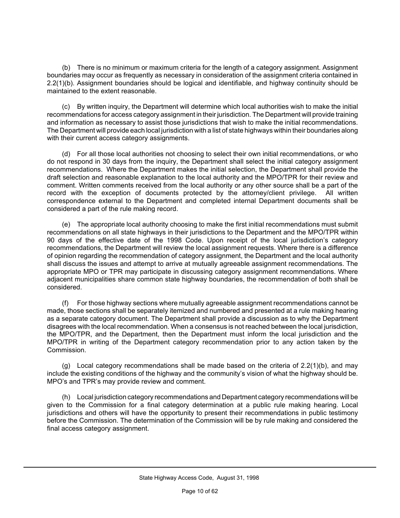(b) There is no minimum or maximum criteria for the length of a category assignment. Assignment boundaries may occur as frequently as necessary in consideration of the assignment criteria contained in 2.2(1)(b). Assignment boundaries should be logical and identifiable, and highway continuity should be maintained to the extent reasonable.

(c) By written inquiry, the Department will determine which local authorities wish to make the initial recommendations for access category assignment in their jurisdiction. The Department will provide training and information as necessary to assist those jurisdictions that wish to make the initial recommendations. The Department will provide each local jurisdiction with a list of state highways within their boundaries along with their current access category assignments.

(d) For all those local authorities not choosing to select their own initial recommendations, or who do not respond in 30 days from the inquiry, the Department shall select the initial category assignment recommendations. Where the Department makes the initial selection, the Department shall provide the draft selection and reasonable explanation to the local authority and the MPO/TPR for their review and comment. Written comments received from the local authority or any other source shall be a part of the record with the exception of documents protected by the attorney/client privilege. All written correspondence external to the Department and completed internal Department documents shall be considered a part of the rule making record.

(e) The appropriate local authority choosing to make the first initial recommendations must submit recommendations on all state highways in their jurisdictions to the Department and the MPO/TPR within 90 days of the effective date of the 1998 Code. Upon receipt of the local jurisdiction's category recommendations, the Department will review the local assignment requests. Where there is a difference of opinion regarding the recommendation of category assignment, the Department and the local authority shall discuss the issues and attempt to arrive at mutually agreeable assignment recommendations. The appropriate MPO or TPR may participate in discussing category assignment recommendations. Where adjacent municipalities share common state highway boundaries, the recommendation of both shall be considered.

(f) For those highway sections where mutually agreeable assignment recommendations cannot be made, those sections shall be separately itemized and numbered and presented at a rule making hearing as a separate category document. The Department shall provide a discussion as to why the Department disagrees with the local recommendation. When a consensus is not reached between the local jurisdiction, the MPO/TPR, and the Department, then the Department must inform the local jurisdiction and the MPO/TPR in writing of the Department category recommendation prior to any action taken by the Commission.

(g) Local category recommendations shall be made based on the criteria of 2.2(1)(b), and may include the existing conditions of the highway and the community's vision of what the highway should be. MPO's and TPR's may provide review and comment.

(h) Local jurisdiction category recommendations and Department category recommendations will be given to the Commission for a final category determination at a public rule making hearing. Local jurisdictions and others will have the opportunity to present their recommendations in public testimony before the Commission. The determination of the Commission will be by rule making and considered the final access category assignment.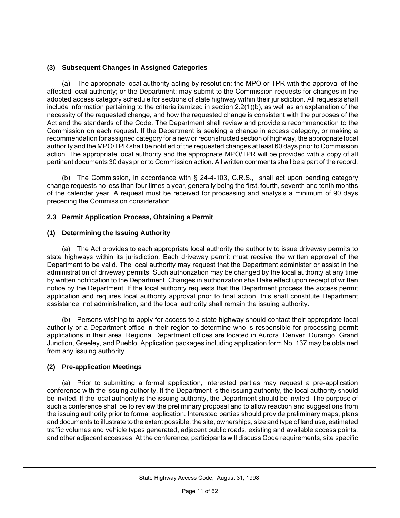#### **(3) Subsequent Changes in Assigned Categories**

(a) The appropriate local authority acting by resolution; the MPO or TPR with the approval of the affected local authority; or the Department; may submit to the Commission requests for changes in the adopted access category schedule for sections of state highway within their jurisdiction. All requests shall include information pertaining to the criteria itemized in section 2.2(1)(b), as well as an explanation of the necessity of the requested change, and how the requested change is consistent with the purposes of the Act and the standards of the Code. The Department shall review and provide a recommendation to the Commission on each request. If the Department is seeking a change in access category, or making a recommendation for assigned category for a new or reconstructed section of highway, the appropriate local authority and the MPO/TPR shall be notified of the requested changes at least 60 days prior to Commission action. The appropriate local authority and the appropriate MPO/TPR will be provided with a copy of all pertinent documents 30 days prior to Commission action. All written comments shall be a part of the record.

(b) The Commission, in accordance with § 24-4-103, C.R.S., shall act upon pending category change requests no less than four times a year, generally being the first, fourth, seventh and tenth months of the calender year. A request must be received for processing and analysis a minimum of 90 days preceding the Commission consideration.

#### **2.3 Permit Application Process, Obtaining a Permit**

#### **(1) Determining the Issuing Authority**

(a) The Act provides to each appropriate local authority the authority to issue driveway permits to state highways within its jurisdiction. Each driveway permit must receive the written approval of the Department to be valid. The local authority may request that the Department administer or assist in the administration of driveway permits. Such authorization may be changed by the local authority at any time by written notification to the Department. Changes in authorization shall take effect upon receipt of written notice by the Department. If the local authority requests that the Department process the access permit application and requires local authority approval prior to final action, this shall constitute Department assistance, not administration, and the local authority shall remain the issuing authority.

(b) Persons wishing to apply for access to a state highway should contact their appropriate local authority or a Department office in their region to determine who is responsible for processing permit applications in their area. Regional Department offices are located in Aurora, Denver, Durango, Grand Junction, Greeley, and Pueblo. Application packages including application form No. 137 may be obtained from any issuing authority.

#### **(2) Pre-application Meetings**

(a) Prior to submitting a formal application, interested parties may request a pre-application conference with the issuing authority. If the Department is the issuing authority, the local authority should be invited. If the local authority is the issuing authority, the Department should be invited. The purpose of such a conference shall be to review the preliminary proposal and to allow reaction and suggestions from the issuing authority prior to formal application. Interested parties should provide preliminary maps, plans and documents to illustrate to the extent possible, the site, ownerships, size and type of land use, estimated traffic volumes and vehicle types generated, adjacent public roads, existing and available access points, and other adjacent accesses. At the conference, participants will discuss Code requirements, site specific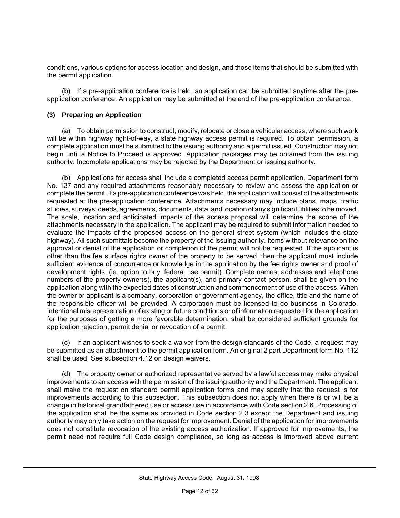conditions, various options for access location and design, and those items that should be submitted with the permit application.

(b) If a pre-application conference is held, an application can be submitted anytime after the preapplication conference. An application may be submitted at the end of the pre-application conference.

#### **(3) Preparing an Application**

(a) To obtain permission to construct, modify, relocate or close a vehicular access, where such work will be within highway right-of-way, a state highway access permit is required. To obtain permission, a complete application must be submitted to the issuing authority and a permit issued. Construction may not begin until a Notice to Proceed is approved. Application packages may be obtained from the issuing authority. Incomplete applications may be rejected by the Department or issuing authority.

(b) Applications for access shall include a completed access permit application, Department form No. 137 and any required attachments reasonably necessary to review and assess the application or complete the permit. If a pre-application conference was held, the application will consist of the attachments requested at the pre-application conference. Attachments necessary may include plans, maps, traffic studies, surveys, deeds, agreements, documents, data, and location of any significant utilities to be moved. The scale, location and anticipated impacts of the access proposal will determine the scope of the attachments necessary in the application. The applicant may be required to submit information needed to evaluate the impacts of the proposed access on the general street system (which includes the state highway). All such submittals become the property of the issuing authority. Items without relevance on the approval or denial of the application or completion of the permit will not be requested. If the applicant is other than the fee surface rights owner of the property to be served, then the applicant must include sufficient evidence of concurrence or knowledge in the application by the fee rights owner and proof of development rights, (ie. option to buy, federal use permit). Complete names, addresses and telephone numbers of the property owner(s), the applicant(s), and primary contact person, shall be given on the application along with the expected dates of construction and commencement of use of the access. When the owner or applicant is a company, corporation or government agency, the office, title and the name of the responsible officer will be provided. A corporation must be licensed to do business in Colorado. Intentional misrepresentation of existing or future conditions or of information requested for the application for the purposes of getting a more favorable determination, shall be considered sufficient grounds for application rejection, permit denial or revocation of a permit.

(c) If an applicant wishes to seek a waiver from the design standards of the Code, a request may be submitted as an attachment to the permit application form. An original 2 part Department form No. 112 shall be used. See subsection 4.12 on design waivers.

(d) The property owner or authorized representative served by a lawful access may make physical improvements to an access with the permission of the issuing authority and the Department. The applicant shall make the request on standard permit application forms and may specify that the request is for improvements according to this subsection. This subsection does not apply when there is or will be a change in historical grandfathered use or access use in accordance with Code section 2.6. Processing of the application shall be the same as provided in Code section 2.3 except the Department and issuing authority may only take action on the request for improvement. Denial of the application for improvements does not constitute revocation of the existing access authorization. If approved for improvements, the permit need not require full Code design compliance, so long as access is improved above current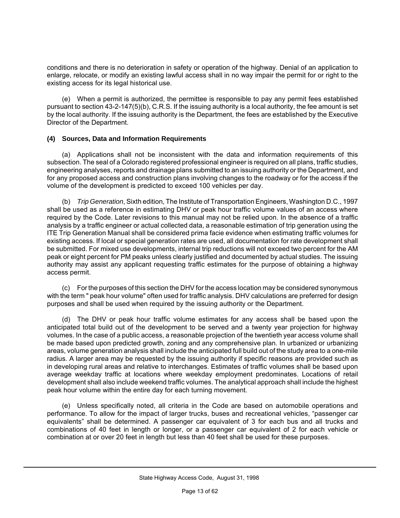conditions and there is no deterioration in safety or operation of the highway. Denial of an application to enlarge, relocate, or modify an existing lawful access shall in no way impair the permit for or right to the existing access for its legal historical use.

(e) When a permit is authorized, the permittee is responsible to pay any permit fees established pursuant to section 43-2-147(5)(b), C.R.S. If the issuing authority is a local authority, the fee amount is set by the local authority. If the issuing authority is the Department, the fees are established by the Executive Director of the Department.

#### **(4) Sources, Data and Information Requirements**

(a) Applications shall not be inconsistent with the data and information requirements of this subsection. The seal of a Colorado registered professional engineer is required on all plans, traffic studies, engineering analyses, reports and drainage plans submitted to an issuing authority or the Department, and for any proposed access and construction plans involving changes to the roadway or for the access if the volume of the development is predicted to exceed 100 vehicles per day.

(b) *Trip Generation*, Sixth edition, The Institute of Transportation Engineers, Washington D.C., 1997 shall be used as a reference in estimating DHV or peak hour traffic volume values of an access where required by the Code. Later revisions to this manual may not be relied upon. In the absence of a traffic analysis by a traffic engineer or actual collected data, a reasonable estimation of trip generation using the ITE Trip Generation Manual shall be considered prima facie evidence when estimating traffic volumes for existing access. If local or special generation rates are used, all documentation for rate development shall be submitted. For mixed use developments, internal trip reductions will not exceed two percent for the AM peak or eight percent for PM peaks unless clearly justified and documented by actual studies. The issuing authority may assist any applicant requesting traffic estimates for the purpose of obtaining a highway access permit.

(c) For the purposes of this section the DHV for the access location may be considered synonymous with the term " peak hour volume" often used for traffic analysis. DHV calculations are preferred for design purposes and shall be used when required by the issuing authority or the Department.

(d) The DHV or peak hour traffic volume estimates for any access shall be based upon the anticipated total build out of the development to be served and a twenty year projection for highway volumes. In the case of a public access, a reasonable projection of the twentieth year access volume shall be made based upon predicted growth, zoning and any comprehensive plan. In urbanized or urbanizing areas, volume generation analysis shall include the anticipated full build out of the study area to a one-mile radius. A larger area may be requested by the issuing authority if specific reasons are provided such as in developing rural areas and relative to interchanges. Estimates of traffic volumes shall be based upon average weekday traffic at locations where weekday employment predominates. Locations of retail development shall also include weekend traffic volumes. The analytical approach shall include the highest peak hour volume within the entire day for each turning movement.

(e) Unless specifically noted, all criteria in the Code are based on automobile operations and performance. To allow for the impact of larger trucks, buses and recreational vehicles, "passenger car equivalents" shall be determined. A passenger car equivalent of 3 for each bus and all trucks and combinations of 40 feet in length or longer, or a passenger car equivalent of 2 for each vehicle or combination at or over 20 feet in length but less than 40 feet shall be used for these purposes.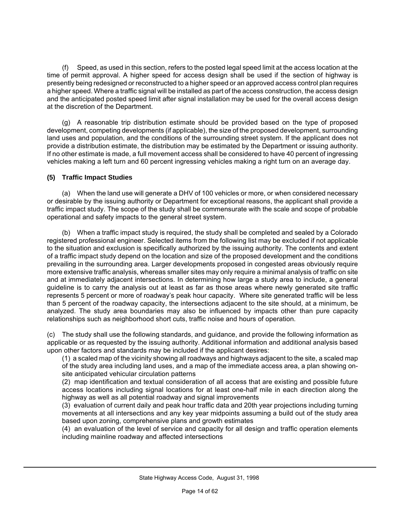Speed, as used in this section, refers to the posted legal speed limit at the access location at the time of permit approval. A higher speed for access design shall be used if the section of highway is presently being redesigned or reconstructed to a higher speed or an approved access control plan requires a higher speed. Where a traffic signal will be installed as part of the access construction, the access design and the anticipated posted speed limit after signal installation may be used for the overall access design at the discretion of the Department.

(g) A reasonable trip distribution estimate should be provided based on the type of proposed development, competing developments (if applicable), the size of the proposed development, surrounding land uses and population, and the conditions of the surrounding street system. If the applicant does not provide a distribution estimate, the distribution may be estimated by the Department or issuing authority. If no other estimate is made, a full movement access shall be considered to have 40 percent of ingressing vehicles making a left turn and 60 percent ingressing vehicles making a right turn on an average day.

#### **(5) Traffic Impact Studies**

(a) When the land use will generate a DHV of 100 vehicles or more, or when considered necessary or desirable by the issuing authority or Department for exceptional reasons, the applicant shall provide a traffic impact study. The scope of the study shall be commensurate with the scale and scope of probable operational and safety impacts to the general street system.

(b) When a traffic impact study is required, the study shall be completed and sealed by a Colorado registered professional engineer. Selected items from the following list may be excluded if not applicable to the situation and exclusion is specifically authorized by the issuing authority. The contents and extent of a traffic impact study depend on the location and size of the proposed development and the conditions prevailing in the surrounding area. Larger developments proposed in congested areas obviously require more extensive traffic analysis, whereas smaller sites may only require a minimal analysis of traffic on site and at immediately adjacent intersections. In determining how large a study area to include, a general guideline is to carry the analysis out at least as far as those areas where newly generated site traffic represents 5 percent or more of roadway's peak hour capacity. Where site generated traffic will be less than 5 percent of the roadway capacity, the intersections adjacent to the site should, at a minimum, be analyzed. The study area boundaries may also be influenced by impacts other than pure capacity relationships such as neighborhood short cuts, traffic noise and hours of operation.

(c) The study shall use the following standards, and guidance, and provide the following information as applicable or as requested by the issuing authority. Additional information and additional analysis based upon other factors and standards may be included if the applicant desires:

(1) a scaled map of the vicinity showing all roadways and highways adjacent to the site, a scaled map of the study area including land uses, and a map of the immediate access area, a plan showing onsite anticipated vehicular circulation patterns

(2) map identification and textual consideration of all access that are existing and possible future access locations including signal locations for at least one-half mile in each direction along the highway as well as all potential roadway and signal improvements

(3) evaluation of current daily and peak hour traffic data and 20th year projections including turning movements at all intersections and any key year midpoints assuming a build out of the study area based upon zoning, comprehensive plans and growth estimates

(4) an evaluation of the level of service and capacity for all design and traffic operation elements including mainline roadway and affected intersections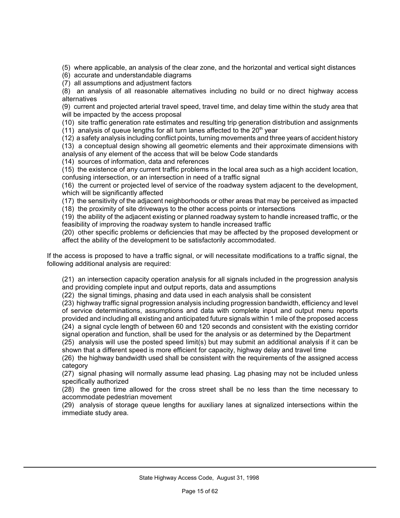(5) where applicable, an analysis of the clear zone, and the horizontal and vertical sight distances

- (6) accurate and understandable diagrams
- (7) all assumptions and adjustment factors

(8) an analysis of all reasonable alternatives including no build or no direct highway access alternatives

(9) current and projected arterial travel speed, travel time, and delay time within the study area that will be impacted by the access proposal

(10) site traffic generation rate estimates and resulting trip generation distribution and assignments

 $(11)$  analysis of queue lengths for all turn lanes affected to the 20<sup>th</sup> year

(12) a safety analysis including conflict points, turning movements and three years of accident history

(13) a conceptual design showing all geometric elements and their approximate dimensions with analysis of any element of the access that will be below Code standards

(14) sources of information, data and references

(15) the existence of any current traffic problems in the local area such as a high accident location, confusing intersection, or an intersection in need of a traffic signal

(16) the current or projected level of service of the roadway system adjacent to the development, which will be significantly affected

(17) the sensitivity of the adjacent neighborhoods or other areas that may be perceived as impacted

(18) the proximity of site driveways to the other access points or intersections

(19) the ability of the adjacent existing or planned roadway system to handle increased traffic, or the feasibility of improving the roadway system to handle increased traffic

(20) other specific problems or deficiencies that may be affected by the proposed development or affect the ability of the development to be satisfactorily accommodated.

If the access is proposed to have a traffic signal, or will necessitate modifications to a traffic signal, the following additional analysis are required:

(21) an intersection capacity operation analysis for all signals included in the progression analysis and providing complete input and output reports, data and assumptions

(22) the signal timings, phasing and data used in each analysis shall be consistent

(23) highway traffic signal progression analysis including progression bandwidth, efficiency and level of service determinations, assumptions and data with complete input and output menu reports provided and including all existing and anticipated future signals within 1 mile of the proposed access (24) a signal cycle length of between 60 and 120 seconds and consistent with the existing corridor signal operation and function, shall be used for the analysis or as determined by the Department

(25) analysis will use the posted speed limit(s) but may submit an additional analysis if it can be shown that a different speed is more efficient for capacity, highway delay and travel time

(26) the highway bandwidth used shall be consistent with the requirements of the assigned access category

(27) signal phasing will normally assume lead phasing. Lag phasing may not be included unless specifically authorized

(28) the green time allowed for the cross street shall be no less than the time necessary to accommodate pedestrian movement

(29) analysis of storage queue lengths for auxiliary lanes at signalized intersections within the immediate study area.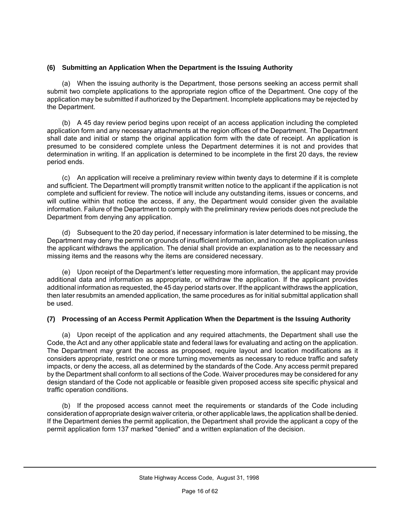#### **(6) Submitting an Application When the Department is the Issuing Authority**

(a) When the issuing authority is the Department, those persons seeking an access permit shall submit two complete applications to the appropriate region office of the Department. One copy of the application may be submitted if authorized by the Department. Incomplete applications may be rejected by the Department.

(b) A 45 day review period begins upon receipt of an access application including the completed application form and any necessary attachments at the region offices of the Department. The Department shall date and initial or stamp the original application form with the date of receipt. An application is presumed to be considered complete unless the Department determines it is not and provides that determination in writing. If an application is determined to be incomplete in the first 20 days, the review period ends.

(c) An application will receive a preliminary review within twenty days to determine if it is complete and sufficient. The Department will promptly transmit written notice to the applicant if the application is not complete and sufficient for review. The notice will include any outstanding items, issues or concerns, and will outline within that notice the access, if any, the Department would consider given the available information. Failure of the Department to comply with the preliminary review periods does not preclude the Department from denying any application.

(d) Subsequent to the 20 day period, if necessary information is later determined to be missing, the Department may deny the permit on grounds of insufficient information, and incomplete application unless the applicant withdraws the application. The denial shall provide an explanation as to the necessary and missing items and the reasons why the items are considered necessary.

(e) Upon receipt of the Department's letter requesting more information, the applicant may provide additional data and information as appropriate, or withdraw the application. If the applicant provides additional information as requested, the 45 day period starts over. If the applicant withdraws the application, then later resubmits an amended application, the same procedures as for initial submittal application shall be used.

#### **(7) Processing of an Access Permit Application When the Department is the Issuing Authority**

(a) Upon receipt of the application and any required attachments, the Department shall use the Code, the Act and any other applicable state and federal laws for evaluating and acting on the application. The Department may grant the access as proposed, require layout and location modifications as it considers appropriate, restrict one or more turning movements as necessary to reduce traffic and safety impacts, or deny the access, all as determined by the standards of the Code. Any access permit prepared by the Department shall conform to all sections of the Code. Waiver procedures may be considered for any design standard of the Code not applicable or feasible given proposed access site specific physical and traffic operation conditions.

(b) If the proposed access cannot meet the requirements or standards of the Code including consideration of appropriate design waiver criteria, or other applicable laws, the application shall be denied. If the Department denies the permit application, the Department shall provide the applicant a copy of the permit application form 137 marked "denied" and a written explanation of the decision.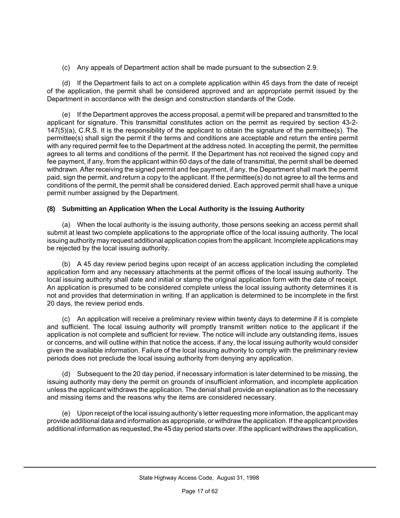(c) Any appeals of Department action shall be made pursuant to the subsection 2.9.

(d) If the Department fails to act on a complete application within 45 days from the date of receipt of the application, the permit shall be considered approved and an appropriate permit issued by the Department in accordance with the design and construction standards of the Code.

(e) If the Department approves the access proposal, a permit will be prepared and transmitted to the applicant for signature. This transmittal constitutes action on the permit as required by section 43-2- 147(5)(a), C.R.S. It is the responsibility of the applicant to obtain the signature of the permittee(s). The permittee(s) shall sign the permit if the terms and conditions are acceptable and return the entire permit with any required permit fee to the Department at the address noted. In accepting the permit, the permittee agrees to all terms and conditions of the permit. If the Department has not received the signed copy and fee payment, if any, from the applicant within 60 days of the date of transmittal, the permit shall be deemed withdrawn. After receiving the signed permit and fee payment, if any, the Department shall mark the permit paid, sign the permit, and return a copy to the applicant. If the permittee(s) do not agree to all the terms and conditions of the permit, the permit shall be considered denied. Each approved permit shall have a unique permit number assigned by the Department.

#### **(8) Submitting an Application When the Local Authority is the Issuing Authority**

(a) When the local authority is the issuing authority, those persons seeking an access permit shall submit at least two complete applications to the appropriate office of the local issuing authority. The local issuing authority may request additional application copies from the applicant. Incomplete applications may be rejected by the local issuing authority.

(b) A 45 day review period begins upon receipt of an access application including the completed application form and any necessary attachments at the permit offices of the local issuing authority. The local issuing authority shall date and initial or stamp the original application form with the date of receipt. An application is presumed to be considered complete unless the local issuing authority determines it is not and provides that determination in writing. If an application is determined to be incomplete in the first 20 days, the review period ends.

(c) An application will receive a preliminary review within twenty days to determine if it is complete and sufficient. The local issuing authority will promptly transmit written notice to the applicant if the application is not complete and sufficient for review. The notice will include any outstanding items, issues or concerns, and will outline within that notice the access, if any, the local issuing authority would consider given the available information. Failure of the local issuing authority to comply with the preliminary review periods does not preclude the local issuing authority from denying any application.

(d) Subsequent to the 20 day period, if necessary information is later determined to be missing, the issuing authority may deny the permit on grounds of insufficient information, and incomplete application unless the applicant withdraws the application. The denial shall provide an explanation as to the necessary and missing items and the reasons why the items are considered necessary.

(e) Upon receipt of the local issuing authority's letter requesting more information, the applicant may provide additional data and information as appropriate, or withdraw the application. If the applicant provides additional information as requested, the 45 day period starts over. If the applicant withdraws the application,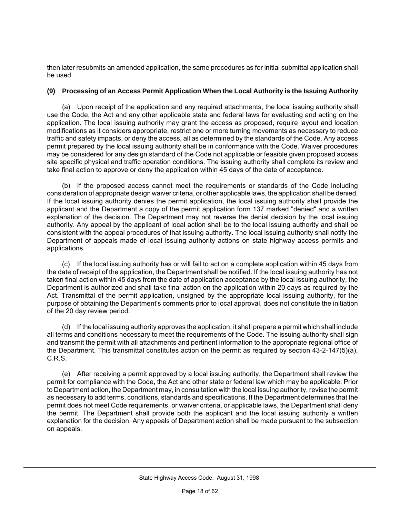then later resubmits an amended application, the same procedures as for initial submittal application shall be used.

#### **(9) Processing of an Access Permit Application When the Local Authority is the Issuing Authority**

(a) Upon receipt of the application and any required attachments, the local issuing authority shall use the Code, the Act and any other applicable state and federal laws for evaluating and acting on the application. The local issuing authority may grant the access as proposed, require layout and location modifications as it considers appropriate, restrict one or more turning movements as necessary to reduce traffic and safety impacts, or deny the access, all as determined by the standards of the Code. Any access permit prepared by the local issuing authority shall be in conformance with the Code. Waiver procedures may be considered for any design standard of the Code not applicable or feasible given proposed access site specific physical and traffic operation conditions. The issuing authority shall complete its review and take final action to approve or deny the application within 45 days of the date of acceptance.

(b) If the proposed access cannot meet the requirements or standards of the Code including consideration of appropriate design waiver criteria, or other applicable laws, the application shall be denied. If the local issuing authority denies the permit application, the local issuing authority shall provide the applicant and the Department a copy of the permit application form 137 marked "denied" and a written explanation of the decision. The Department may not reverse the denial decision by the local issuing authority. Any appeal by the applicant of local action shall be to the local issuing authority and shall be consistent with the appeal procedures of that issuing authority. The local issuing authority shall notify the Department of appeals made of local issuing authority actions on state highway access permits and applications.

(c) If the local issuing authority has or will fail to act on a complete application within 45 days from the date of receipt of the application, the Department shall be notified. If the local issuing authority has not taken final action within 45 days from the date of application acceptance by the local issuing authority, the Department is authorized and shall take final action on the application within 20 days as required by the Act. Transmittal of the permit application, unsigned by the appropriate local issuing authority, for the purpose of obtaining the Department's comments prior to local approval, does not constitute the initiation of the 20 day review period.

(d) If the local issuing authority approves the application, it shall prepare a permit which shall include all terms and conditions necessary to meet the requirements of the Code. The issuing authority shall sign and transmit the permit with all attachments and pertinent information to the appropriate regional office of the Department. This transmittal constitutes action on the permit as required by section 43-2-147(5)(a), C.R.S.

(e) After receiving a permit approved by a local issuing authority, the Department shall review the permit for compliance with the Code, the Act and other state or federal law which may be applicable. Prior to Department action, the Department may, in consultation with the local issuing authority, revise the permit as necessary to add terms, conditions, standards and specifications. If the Department determines that the permit does not meet Code requirements, or waiver criteria, or applicable laws, the Department shall deny the permit. The Department shall provide both the applicant and the local issuing authority a written explanation for the decision. Any appeals of Department action shall be made pursuant to the subsection on appeals.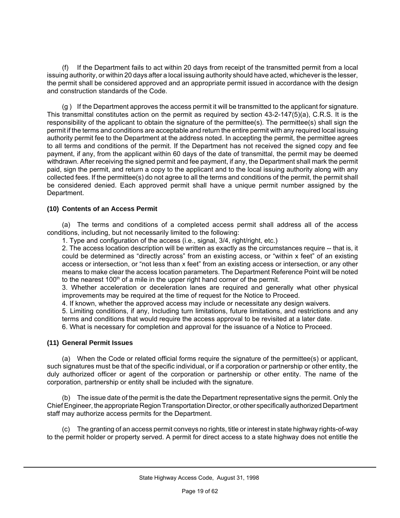(f) If the Department fails to act within 20 days from receipt of the transmitted permit from a local issuing authority, or within 20 days after a local issuing authority should have acted, whichever is the lesser, the permit shall be considered approved and an appropriate permit issued in accordance with the design and construction standards of the Code.

(g ) If the Department approves the access permit it will be transmitted to the applicant for signature. This transmittal constitutes action on the permit as required by section 43-2-147(5)(a), C.R.S. It is the responsibility of the applicant to obtain the signature of the permittee(s). The permittee(s) shall sign the permit if the terms and conditions are acceptable and return the entire permit with any required local issuing authority permit fee to the Department at the address noted. In accepting the permit, the permittee agrees to all terms and conditions of the permit. If the Department has not received the signed copy and fee payment, if any, from the applicant within 60 days of the date of transmittal, the permit may be deemed withdrawn. After receiving the signed permit and fee payment, if any, the Department shall mark the permit paid, sign the permit, and return a copy to the applicant and to the local issuing authority along with any collected fees. If the permittee(s) do not agree to all the terms and conditions of the permit, the permit shall be considered denied. Each approved permit shall have a unique permit number assigned by the Department.

#### **(10) Contents of an Access Permit**

(a) The terms and conditions of a completed access permit shall address all of the access conditions, including, but not necessarily limited to the following:

1. Type and configuration of the access (i.e., signal, 3/4, right/right, etc.)

2. The access location description will be written as exactly as the circumstances require -- that is, it could be determined as "directly across" from an existing access, or "within x feet" of an existing access or intersection, or "not less than x feet" from an existing access or intersection, or any other means to make clear the access location parameters. The Department Reference Point will be noted to the nearest  $100<sup>th</sup>$  of a mile in the upper right hand corner of the permit.

3. Whether acceleration or deceleration lanes are required and generally what other physical improvements may be required at the time of request for the Notice to Proceed.

4. If known, whether the approved access may include or necessitate any design waivers.

5. Limiting conditions, if any, Including turn limitations, future limitations, and restrictions and any terms and conditions that would require the access approval to be revisited at a later date.

6. What is necessary for completion and approval for the issuance of a Notice to Proceed.

#### **(11) General Permit Issues**

(a) When the Code or related official forms require the signature of the permittee(s) or applicant, such signatures must be that of the specific individual, or if a corporation or partnership or other entity, the duly authorized officer or agent of the corporation or partnership or other entity. The name of the corporation, partnership or entity shall be included with the signature.

(b) The issue date of the permit is the date the Department representative signs the permit. Only the Chief Engineer, the appropriate Region Transportation Director, or other specifically authorized Department staff may authorize access permits for the Department.

(c) The granting of an access permit conveys no rights, title or interest in state highway rights-of-way to the permit holder or property served. A permit for direct access to a state highway does not entitle the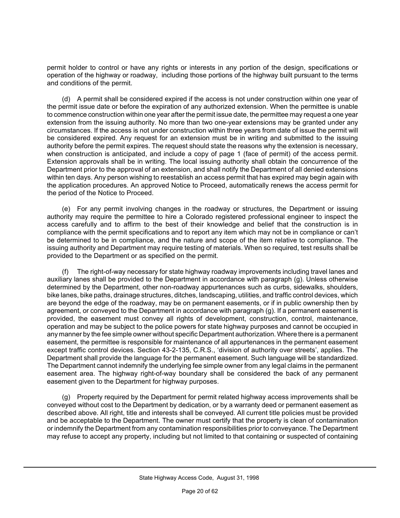permit holder to control or have any rights or interests in any portion of the design, specifications or operation of the highway or roadway, including those portions of the highway built pursuant to the terms and conditions of the permit.

(d) A permit shall be considered expired if the access is not under construction within one year of the permit issue date or before the expiration of any authorized extension. When the permittee is unable to commence construction within one year after the permit issue date, the permittee may request a one year extension from the issuing authority. No more than two one-year extensions may be granted under any circumstances. If the access is not under construction within three years from date of issue the permit will be considered expired. Any request for an extension must be in writing and submitted to the issuing authority before the permit expires. The request should state the reasons why the extension is necessary, when construction is anticipated, and include a copy of page 1 (face of permit) of the access permit. Extension approvals shall be in writing. The local issuing authority shall obtain the concurrence of the Department prior to the approval of an extension, and shall notify the Department of all denied extensions within ten days. Any person wishing to reestablish an access permit that has expired may begin again with the application procedures. An approved Notice to Proceed, automatically renews the access permit for the period of the Notice to Proceed.

(e) For any permit involving changes in the roadway or structures, the Department or issuing authority may require the permittee to hire a Colorado registered professional engineer to inspect the access carefully and to affirm to the best of their knowledge and belief that the construction is in compliance with the permit specifications and to report any item which may not be in compliance or can't be determined to be in compliance, and the nature and scope of the item relative to compliance. The issuing authority and Department may require testing of materials. When so required, test results shall be provided to the Department or as specified on the permit.

(f) The right-of-way necessary for state highway roadway improvements including travel lanes and auxiliary lanes shall be provided to the Department in accordance with paragraph (g). Unless otherwise determined by the Department, other non-roadway appurtenances such as curbs, sidewalks, shoulders, bike lanes, bike paths, drainage structures, ditches, landscaping, utilities, and traffic control devices, which are beyond the edge of the roadway, may be on permanent easements, or if in public ownership then by agreement, or conveved to the Department in accordance with paragraph (g). If a permanent easement is provided, the easement must convey all rights of development, construction, control, maintenance, operation and may be subject to the police powers for state highway purposes and cannot be occupied in any manner by the fee simple owner without specific Department authorization. Where there is a permanent easement, the permittee is responsible for maintenance of all appurtenances in the permanent easement except traffic control devices. Section 43-2-135, C.R.S., 'division of authority over streets', applies. The Department shall provide the language for the permanent easement. Such language will be standardized. The Department cannot indemnify the underlying fee simple owner from any legal claims in the permanent easement area. The highway right-of-way boundary shall be considered the back of any permanent easement given to the Department for highway purposes.

(g) Property required by the Department for permit related highway access improvements shall be conveyed without cost to the Department by dedication, or by a warranty deed or permanent easement as described above. All right, title and interests shall be conveyed. All current title policies must be provided and be acceptable to the Department. The owner must certify that the property is clean of contamination or indemnify the Department from any contamination responsibilities prior to conveyance. The Department may refuse to accept any property, including but not limited to that containing or suspected of containing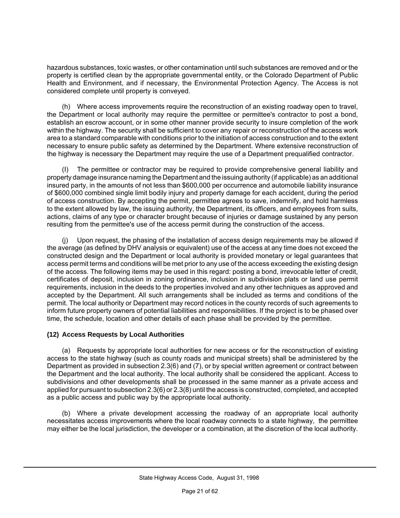hazardous substances, toxic wastes, or other contamination until such substances are removed and or the property is certified clean by the appropriate governmental entity, or the Colorado Department of Public Health and Environment, and if necessary, the Environmental Protection Agency. The Access is not considered complete until property is conveyed.

(h) Where access improvements require the reconstruction of an existing roadway open to travel, the Department or local authority may require the permittee or permittee's contractor to post a bond, establish an escrow account, or in some other manner provide security to insure completion of the work within the highway. The security shall be sufficient to cover any repair or reconstruction of the access work area to a standard comparable with conditions prior to the initiation of access construction and to the extent necessary to ensure public safety as determined by the Department. Where extensive reconstruction of the highway is necessary the Department may require the use of a Department prequalified contractor.

(I) The permittee or contractor may be required to provide comprehensive general liability and property damage insurance naming the Department and the issuing authority (if applicable) as an additional insured party, in the amounts of not less than \$600,000 per occurrence and automobile liability insurance of \$600,000 combined single limit bodily injury and property damage for each accident, during the period of access construction. By accepting the permit, permittee agrees to save, indemnify, and hold harmless to the extent allowed by law, the issuing authority, the Department, its officers, and employees from suits, actions, claims of any type or character brought because of injuries or damage sustained by any person resulting from the permittee's use of the access permit during the construction of the access.

(j) Upon request, the phasing of the installation of access design requirements may be allowed if the average (as defined by DHV analysis or equivalent) use of the access at any time does not exceed the constructed design and the Department or local authority is provided monetary or legal guarantees that access permit terms and conditions will be met prior to any use of the access exceeding the existing design of the access. The following items may be used in this regard: posting a bond, irrevocable letter of credit, certificates of deposit, inclusion in zoning ordinance, inclusion in subdivision plats or land use permit requirements, inclusion in the deeds to the properties involved and any other techniques as approved and accepted by the Department. All such arrangements shall be included as terms and conditions of the permit. The local authority or Department may record notices in the county records of such agreements to inform future property owners of potential liabilities and responsibilities. If the project is to be phased over time, the schedule, location and other details of each phase shall be provided by the permittee.

#### **(12) Access Requests by Local Authorities**

(a) Requests by appropriate local authorities for new access or for the reconstruction of existing access to the state highway (such as county roads and municipal streets) shall be administered by the Department as provided in subsection 2.3(6) and (7), or by special written agreement or contract between the Department and the local authority. The local authority shall be considered the applicant. Access to subdivisions and other developments shall be processed in the same manner as a private access and applied for pursuant to subsection 2.3(6) or 2.3(8) until the access is constructed, completed, and accepted as a public access and public way by the appropriate local authority.

(b) Where a private development accessing the roadway of an appropriate local authority necessitates access improvements where the local roadway connects to a state highway, the permittee may either be the local jurisdiction, the developer or a combination, at the discretion of the local authority.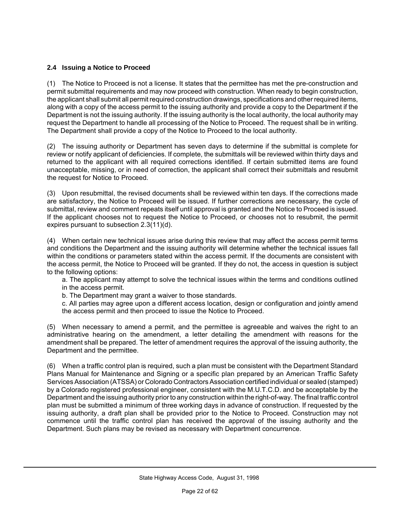#### **2.4 Issuing a Notice to Proceed**

(1) The Notice to Proceed is not a license. It states that the permittee has met the pre-construction and permit submittal requirements and may now proceed with construction. When ready to begin construction, the applicant shall submit all permit required construction drawings, specifications and other required items, along with a copy of the access permit to the issuing authority and provide a copy to the Department if the Department is not the issuing authority. If the issuing authority is the local authority, the local authority may request the Department to handle all processing of the Notice to Proceed. The request shall be in writing. The Department shall provide a copy of the Notice to Proceed to the local authority.

(2) The issuing authority or Department has seven days to determine if the submittal is complete for review or notify applicant of deficiencies. If complete, the submittals will be reviewed within thirty days and returned to the applicant with all required corrections identified. If certain submitted items are found unacceptable, missing, or in need of correction, the applicant shall correct their submittals and resubmit the request for Notice to Proceed.

(3) Upon resubmittal, the revised documents shall be reviewed within ten days. If the corrections made are satisfactory, the Notice to Proceed will be issued. If further corrections are necessary, the cycle of submittal, review and comment repeats itself until approval is granted and the Notice to Proceed is issued. If the applicant chooses not to request the Notice to Proceed, or chooses not to resubmit, the permit expires pursuant to subsection 2.3(11)(d).

(4) When certain new technical issues arise during this review that may affect the access permit terms and conditions the Department and the issuing authority will determine whether the technical issues fall within the conditions or parameters stated within the access permit. If the documents are consistent with the access permit, the Notice to Proceed will be granted. If they do not, the access in question is subject to the following options:

a. The applicant may attempt to solve the technical issues within the terms and conditions outlined in the access permit.

- b. The Department may grant a waiver to those standards.
- c. All parties may agree upon a different access location, design or configuration and jointly amend the access permit and then proceed to issue the Notice to Proceed.

(5) When necessary to amend a permit, and the permittee is agreeable and waives the right to an administrative hearing on the amendment, a letter detailing the amendment with reasons for the amendment shall be prepared. The letter of amendment requires the approval of the issuing authority, the Department and the permittee.

(6) When a traffic control plan is required, such a plan must be consistent with the Department Standard Plans Manual for Maintenance and Signing or a specific plan prepared by an American Traffic Safety Services Association (ATSSA) or Colorado Contractors Association certified individual or sealed (stamped) by a Colorado registered professional engineer, consistent with the M.U.T.C.D. and be acceptable by the Department and the issuing authority prior to any construction within the right-of-way. The final traffic control plan must be submitted a minimum of three working days in advance of construction. If requested by the issuing authority, a draft plan shall be provided prior to the Notice to Proceed. Construction may not commence until the traffic control plan has received the approval of the issuing authority and the Department. Such plans may be revised as necessary with Department concurrence.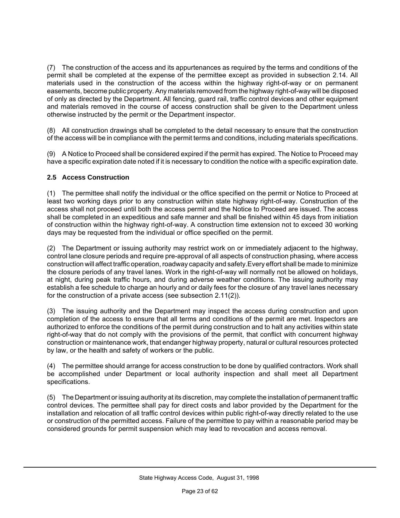(7) The construction of the access and its appurtenances as required by the terms and conditions of the permit shall be completed at the expense of the permittee except as provided in subsection 2.14. All materials used in the construction of the access within the highway right-of-way or on permanent easements, become public property. Any materials removed from the highway right-of-way will be disposed of only as directed by the Department. All fencing, guard rail, traffic control devices and other equipment and materials removed in the course of access construction shall be given to the Department unless otherwise instructed by the permit or the Department inspector.

(8) All construction drawings shall be completed to the detail necessary to ensure that the construction of the access will be in compliance with the permit terms and conditions, including materials specifications.

(9) A Notice to Proceed shall be considered expired if the permit has expired. The Notice to Proceed may have a specific expiration date noted if it is necessary to condition the notice with a specific expiration date.

#### **2.5 Access Construction**

(1) The permittee shall notify the individual or the office specified on the permit or Notice to Proceed at least two working days prior to any construction within state highway right-of-way. Construction of the access shall not proceed until both the access permit and the Notice to Proceed are issued. The access shall be completed in an expeditious and safe manner and shall be finished within 45 days from initiation of construction within the highway right-of-way. A construction time extension not to exceed 30 working days may be requested from the individual or office specified on the permit.

(2) The Department or issuing authority may restrict work on or immediately adjacent to the highway, control lane closure periods and require pre-approval of all aspects of construction phasing, where access construction will affect traffic operation, roadway capacity and safety.Every effort shall be made to minimize the closure periods of any travel lanes. Work in the right-of-way will normally not be allowed on holidays, at night, during peak traffic hours, and during adverse weather conditions. The issuing authority may establish a fee schedule to charge an hourly and or daily fees for the closure of any travel lanes necessary for the construction of a private access (see subsection 2.11(2)).

(3) The issuing authority and the Department may inspect the access during construction and upon completion of the access to ensure that all terms and conditions of the permit are met. Inspectors are authorized to enforce the conditions of the permit during construction and to halt any activities within state right-of-way that do not comply with the provisions of the permit, that conflict with concurrent highway construction or maintenance work, that endanger highway property, natural or cultural resources protected by law, or the health and safety of workers or the public.

(4) The permittee should arrange for access construction to be done by qualified contractors. Work shall be accomplished under Department or local authority inspection and shall meet all Department specifications.

(5) The Department or issuing authority at its discretion, may complete the installation of permanent traffic control devices. The permittee shall pay for direct costs and labor provided by the Department for the installation and relocation of all traffic control devices within public right-of-way directly related to the use or construction of the permitted access. Failure of the permittee to pay within a reasonable period may be considered grounds for permit suspension which may lead to revocation and access removal.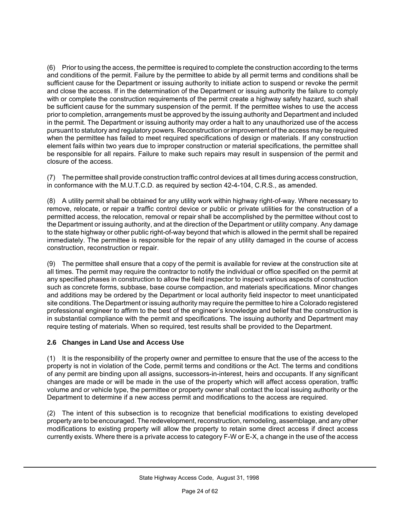(6) Prior to using the access, the permittee is required to complete the construction according to the terms and conditions of the permit. Failure by the permittee to abide by all permit terms and conditions shall be sufficient cause for the Department or issuing authority to initiate action to suspend or revoke the permit and close the access. If in the determination of the Department or issuing authority the failure to comply with or complete the construction requirements of the permit create a highway safety hazard, such shall be sufficient cause for the summary suspension of the permit. If the permittee wishes to use the access prior to completion, arrangements must be approved by the issuing authority and Department and included in the permit. The Department or issuing authority may order a halt to any unauthorized use of the access pursuant to statutory and regulatory powers. Reconstruction or improvement of the access may be required when the permittee has failed to meet required specifications of design or materials. If any construction element fails within two years due to improper construction or material specifications, the permittee shall be responsible for all repairs. Failure to make such repairs may result in suspension of the permit and closure of the access.

(7) The permittee shall provide construction traffic control devices at all times during access construction, in conformance with the M.U.T.C.D. as required by section 42-4-104, C.R.S., as amended.

(8) A utility permit shall be obtained for any utility work within highway right-of-way. Where necessary to remove, relocate, or repair a traffic control device or public or private utilities for the construction of a permitted access, the relocation, removal or repair shall be accomplished by the permittee without cost to the Department or issuing authority, and at the direction of the Department or utility company. Any damage to the state highway or other public right-of-way beyond that which is allowed in the permit shall be repaired immediately. The permittee is responsible for the repair of any utility damaged in the course of access construction, reconstruction or repair.

(9) The permittee shall ensure that a copy of the permit is available for review at the construction site at all times. The permit may require the contractor to notify the individual or office specified on the permit at any specified phases in construction to allow the field inspector to inspect various aspects of construction such as concrete forms, subbase, base course compaction, and materials specifications. Minor changes and additions may be ordered by the Department or local authority field inspector to meet unanticipated site conditions. The Department or issuing authority may require the permittee to hire a Colorado registered professional engineer to affirm to the best of the engineer's knowledge and belief that the construction is in substantial compliance with the permit and specifications. The issuing authority and Department may require testing of materials. When so required, test results shall be provided to the Department.

#### **2.6 Changes in Land Use and Access Use**

(1) It is the responsibility of the property owner and permittee to ensure that the use of the access to the property is not in violation of the Code, permit terms and conditions or the Act. The terms and conditions of any permit are binding upon all assigns, successors-in-interest, heirs and occupants. If any significant changes are made or will be made in the use of the property which will affect access operation, traffic volume and or vehicle type, the permittee or property owner shall contact the local issuing authority or the Department to determine if a new access permit and modifications to the access are required.

(2) The intent of this subsection is to recognize that beneficial modifications to existing developed property are to be encouraged. The redevelopment, reconstruction, remodeling, assemblage, and any other modifications to existing property will allow the property to retain some direct access if direct access currently exists. Where there is a private access to category F-W or E-X, a change in the use of the access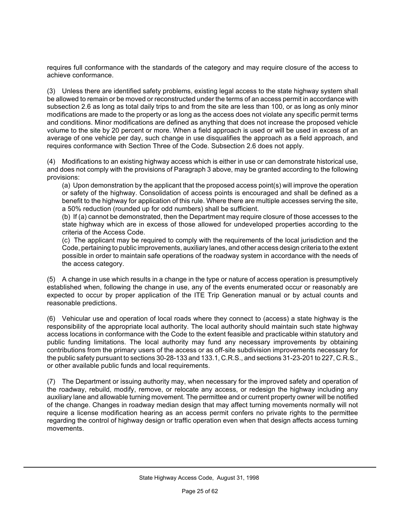requires full conformance with the standards of the category and may require closure of the access to achieve conformance.

(3) Unless there are identified safety problems, existing legal access to the state highway system shall be allowed to remain or be moved or reconstructed under the terms of an access permit in accordance with subsection 2.6 as long as total daily trips to and from the site are less than 100, or as long as only minor modifications are made to the property or as long as the access does not violate any specific permit terms and conditions. Minor modifications are defined as anything that does not increase the proposed vehicle volume to the site by 20 percent or more. When a field approach is used or will be used in excess of an average of one vehicle per day, such change in use disqualifies the approach as a field approach, and requires conformance with Section Three of the Code. Subsection 2.6 does not apply.

(4) Modifications to an existing highway access which is either in use or can demonstrate historical use, and does not comply with the provisions of Paragraph 3 above, may be granted according to the following provisions:

(a) Upon demonstration by the applicant that the proposed access point(s) will improve the operation or safety of the highway. Consolidation of access points is encouraged and shall be defined as a benefit to the highway for application of this rule. Where there are multiple accesses serving the site, a 50% reduction (rounded up for odd numbers) shall be sufficient.

(b) If (a) cannot be demonstrated, then the Department may require closure of those accesses to the state highway which are in excess of those allowed for undeveloped properties according to the criteria of the Access Code.

(c) The applicant may be required to comply with the requirements of the local jurisdiction and the Code, pertaining to public improvements, auxiliary lanes, and other access design criteria to the extent possible in order to maintain safe operations of the roadway system in accordance with the needs of the access category.

(5) A change in use which results in a change in the type or nature of access operation is presumptively established when, following the change in use, any of the events enumerated occur or reasonably are expected to occur by proper application of the ITE Trip Generation manual or by actual counts and reasonable predictions.

(6) Vehicular use and operation of local roads where they connect to (access) a state highway is the responsibility of the appropriate local authority. The local authority should maintain such state highway access locations in conformance with the Code to the extent feasible and practicable within statutory and public funding limitations. The local authority may fund any necessary improvements by obtaining contributions from the primary users of the access or as off-site subdivision improvements necessary for the public safety pursuant to sections 30-28-133 and 133.1, C.R.S., and sections 31-23-201 to 227, C.R.S., or other available public funds and local requirements.

(7) The Department or issuing authority may, when necessary for the improved safety and operation of the roadway, rebuild, modify, remove, or relocate any access, or redesign the highway including any auxiliary lane and allowable turning movement. The permittee and or current property owner will be notified of the change. Changes in roadway median design that may affect turning movements normally will not require a license modification hearing as an access permit confers no private rights to the permittee regarding the control of highway design or traffic operation even when that design affects access turning movements.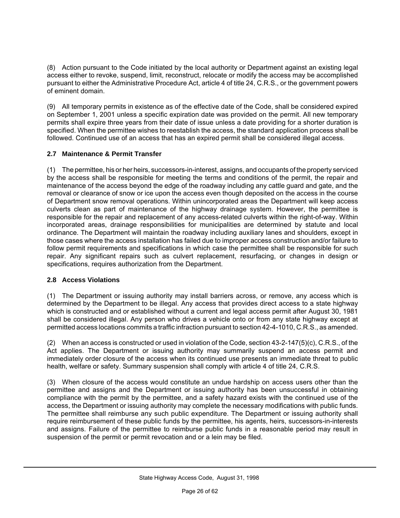(8) Action pursuant to the Code initiated by the local authority or Department against an existing legal access either to revoke, suspend, limit, reconstruct, relocate or modify the access may be accomplished pursuant to either the Administrative Procedure Act, article 4 of title 24, C.R.S., or the government powers of eminent domain.

(9) All temporary permits in existence as of the effective date of the Code, shall be considered expired on September 1, 2001 unless a specific expiration date was provided on the permit. All new temporary permits shall expire three years from their date of issue unless a date providing for a shorter duration is specified. When the permittee wishes to reestablish the access, the standard application process shall be followed. Continued use of an access that has an expired permit shall be considered illegal access.

#### **2.7 Maintenance & Permit Transfer**

(1) The permittee, his or her heirs, successors-in-interest, assigns, and occupants of the property serviced by the access shall be responsible for meeting the terms and conditions of the permit, the repair and maintenance of the access beyond the edge of the roadway including any cattle guard and gate, and the removal or clearance of snow or ice upon the access even though deposited on the access in the course of Department snow removal operations. Within unincorporated areas the Department will keep access culverts clean as part of maintenance of the highway drainage system. However, the permittee is responsible for the repair and replacement of any access-related culverts within the right-of-way. Within incorporated areas, drainage responsibilities for municipalities are determined by statute and local ordinance. The Department will maintain the roadway including auxiliary lanes and shoulders, except in those cases where the access installation has failed due to improper access construction and/or failure to follow permit requirements and specifications in which case the permittee shall be responsible for such repair. Any significant repairs such as culvert replacement, resurfacing, or changes in design or specifications, requires authorization from the Department.

#### **2.8 Access Violations**

(1) The Department or issuing authority may install barriers across, or remove, any access which is determined by the Department to be illegal. Any access that provides direct access to a state highway which is constructed and or established without a current and legal access permit after August 30, 1981 shall be considered illegal. Any person who drives a vehicle onto or from any state highway except at permitted access locations commits a traffic infraction pursuant to section 42-4-1010, C.R.S., as amended.

(2) When an access is constructed or used in violation of the Code, section 43-2-147(5)(c), C.R.S., of the Act applies. The Department or issuing authority may summarily suspend an access permit and immediately order closure of the access when its continued use presents an immediate threat to public health, welfare or safety. Summary suspension shall comply with article 4 of title 24, C.R.S.

(3) When closure of the access would constitute an undue hardship on access users other than the permittee and assigns and the Department or issuing authority has been unsuccessful in obtaining compliance with the permit by the permittee, and a safety hazard exists with the continued use of the access, the Department or issuing authority may complete the necessary modifications with public funds. The permittee shall reimburse any such public expenditure. The Department or issuing authority shall require reimbursement of these public funds by the permittee, his agents, heirs, successors-in-interests and assigns. Failure of the permittee to reimburse public funds in a reasonable period may result in suspension of the permit or permit revocation and or a lein may be filed.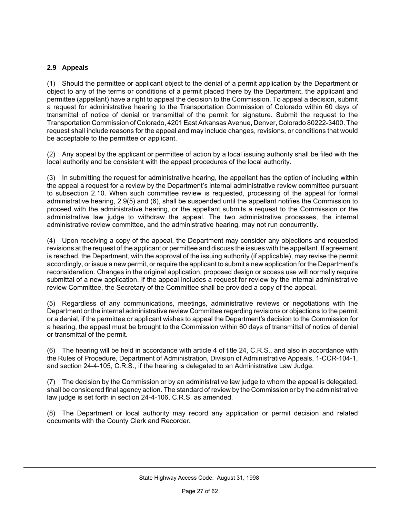#### **2.9 Appeals**

(1) Should the permittee or applicant object to the denial of a permit application by the Department or object to any of the terms or conditions of a permit placed there by the Department, the applicant and permittee (appellant) have a right to appeal the decision to the Commission. To appeal a decision, submit a request for administrative hearing to the Transportation Commission of Colorado within 60 days of transmittal of notice of denial or transmittal of the permit for signature. Submit the request to the Transportation Commission of Colorado, 4201 East Arkansas Avenue, Denver, Colorado 80222-3400. The request shall include reasons for the appeal and may include changes, revisions, or conditions that would be acceptable to the permittee or applicant.

(2) Any appeal by the applicant or permittee of action by a local issuing authority shall be filed with the local authority and be consistent with the appeal procedures of the local authority.

(3) In submitting the request for administrative hearing, the appellant has the option of including within the appeal a request for a review by the Department's internal administrative review committee pursuant to subsection 2.10. When such committee review is requested, processing of the appeal for formal administrative hearing, 2.9(5) and (6), shall be suspended until the appellant notifies the Commission to proceed with the administrative hearing, or the appellant submits a request to the Commission or the administrative law judge to withdraw the appeal. The two administrative processes, the internal administrative review committee, and the administrative hearing, may not run concurrently.

(4) Upon receiving a copy of the appeal, the Department may consider any objections and requested revisions at the request of the applicant or permittee and discuss the issues with the appellant. If agreement is reached, the Department, with the approval of the issuing authority (if applicable), may revise the permit accordingly, or issue a new permit, or require the applicant to submit a new application for the Department's reconsideration. Changes in the original application, proposed design or access use will normally require submittal of a new application. If the appeal includes a request for review by the internal administrative review Committee, the Secretary of the Committee shall be provided a copy of the appeal.

(5) Regardless of any communications, meetings, administrative reviews or negotiations with the Department or the internal administrative review Committee regarding revisions or objections to the permit or a denial, if the permittee or applicant wishes to appeal the Department's decision to the Commission for a hearing, the appeal must be brought to the Commission within 60 days of transmittal of notice of denial or transmittal of the permit.

(6) The hearing will be held in accordance with article 4 of title 24, C.R.S., and also in accordance with the Rules of Procedure, Department of Administration, Division of Administrative Appeals, 1-CCR-104-1, and section 24-4-105, C.R.S., if the hearing is delegated to an Administrative Law Judge.

(7) The decision by the Commission or by an administrative law judge to whom the appeal is delegated, shall be considered final agency action. The standard of review by the Commission or by the administrative law judge is set forth in section 24-4-106, C.R.S. as amended.

(8) The Department or local authority may record any application or permit decision and related documents with the County Clerk and Recorder.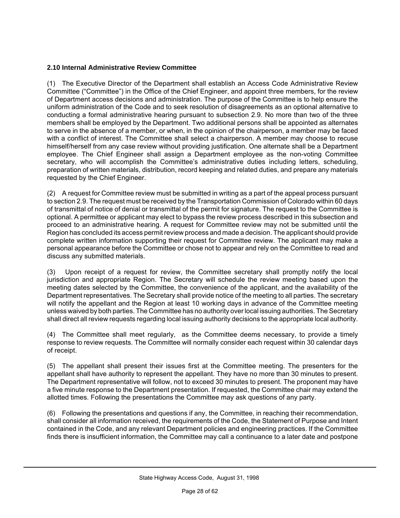#### **2.10 Internal Administrative Review Committee**

(1) The Executive Director of the Department shall establish an Access Code Administrative Review Committee ("Committee") in the Office of the Chief Engineer, and appoint three members, for the review of Department access decisions and administration. The purpose of the Committee is to help ensure the uniform administration of the Code and to seek resolution of disagreements as an optional alternative to conducting a formal administrative hearing pursuant to subsection 2.9. No more than two of the three members shall be employed by the Department. Two additional persons shall be appointed as alternates to serve in the absence of a member, or when, in the opinion of the chairperson, a member may be faced with a conflict of interest. The Committee shall select a chairperson. A member may choose to recuse himself/herself from any case review without providing justification. One alternate shall be a Department employee. The Chief Engineer shall assign a Department employee as the non-voting Committee secretary, who will accomplish the Committee's administrative duties including letters, scheduling, preparation of written materials, distribution, record keeping and related duties, and prepare any materials requested by the Chief Engineer.

(2) A request for Committee review must be submitted in writing as a part of the appeal process pursuant to section 2.9. The request must be received by the Transportation Commission of Colorado within 60 days of transmittal of notice of denial or transmittal of the permit for signature. The request to the Committee is optional. A permittee or applicant may elect to bypass the review process described in this subsection and proceed to an administrative hearing. A request for Committee review may not be submitted until the Region has concluded its access permit review process and made a decision. The applicant should provide complete written information supporting their request for Committee review. The applicant may make a personal appearance before the Committee or chose not to appear and rely on the Committee to read and discuss any submitted materials.

(3) Upon receipt of a request for review, the Committee secretary shall promptly notify the local jurisdiction and appropriate Region. The Secretary will schedule the review meeting based upon the meeting dates selected by the Committee, the convenience of the applicant, and the availability of the Department representatives. The Secretary shall provide notice of the meeting to all parties. The secretary will notify the appellant and the Region at least 10 working days in advance of the Committee meeting unless waived by both parties. The Committee has no authority over local issuing authorities. The Secretary shall direct all review requests regarding local issuing authority decisions to the appropriate local authority.

(4) The Committee shall meet regularly, as the Committee deems necessary, to provide a timely response to review requests. The Committee will normally consider each request within 30 calendar days of receipt.

(5) The appellant shall present their issues first at the Committee meeting. The presenters for the appellant shall have authority to represent the appellant. They have no more than 30 minutes to present. The Department representative will follow, not to exceed 30 minutes to present. The proponent may have a five minute response to the Department presentation. If requested, the Committee chair may extend the allotted times. Following the presentations the Committee may ask questions of any party.

(6) Following the presentations and questions if any, the Committee, in reaching their recommendation, shall consider all information received, the requirements of the Code, the Statement of Purpose and Intent contained in the Code, and any relevant Department policies and engineering practices. If the Committee finds there is insufficient information, the Committee may call a continuance to a later date and postpone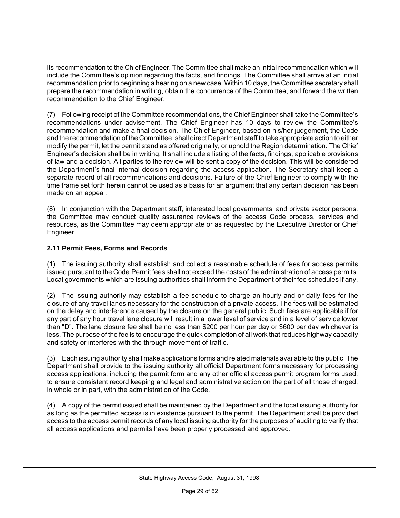its recommendation to the Chief Engineer. The Committee shall make an initial recommendation which will include the Committee's opinion regarding the facts, and findings. The Committee shall arrive at an initial recommendation prior to beginning a hearing on a new case. Within 10 days, the Committee secretary shall prepare the recommendation in writing, obtain the concurrence of the Committee, and forward the written recommendation to the Chief Engineer.

(7) Following receipt of the Committee recommendations, the Chief Engineer shall take the Committee's recommendations under advisement. The Chief Engineer has 10 days to review the Committee's recommendation and make a final decision. The Chief Engineer, based on his/her judgement, the Code and the recommendation of the Committee, shall direct Department staff to take appropriate action to either modify the permit, let the permit stand as offered originally, or uphold the Region determination. The Chief Engineer's decision shall be in writing. It shall include a listing of the facts, findings, applicable provisions of law and a decision. All parties to the review will be sent a copy of the decision. This will be considered the Department's final internal decision regarding the access application. The Secretary shall keep a separate record of all recommendations and decisions. Failure of the Chief Engineer to comply with the time frame set forth herein cannot be used as a basis for an argument that any certain decision has been made on an appeal.

(8) In conjunction with the Department staff, interested local governments, and private sector persons, the Committee may conduct quality assurance reviews of the access Code process, services and resources, as the Committee may deem appropriate or as requested by the Executive Director or Chief Engineer.

#### **2.11 Permit Fees, Forms and Records**

(1) The issuing authority shall establish and collect a reasonable schedule of fees for access permits issued pursuant to the Code. Permit fees shall not exceed the costs of the administration of access permits. Local governments which are issuing authorities shall inform the Department of their fee schedules if any.

(2) The issuing authority may establish a fee schedule to charge an hourly and or daily fees for the closure of any travel lanes necessary for the construction of a private access. The fees will be estimated on the delay and interference caused by the closure on the general public. Such fees are applicable if for any part of any hour travel lane closure will result in a lower level of service and in a level of service lower than "D". The lane closure fee shall be no less than \$200 per hour per day or \$600 per day whichever is less. The purpose of the fee is to encourage the quick completion of all work that reduces highway capacity and safety or interferes with the through movement of traffic.

(3) Each issuing authority shall make applications forms and related materials available to the public. The Department shall provide to the issuing authority all official Department forms necessary for processing access applications, including the permit form and any other official access permit program forms used, to ensure consistent record keeping and legal and administrative action on the part of all those charged, in whole or in part, with the administration of the Code.

(4) A copy of the permit issued shall be maintained by the Department and the local issuing authority for as long as the permitted access is in existence pursuant to the permit. The Department shall be provided access to the access permit records of any local issuing authority for the purposes of auditing to verify that all access applications and permits have been properly processed and approved.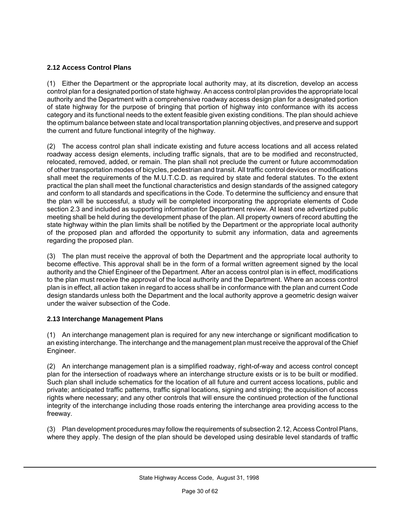#### **2.12 Access Control Plans**

(1) Either the Department or the appropriate local authority may, at its discretion, develop an access control plan for a designated portion of state highway. An access control plan provides the appropriate local authority and the Department with a comprehensive roadway access design plan for a designated portion of state highway for the purpose of bringing that portion of highway into conformance with its access category and its functional needs to the extent feasible given existing conditions. The plan should achieve the optimum balance between state and local transportation planning objectives, and preserve and support the current and future functional integrity of the highway.

(2) The access control plan shall indicate existing and future access locations and all access related roadway access design elements, including traffic signals, that are to be modified and reconstructed, relocated, removed, added, or remain. The plan shall not preclude the current or future accommodation of other transportation modes of bicycles, pedestrian and transit. All traffic control devices or modifications shall meet the requirements of the M.U.T.C.D. as required by state and federal statutes. To the extent practical the plan shall meet the functional characteristics and design standards of the assigned category and conform to all standards and specifications in the Code. To determine the sufficiency and ensure that the plan will be successful, a study will be completed incorporating the appropriate elements of Code section 2.3 and included as supporting information for Department review. At least one advertized public meeting shall be held during the development phase of the plan. All property owners of record abutting the state highway within the plan limits shall be notified by the Department or the appropriate local authority of the proposed plan and afforded the opportunity to submit any information, data and agreements regarding the proposed plan.

(3) The plan must receive the approval of both the Department and the appropriate local authority to become effective. This approval shall be in the form of a formal written agreement signed by the local authority and the Chief Engineer of the Department. After an access control plan is in effect, modifications to the plan must receive the approval of the local authority and the Department. Where an access control plan is in effect, all action taken in regard to access shall be in conformance with the plan and current Code design standards unless both the Department and the local authority approve a geometric design waiver under the waiver subsection of the Code.

#### **2.13 Interchange Management Plans**

(1) An interchange management plan is required for any new interchange or significant modification to an existing interchange. The interchange and the management plan must receive the approval of the Chief Engineer.

(2) An interchange management plan is a simplified roadway, right-of-way and access control concept plan for the intersection of roadways where an interchange structure exists or is to be built or modified. Such plan shall include schematics for the location of all future and current access locations, public and private; anticipated traffic patterns, traffic signal locations, signing and striping; the acquisition of access rights where necessary; and any other controls that will ensure the continued protection of the functional integrity of the interchange including those roads entering the interchange area providing access to the freeway.

(3) Plan development procedures may follow the requirements of subsection 2.12, Access Control Plans, where they apply. The design of the plan should be developed using desirable level standards of traffic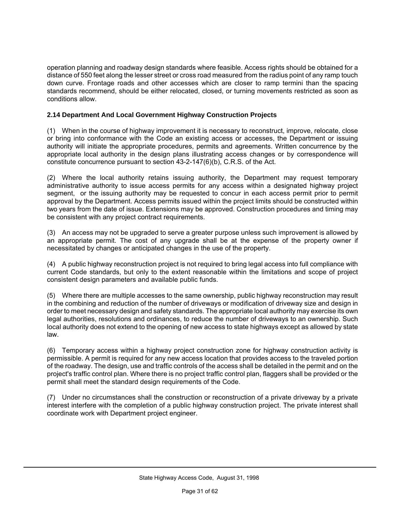operation planning and roadway design standards where feasible. Access rights should be obtained for a distance of 550 feet along the lesser street or cross road measured from the radius point of any ramp touch down curve. Frontage roads and other accesses which are closer to ramp termini than the spacing standards recommend, should be either relocated, closed, or turning movements restricted as soon as conditions allow.

#### **2.14 Department And Local Government Highway Construction Projects**

(1) When in the course of highway improvement it is necessary to reconstruct, improve, relocate, close or bring into conformance with the Code an existing access or accesses, the Department or issuing authority will initiate the appropriate procedures, permits and agreements. Written concurrence by the appropriate local authority in the design plans illustrating access changes or by correspondence will constitute concurrence pursuant to section 43-2-147(6)(b), C.R.S. of the Act.

(2) Where the local authority retains issuing authority, the Department may request temporary administrative authority to issue access permits for any access within a designated highway project segment, or the issuing authority may be requested to concur in each access permit prior to permit approval by the Department. Access permits issued within the project limits should be constructed within two years from the date of issue. Extensions may be approved. Construction procedures and timing may be consistent with any project contract requirements.

(3) An access may not be upgraded to serve a greater purpose unless such improvement is allowed by an appropriate permit. The cost of any upgrade shall be at the expense of the property owner if necessitated by changes or anticipated changes in the use of the property.

(4) A public highway reconstruction project is not required to bring legal access into full compliance with current Code standards, but only to the extent reasonable within the limitations and scope of project consistent design parameters and available public funds.

(5) Where there are multiple accesses to the same ownership, public highway reconstruction may result in the combining and reduction of the number of driveways or modification of driveway size and design in order to meet necessary design and safety standards. The appropriate local authority may exercise its own legal authorities, resolutions and ordinances, to reduce the number of driveways to an ownership. Such local authority does not extend to the opening of new access to state highways except as allowed by state law.

(6) Temporary access within a highway project construction zone for highway construction activity is permissible. A permit is required for any new access location that provides access to the traveled portion of the roadway. The design, use and traffic controls of the access shall be detailed in the permit and on the project's traffic control plan. Where there is no project traffic control plan, flaggers shall be provided or the permit shall meet the standard design requirements of the Code.

(7) Under no circumstances shall the construction or reconstruction of a private driveway by a private interest interfere with the completion of a public highway construction project. The private interest shall coordinate work with Department project engineer.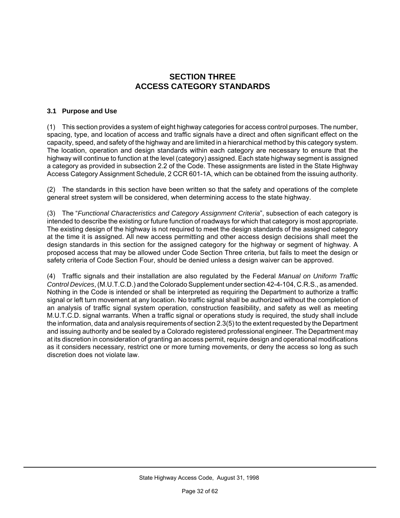#### **SECTION THREE ACCESS CATEGORY STANDARDS**

#### **3.1 Purpose and Use**

(1) This section provides a system of eight highway categories for access control purposes. The number, spacing, type, and location of access and traffic signals have a direct and often significant effect on the capacity, speed, and safety of the highway and are limited in a hierarchical method by this category system. The location, operation and design standards within each category are necessary to ensure that the highway will continue to function at the level (category) assigned. Each state highway segment is assigned a category as provided in subsection 2.2 of the Code. These assignments are listed in the State Highway Access Category Assignment Schedule, 2 CCR 601-1A, which can be obtained from the issuing authority.

(2) The standards in this section have been written so that the safety and operations of the complete general street system will be considered, when determining access to the state highway.

(3) The "*Functional Characteristics and Category Assignment Criteria*", subsection of each category is intended to describe the existing or future function of roadways for which that category is most appropriate. The existing design of the highway is not required to meet the design standards of the assigned category at the time it is assigned. All new access permitting and other access design decisions shall meet the design standards in this section for the assigned category for the highway or segment of highway. A proposed access that may be allowed under Code Section Three criteria, but fails to meet the design or safety criteria of Code Section Four, should be denied unless a design waiver can be approved.

(4) Traffic signals and their installation are also regulated by the Federal *Manual on Uniform Traffic Control Devices*, (M.U.T.C.D.) and the Colorado Supplement under section 42-4-104, C.R.S., as amended. Nothing in the Code is intended or shall be interpreted as requiring the Department to authorize a traffic signal or left turn movement at any location. No traffic signal shall be authorized without the completion of an analysis of traffic signal system operation, construction feasibility, and safety as well as meeting M.U.T.C.D. signal warrants. When a traffic signal or operations study is required, the study shall include the information, data and analysis requirements of section 2.3(5) to the extent requested by the Department and issuing authority and be sealed by a Colorado registered professional engineer. The Department may at its discretion in consideration of granting an access permit, require design and operational modifications as it considers necessary, restrict one or more turning movements, or deny the access so long as such discretion does not violate law.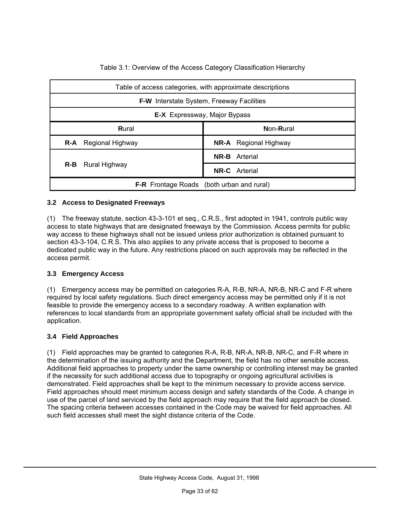| Table of access categories, with approximate descriptions |                              |  |  |  |  |  |
|-----------------------------------------------------------|------------------------------|--|--|--|--|--|
| <b>F-W</b> Interstate System, Freeway Facilities          |                              |  |  |  |  |  |
| <b>E-X</b> Expressway, Major Bypass                       |                              |  |  |  |  |  |
| Rural                                                     | Non-Rural                    |  |  |  |  |  |
| R-A<br>Regional Highway                                   | <b>NR-A</b> Regional Highway |  |  |  |  |  |
|                                                           | <b>NR-B</b> Arterial         |  |  |  |  |  |
| $R-B$<br>Rural Highway                                    | <b>NR-C</b> Arterial         |  |  |  |  |  |
| <b>F-R</b> Frontage Roads (both urban and rural)          |                              |  |  |  |  |  |

Table 3.1: Overview of the Access Category Classification Hierarchy

#### **3.2 Access to Designated Freeways**

(1) The freeway statute, section 43-3-101 et seq., C.R.S., first adopted in 1941, controls public way access to state highways that are designated freeways by the Commission. Access permits for public way access to these highways shall not be issued unless prior authorization is obtained pursuant to section 43-3-104, C.R.S. This also applies to any private access that is proposed to become a dedicated public way in the future. Any restrictions placed on such approvals may be reflected in the access permit.

#### **3.3 Emergency Access**

(1) Emergency access may be permitted on categories R-A, R-B, NR-A, NR-B, NR-C and F-R where required by local safety regulations. Such direct emergency access may be permitted only if it is not feasible to provide the emergency access to a secondary roadway. A written explanation with references to local standards from an appropriate government safety official shall be included with the application.

#### **3.4 Field Approaches**

(1) Field approaches may be granted to categories R-A, R-B, NR-A, NR-B, NR-C, and F-R where in the determination of the issuing authority and the Department, the field has no other sensible access. Additional field approaches to property under the same ownership or controlling interest may be granted if the necessity for such additional access due to topography or ongoing agricultural activities is demonstrated. Field approaches shall be kept to the minimum necessary to provide access service. Field approaches should meet minimum access design and safety standards of the Code. A change in use of the parcel of land serviced by the field approach may require that the field approach be closed. The spacing criteria between accesses contained in the Code may be waived for field approaches. All such field accesses shall meet the sight distance criteria of the Code.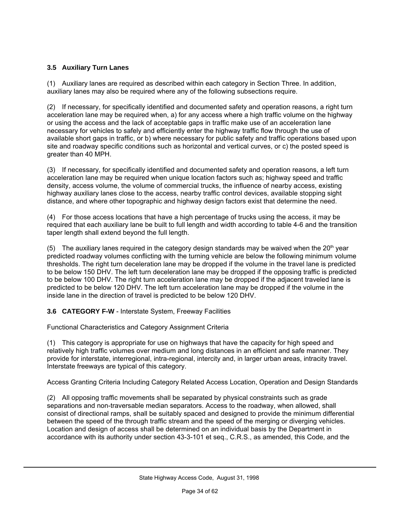#### **3.5 Auxiliary Turn Lanes**

(1) Auxiliary lanes are required as described within each category in Section Three. In addition, auxiliary lanes may also be required where any of the following subsections require.

(2) If necessary, for specifically identified and documented safety and operation reasons, a right turn acceleration lane may be required when, a) for any access where a high traffic volume on the highway or using the access and the lack of acceptable gaps in traffic make use of an acceleration lane necessary for vehicles to safely and efficiently enter the highway traffic flow through the use of available short gaps in traffic, or b) where necessary for public safety and traffic operations based upon site and roadway specific conditions such as horizontal and vertical curves, or c) the posted speed is greater than 40 MPH.

(3) If necessary, for specifically identified and documented safety and operation reasons, a left turn acceleration lane may be required when unique location factors such as; highway speed and traffic density, access volume, the volume of commercial trucks, the influence of nearby access, existing highway auxiliary lanes close to the access, nearby traffic control devices, available stopping sight distance, and where other topographic and highway design factors exist that determine the need.

(4) For those access locations that have a high percentage of trucks using the access, it may be required that each auxiliary lane be built to full length and width according to table 4-6 and the transition taper length shall extend beyond the full length.

(5) The auxiliary lanes required in the category design standards may be waived when the  $20<sup>th</sup>$  year predicted roadway volumes conflicting with the turning vehicle are below the following minimum volume thresholds. The right turn deceleration lane may be dropped if the volume in the travel lane is predicted to be below 150 DHV. The left turn deceleration lane may be dropped if the opposing traffic is predicted to be below 100 DHV. The right turn acceleration lane may be dropped if the adjacent traveled lane is predicted to be below 120 DHV. The left turn acceleration lane may be dropped if the volume in the inside lane in the direction of travel is predicted to be below 120 DHV.

**3.6 CATEGORY F-W** - Interstate System, Freeway Facilities

Functional Characteristics and Category Assignment Criteria

(1) This category is appropriate for use on highways that have the capacity for high speed and relatively high traffic volumes over medium and long distances in an efficient and safe manner. They provide for interstate, interregional, intra-regional, intercity and, in larger urban areas, intracity travel. Interstate freeways are typical of this category.

Access Granting Criteria Including Category Related Access Location, Operation and Design Standards

(2) All opposing traffic movements shall be separated by physical constraints such as grade separations and non-traversable median separators. Access to the roadway, when allowed, shall consist of directional ramps, shall be suitably spaced and designed to provide the minimum differential between the speed of the through traffic stream and the speed of the merging or diverging vehicles. Location and design of access shall be determined on an individual basis by the Department in accordance with its authority under section 43-3-101 et seq., C.R.S., as amended, this Code, and the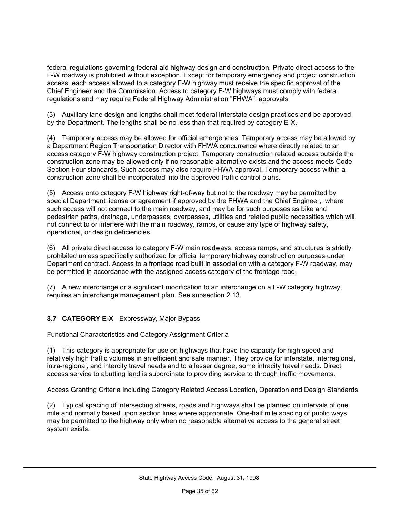federal regulations governing federal-aid highway design and construction. Private direct access to the F-W roadway is prohibited without exception. Except for temporary emergency and project construction access, each access allowed to a category F-W highway must receive the specific approval of the Chief Engineer and the Commission. Access to category F-W highways must comply with federal regulations and may require Federal Highway Administration "FHWA", approvals.

(3) Auxiliary lane design and lengths shall meet federal Interstate design practices and be approved by the Department. The lengths shall be no less than that required by category E-X.

(4) Temporary access may be allowed for official emergencies. Temporary access may be allowed by a Department Region Transportation Director with FHWA concurrence where directly related to an access category F-W highway construction project. Temporary construction related access outside the construction zone may be allowed only if no reasonable alternative exists and the access meets Code Section Four standards. Such access may also require FHWA approval. Temporary access within a construction zone shall be incorporated into the approved traffic control plans.

(5) Access onto category F-W highway right-of-way but not to the roadway may be permitted by special Department license or agreement if approved by the FHWA and the Chief Engineer, where such access will not connect to the main roadway, and may be for such purposes as bike and pedestrian paths, drainage, underpasses, overpasses, utilities and related public necessities which will not connect to or interfere with the main roadway, ramps, or cause any type of highway safety, operational, or design deficiencies.

(6) All private direct access to category F-W main roadways, access ramps, and structures is strictly prohibited unless specifically authorized for official temporary highway construction purposes under Department contract. Access to a frontage road built in association with a category F-W roadway, may be permitted in accordance with the assigned access category of the frontage road.

(7) A new interchange or a significant modification to an interchange on a F-W category highway, requires an interchange management plan. See subsection 2.13.

#### **3.7 CATEGORY E-X** - Expressway, Major Bypass

Functional Characteristics and Category Assignment Criteria

(1) This category is appropriate for use on highways that have the capacity for high speed and relatively high traffic volumes in an efficient and safe manner. They provide for interstate, interregional, intra-regional, and intercity travel needs and to a lesser degree, some intracity travel needs. Direct access service to abutting land is subordinate to providing service to through traffic movements.

Access Granting Criteria Including Category Related Access Location, Operation and Design Standards

(2) Typical spacing of intersecting streets, roads and highways shall be planned on intervals of one mile and normally based upon section lines where appropriate. One-half mile spacing of public ways may be permitted to the highway only when no reasonable alternative access to the general street system exists.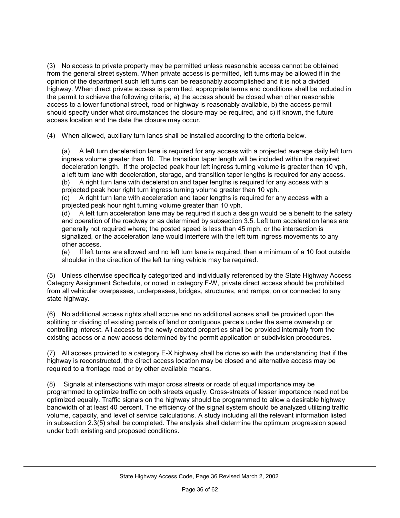(3) No access to private property may be permitted unless reasonable access cannot be obtained from the general street system. When private access is permitted, left turns may be allowed if in the opinion of the department such left turns can be reasonably accomplished and it is not a divided highway. When direct private access is permitted, appropriate terms and conditions shall be included in the permit to achieve the following criteria; a) the access should be closed when other reasonable access to a lower functional street, road or highway is reasonably available, b) the access permit should specify under what circumstances the closure may be required, and c) if known, the future access location and the date the closure may occur.

(4) When allowed, auxiliary turn lanes shall be installed according to the criteria below.

(a) A left turn deceleration lane is required for any access with a projected average daily left turn ingress volume greater than 10. The transition taper length will be included within the required deceleration length. If the projected peak hour left ingress turning volume is greater than 10 vph, a left turn lane with deceleration, storage, and transition taper lengths is required for any access. (b) A right turn lane with deceleration and taper lengths is required for any access with a

projected peak hour right turn ingress turning volume greater than 10 vph.

(c) A right turn lane with acceleration and taper lengths is required for any access with a projected peak hour right turning volume greater than 10 vph.

(d) A left turn acceleration lane may be required if such a design would be a benefit to the safety and operation of the roadway or as determined by subsection 3.5. Left turn acceleration lanes are generally not required where; the posted speed is less than 45 mph, or the intersection is signalized, or the acceleration lane would interfere with the left turn ingress movements to any other access.

(e) If left turns are allowed and no left turn lane is required, then a minimum of a 10 foot outside shoulder in the direction of the left turning vehicle may be required.

(5) Unless otherwise specifically categorized and individually referenced by the State Highway Access Category Assignment Schedule, or noted in category F-W, private direct access should be prohibited from all vehicular overpasses, underpasses, bridges, structures, and ramps, on or connected to any state highway.

(6) No additional access rights shall accrue and no additional access shall be provided upon the splitting or dividing of existing parcels of land or contiguous parcels under the same ownership or controlling interest. All access to the newly created properties shall be provided internally from the existing access or a new access determined by the permit application or subdivision procedures.

(7) All access provided to a category E-X highway shall be done so with the understanding that if the highway is reconstructed, the direct access location may be closed and alternative access may be required to a frontage road or by other available means.

(8) Signals at intersections with major cross streets or roads of equal importance may be programmed to optimize traffic on both streets equally. Cross-streets of lesser importance need not be optimized equally. Traffic signals on the highway should be programmed to allow a desirable highway bandwidth of at least 40 percent. The efficiency of the signal system should be analyzed utilizing traffic volume, capacity, and level of service calculations. A study including all the relevant information listed in subsection 2.3(5) shall be completed. The analysis shall determine the optimum progression speed under both existing and proposed conditions.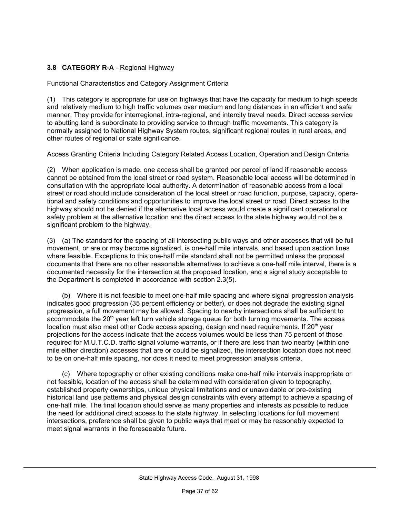#### **3.8 CATEGORY R-A** - Regional Highway

Functional Characteristics and Category Assignment Criteria

(1) This category is appropriate for use on highways that have the capacity for medium to high speeds and relatively medium to high traffic volumes over medium and long distances in an efficient and safe manner. They provide for interregional, intra-regional, and intercity travel needs. Direct access service to abutting land is subordinate to providing service to through traffic movements. This category is normally assigned to National Highway System routes, significant regional routes in rural areas, and other routes of regional or state significance.

Access Granting Criteria Including Category Related Access Location, Operation and Design Criteria

(2) When application is made, one access shall be granted per parcel of land if reasonable access cannot be obtained from the local street or road system. Reasonable local access will be determined in consultation with the appropriate local authority. A determination of reasonable access from a local street or road should include consideration of the local street or road function, purpose, capacity, operational and safety conditions and opportunities to improve the local street or road. Direct access to the highway should not be denied if the alternative local access would create a significant operational or safety problem at the alternative location and the direct access to the state highway would not be a significant problem to the highway.

(3) (a) The standard for the spacing of all intersecting public ways and other accesses that will be full movement, or are or may become signalized, is one-half mile intervals, and based upon section lines where feasible. Exceptions to this one-half mile standard shall not be permitted unless the proposal documents that there are no other reasonable alternatives to achieve a one-half mile interval, there is a documented necessity for the intersection at the proposed location, and a signal study acceptable to the Department is completed in accordance with section 2.3(5).

(b) Where it is not feasible to meet one-half mile spacing and where signal progression analysis indicates good progression (35 percent efficiency or better), or does not degrade the existing signal progression, a full movement may be allowed. Spacing to nearby intersections shall be sufficient to accommodate the  $20<sup>th</sup>$  year left turn vehicle storage queue for both turning movements. The access location must also meet other Code access spacing, design and need requirements. If  $20<sup>th</sup>$  year projections for the access indicate that the access volumes would be less than 75 percent of those required for M.U.T.C.D. traffic signal volume warrants, or if there are less than two nearby (within one mile either direction) accesses that are or could be signalized, the intersection location does not need to be on one-half mile spacing, nor does it need to meet progression analysis criteria.

(c) Where topography or other existing conditions make one-half mile intervals inappropriate or not feasible, location of the access shall be determined with consideration given to topography, established property ownerships, unique physical limitations and or unavoidable or pre-existing historical land use patterns and physical design constraints with every attempt to achieve a spacing of one-half mile. The final location should serve as many properties and interests as possible to reduce the need for additional direct access to the state highway. In selecting locations for full movement intersections, preference shall be given to public ways that meet or may be reasonably expected to meet signal warrants in the foreseeable future.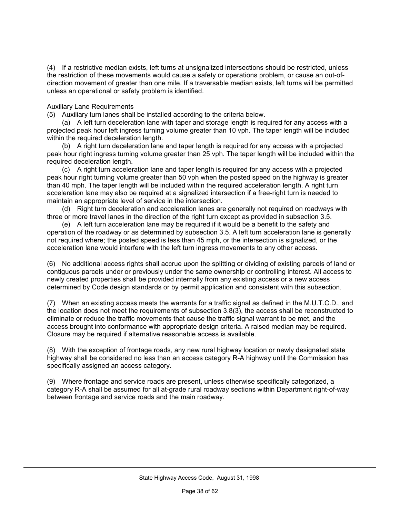(4) If a restrictive median exists, left turns at unsignalized intersections should be restricted, unless the restriction of these movements would cause a safety or operations problem, or cause an out-ofdirection movement of greater than one mile. If a traversable median exists, left turns will be permitted unless an operational or safety problem is identified.

Auxiliary Lane Requirements

(5) Auxiliary turn lanes shall be installed according to the criteria below.

(a) A left turn deceleration lane with taper and storage length is required for any access with a projected peak hour left ingress turning volume greater than 10 vph. The taper length will be included within the required deceleration length.

(b) A right turn deceleration lane and taper length is required for any access with a projected peak hour right ingress turning volume greater than 25 vph. The taper length will be included within the required deceleration length.

(c) A right turn acceleration lane and taper length is required for any access with a projected peak hour right turning volume greater than 50 vph when the posted speed on the highway is greater than 40 mph. The taper length will be included within the required acceleration length. A right turn acceleration lane may also be required at a signalized intersection if a free-right turn is needed to maintain an appropriate level of service in the intersection.

(d) Right turn deceleration and acceleration lanes are generally not required on roadways with three or more travel lanes in the direction of the right turn except as provided in subsection 3.5.

(e) A left turn acceleration lane may be required if it would be a benefit to the safety and operation of the roadway or as determined by subsection 3.5. A left turn acceleration lane is generally not required where; the posted speed is less than 45 mph, or the intersection is signalized, or the acceleration lane would interfere with the left turn ingress movements to any other access.

(6) No additional access rights shall accrue upon the splitting or dividing of existing parcels of land or contiguous parcels under or previously under the same ownership or controlling interest. All access to newly created properties shall be provided internally from any existing access or a new access determined by Code design standards or by permit application and consistent with this subsection.

(7) When an existing access meets the warrants for a traffic signal as defined in the M.U.T.C.D., and the location does not meet the requirements of subsection 3.8(3), the access shall be reconstructed to eliminate or reduce the traffic movements that cause the traffic signal warrant to be met, and the access brought into conformance with appropriate design criteria. A raised median may be required. Closure may be required if alternative reasonable access is available.

(8) With the exception of frontage roads, any new rural highway location or newly designated state highway shall be considered no less than an access category R-A highway until the Commission has specifically assigned an access category.

(9) Where frontage and service roads are present, unless otherwise specifically categorized, a category R-A shall be assumed for all at-grade rural roadway sections within Department right-of-way between frontage and service roads and the main roadway.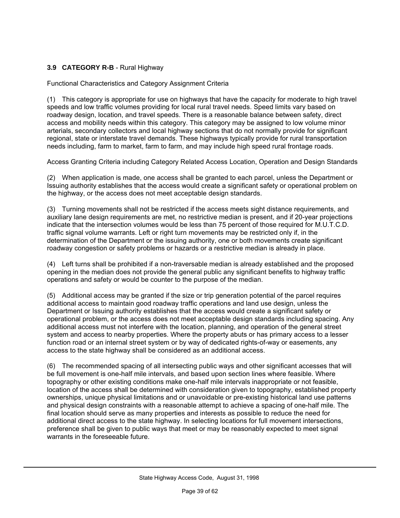#### **3.9 CATEGORY R-B** - Rural Highway

Functional Characteristics and Category Assignment Criteria

(1) This category is appropriate for use on highways that have the capacity for moderate to high travel speeds and low traffic volumes providing for local rural travel needs. Speed limits vary based on roadway design, location, and travel speeds. There is a reasonable balance between safety, direct access and mobility needs within this category. This category may be assigned to low volume minor arterials, secondary collectors and local highway sections that do not normally provide for significant regional, state or interstate travel demands. These highways typically provide for rural transportation needs including, farm to market, farm to farm, and may include high speed rural frontage roads.

Access Granting Criteria including Category Related Access Location, Operation and Design Standards

(2) When application is made, one access shall be granted to each parcel, unless the Department or Issuing authority establishes that the access would create a significant safety or operational problem on the highway, or the access does not meet acceptable design standards.

(3) Turning movements shall not be restricted if the access meets sight distance requirements, and auxiliary lane design requirements are met, no restrictive median is present, and if 20-year projections indicate that the intersection volumes would be less than 75 percent of those required for M.U.T.C.D. traffic signal volume warrants. Left or right turn movements may be restricted only if, in the determination of the Department or the issuing authority, one or both movements create significant roadway congestion or safety problems or hazards or a restrictive median is already in place.

(4) Left turns shall be prohibited if a non-traversable median is already established and the proposed opening in the median does not provide the general public any significant benefits to highway traffic operations and safety or would be counter to the purpose of the median.

(5) Additional access may be granted if the size or trip generation potential of the parcel requires additional access to maintain good roadway traffic operations and land use design, unless the Department or Issuing authority establishes that the access would create a significant safety or operational problem, or the access does not meet acceptable design standards including spacing. Any additional access must not interfere with the location, planning, and operation of the general street system and access to nearby properties. Where the property abuts or has primary access to a lesser function road or an internal street system or by way of dedicated rights-of-way or easements, any access to the state highway shall be considered as an additional access.

(6) The recommended spacing of all intersecting public ways and other significant accesses that will be full movement is one-half mile intervals, and based upon section lines where feasible. Where topography or other existing conditions make one-half mile intervals inappropriate or not feasible, location of the access shall be determined with consideration given to topography, established property ownerships, unique physical limitations and or unavoidable or pre-existing historical land use patterns and physical design constraints with a reasonable attempt to achieve a spacing of one-half mile. The final location should serve as many properties and interests as possible to reduce the need for additional direct access to the state highway. In selecting locations for full movement intersections, preference shall be given to public ways that meet or may be reasonably expected to meet signal warrants in the foreseeable future.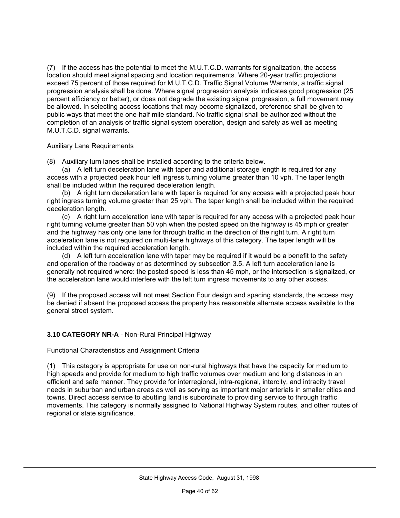(7) If the access has the potential to meet the M.U.T.C.D. warrants for signalization, the access location should meet signal spacing and location requirements. Where 20-year traffic projections exceed 75 percent of those required for M.U.T.C.D. Traffic Signal Volume Warrants, a traffic signal progression analysis shall be done. Where signal progression analysis indicates good progression (25 percent efficiency or better), or does not degrade the existing signal progression, a full movement may be allowed. In selecting access locations that may become signalized, preference shall be given to public ways that meet the one-half mile standard. No traffic signal shall be authorized without the completion of an analysis of traffic signal system operation, design and safety as well as meeting M.U.T.C.D. signal warrants.

#### Auxiliary Lane Requirements

(8) Auxiliary turn lanes shall be installed according to the criteria below.

(a) A left turn deceleration lane with taper and additional storage length is required for any access with a projected peak hour left ingress turning volume greater than 10 vph. The taper length shall be included within the required deceleration length.

(b) A right turn deceleration lane with taper is required for any access with a projected peak hour right ingress turning volume greater than 25 vph. The taper length shall be included within the required deceleration length.

(c) A right turn acceleration lane with taper is required for any access with a projected peak hour right turning volume greater than 50 vph when the posted speed on the highway is 45 mph or greater and the highway has only one lane for through traffic in the direction of the right turn. A right turn acceleration lane is not required on multi-lane highways of this category. The taper length will be included within the required acceleration length.

(d) A left turn acceleration lane with taper may be required if it would be a benefit to the safety and operation of the roadway or as determined by subsection 3.5. A left turn acceleration lane is generally not required where: the posted speed is less than 45 mph, or the intersection is signalized, or the acceleration lane would interfere with the left turn ingress movements to any other access.

(9) If the proposed access will not meet Section Four design and spacing standards, the access may be denied if absent the proposed access the property has reasonable alternate access available to the general street system.

#### **3.10 CATEGORY NR-A** - Non-Rural Principal Highway

Functional Characteristics and Assignment Criteria

(1) This category is appropriate for use on non-rural highways that have the capacity for medium to high speeds and provide for medium to high traffic volumes over medium and long distances in an efficient and safe manner. They provide for interregional, intra-regional, intercity, and intracity travel needs in suburban and urban areas as well as serving as important major arterials in smaller cities and towns. Direct access service to abutting land is subordinate to providing service to through traffic movements. This category is normally assigned to National Highway System routes, and other routes of regional or state significance.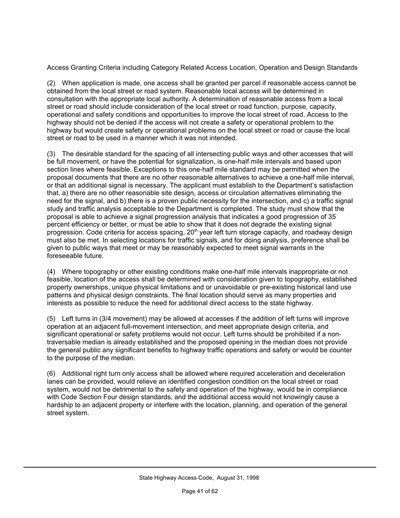Access Granting Criteria including Category Related Access Location, Operation and Design Standards

(2) When application is made, one access shall be granted per parcel if reasonable access cannot be obtained from the local street or road system. Reasonable local access will be determined in consultation with the appropriate local authority. A determination of reasonable access from a local street or road should include consideration of the local street or road function, purpose, capacity, operational and safety conditions and opportunities to improve the local street of road. Access to the highway should not be denied if the access will not create a safety or operational problem to the highway but would create safety or operational problems on the local street or road or cause the local street or road to be used in a manner which it was not intended.

(3) The desirable standard for the spacing of all intersecting public ways and other accesses that will be full movement, or have the potential for signalization, is one-half mile intervals and based upon section lines where feasible. Exceptions to this one-half mile standard may be permitted when the proposal documents that there are no other reasonable alternatives to achieve a one-half mile interval, or that an additional signal is necessary. The applicant must establish to the Department's satisfaction that, a) there are no other reasonable site design, access or circulation alternatives eliminating the need for the signal, and b) there is a proven public necessity for the intersection, and c) a traffic signal study and traffic analysis acceptable to the Department is completed. The study must show that the proposal is able to achieve a signal progression analysis that indicates a good progression of 35 percent efficiency or better, or must be able to show that it does not degrade the existing signal progression. Code criteria for access spacing, 20<sup>th</sup> year left turn storage capacity, and roadway design must also be met. In selecting locations for traffic signals, and for doing analysis, preference shall be given to public ways that meet or may be reasonably expected to meet signal warrants in the foreseeable future.

(4) Where topography or other existing conditions make one-half mile intervals inappropriate or not feasible, location of the access shall be determined with consideration given to topography, established property ownerships, unique physical limitations and or unavoidable or pre-existing historical land use patterns and physical design constraints. The final location should serve as many properties and interests as possible to reduce the need for additional direct access to the state highway.

(5) Left turns in (3/4 movement) may be allowed at accesses if the addition of left turns will improve operation at an adjacent full-movement intersection, and meet appropriate design criteria, and significant operational or safety problems would not occur. Left turns should be prohibited if a nontraversable median is already established and the proposed opening in the median does not provide the general public any significant benefits to highway traffic operations and safety or would be counter to the purpose of the median.

(6) Additional right turn only access shall be allowed where required acceleration and deceleration lanes can be provided, would relieve an identified congestion condition on the local street or road system, would not be detrimental to the safety and operation of the highway, would be in compliance with Code Section Four design standards, and the additional access would not knowingly cause a hardship to an adjacent property or interfere with the location, planning, and operation of the general street system.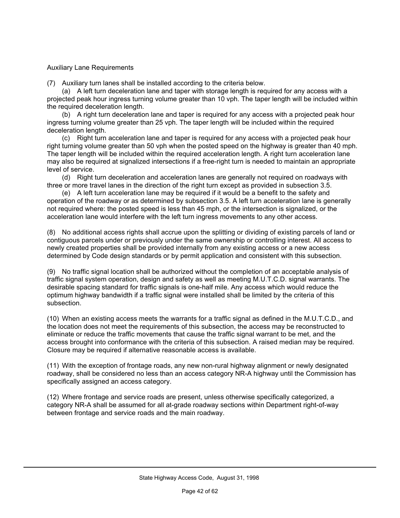#### Auxiliary Lane Requirements

(7) Auxiliary turn lanes shall be installed according to the criteria below.

(a) A left turn deceleration lane and taper with storage length is required for any access with a projected peak hour ingress turning volume greater than 10 vph. The taper length will be included within the required deceleration length.

(b) A right turn deceleration lane and taper is required for any access with a projected peak hour ingress turning volume greater than 25 vph. The taper length will be included within the required deceleration length.

(c) Right turn acceleration lane and taper is required for any access with a projected peak hour right turning volume greater than 50 vph when the posted speed on the highway is greater than 40 mph. The taper length will be included within the required acceleration length. A right turn acceleration lane may also be required at signalized intersections if a free-right turn is needed to maintain an appropriate level of service.

(d) Right turn deceleration and acceleration lanes are generally not required on roadways with three or more travel lanes in the direction of the right turn except as provided in subsection 3.5.

(e) A left turn acceleration lane may be required if it would be a benefit to the safety and operation of the roadway or as determined by subsection 3.5. A left turn acceleration lane is generally not required where: the posted speed is less than 45 mph, or the intersection is signalized, or the acceleration lane would interfere with the left turn ingress movements to any other access.

(8) No additional access rights shall accrue upon the splitting or dividing of existing parcels of land or contiguous parcels under or previously under the same ownership or controlling interest. All access to newly created properties shall be provided internally from any existing access or a new access determined by Code design standards or by permit application and consistent with this subsection.

(9) No traffic signal location shall be authorized without the completion of an acceptable analysis of traffic signal system operation, design and safety as well as meeting M.U.T.C.D. signal warrants. The desirable spacing standard for traffic signals is one-half mile. Any access which would reduce the optimum highway bandwidth if a traffic signal were installed shall be limited by the criteria of this subsection.

(10) When an existing access meets the warrants for a traffic signal as defined in the M.U.T.C.D., and the location does not meet the requirements of this subsection, the access may be reconstructed to eliminate or reduce the traffic movements that cause the traffic signal warrant to be met, and the access brought into conformance with the criteria of this subsection. A raised median may be required. Closure may be required if alternative reasonable access is available.

(11) With the exception of frontage roads, any new non-rural highway alignment or newly designated roadway, shall be considered no less than an access category NR-A highway until the Commission has specifically assigned an access category.

(12) Where frontage and service roads are present, unless otherwise specifically categorized, a category NR-A shall be assumed for all at-grade roadway sections within Department right-of-way between frontage and service roads and the main roadway.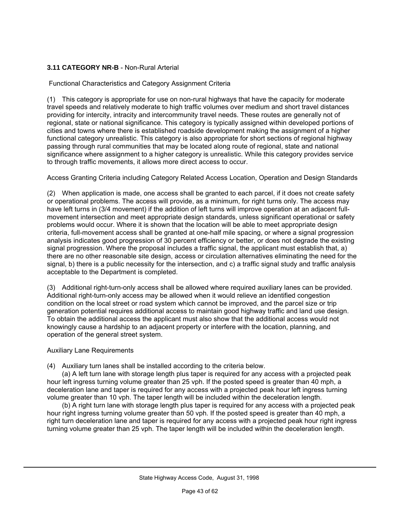#### **3.11 CATEGORY NR-B** - Non-Rural Arterial

Functional Characteristics and Category Assignment Criteria

(1) This category is appropriate for use on non-rural highways that have the capacity for moderate travel speeds and relatively moderate to high traffic volumes over medium and short travel distances providing for intercity, intracity and intercommunity travel needs. These routes are generally not of regional, state or national significance. This category is typically assigned within developed portions of cities and towns where there is established roadside development making the assignment of a higher functional category unrealistic. This category is also appropriate for short sections of regional highway passing through rural communities that may be located along route of regional, state and national significance where assignment to a higher category is unrealistic. While this category provides service to through traffic movements, it allows more direct access to occur.

Access Granting Criteria including Category Related Access Location, Operation and Design Standards

(2) When application is made, one access shall be granted to each parcel, if it does not create safety or operational problems. The access will provide, as a minimum, for right turns only. The access may have left turns in (3/4 movement) if the addition of left turns will improve operation at an adjacent fullmovement intersection and meet appropriate design standards, unless significant operational or safety problems would occur. Where it is shown that the location will be able to meet appropriate design criteria, full-movement access shall be granted at one-half mile spacing, or where a signal progression analysis indicates good progression of 30 percent efficiency or better, or does not degrade the existing signal progression. Where the proposal includes a traffic signal, the applicant must establish that, a) there are no other reasonable site design, access or circulation alternatives eliminating the need for the signal, b) there is a public necessity for the intersection, and c) a traffic signal study and traffic analysis acceptable to the Department is completed.

(3) Additional right-turn-only access shall be allowed where required auxiliary lanes can be provided. Additional right-turn-only access may be allowed when it would relieve an identified congestion condition on the local street or road system which cannot be improved, and the parcel size or trip generation potential requires additional access to maintain good highway traffic and land use design. To obtain the additional access the applicant must also show that the additional access would not knowingly cause a hardship to an adjacent property or interfere with the location, planning, and operation of the general street system.

Auxiliary Lane Requirements

(4) Auxiliary turn lanes shall be installed according to the criteria below.

(a) A left turn lane with storage length plus taper is required for any access with a projected peak hour left ingress turning volume greater than 25 vph. If the posted speed is greater than 40 mph, a deceleration lane and taper is required for any access with a projected peak hour left ingress turning volume greater than 10 vph. The taper length will be included within the deceleration length.

(b) A right turn lane with storage length plus taper is required for any access with a projected peak hour right ingress turning volume greater than 50 vph. If the posted speed is greater than 40 mph, a right turn deceleration lane and taper is required for any access with a projected peak hour right ingress turning volume greater than 25 vph. The taper length will be included within the deceleration length.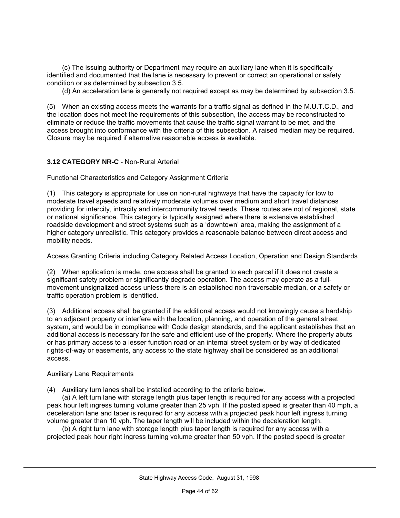(c) The issuing authority or Department may require an auxiliary lane when it is specifically identified and documented that the lane is necessary to prevent or correct an operational or safety condition or as determined by subsection 3.5.

(d) An acceleration lane is generally not required except as may be determined by subsection 3.5.

(5) When an existing access meets the warrants for a traffic signal as defined in the M.U.T.C.D., and the location does not meet the requirements of this subsection, the access may be reconstructed to eliminate or reduce the traffic movements that cause the traffic signal warrant to be met, and the access brought into conformance with the criteria of this subsection. A raised median may be required. Closure may be required if alternative reasonable access is available.

#### **3.12 CATEGORY NR-C** - Non-Rural Arterial

Functional Characteristics and Category Assignment Criteria

(1) This category is appropriate for use on non-rural highways that have the capacity for low to moderate travel speeds and relatively moderate volumes over medium and short travel distances providing for intercity, intracity and intercommunity travel needs. These routes are not of regional, state or national significance. This category is typically assigned where there is extensive established roadside development and street systems such as a 'downtown' area, making the assignment of a higher category unrealistic. This category provides a reasonable balance between direct access and mobility needs.

Access Granting Criteria including Category Related Access Location, Operation and Design Standards

(2) When application is made, one access shall be granted to each parcel if it does not create a significant safety problem or significantly degrade operation. The access may operate as a fullmovement unsignalized access unless there is an established non-traversable median, or a safety or traffic operation problem is identified.

(3) Additional access shall be granted if the additional access would not knowingly cause a hardship to an adjacent property or interfere with the location, planning, and operation of the general street system, and would be in compliance with Code design standards, and the applicant establishes that an additional access is necessary for the safe and efficient use of the property. Where the property abuts or has primary access to a lesser function road or an internal street system or by way of dedicated rights-of-way or easements, any access to the state highway shall be considered as an additional access.

#### Auxiliary Lane Requirements

(4) Auxiliary turn lanes shall be installed according to the criteria below.

(a) A left turn lane with storage length plus taper length is required for any access with a projected peak hour left ingress turning volume greater than 25 vph. If the posted speed is greater than 40 mph, a deceleration lane and taper is required for any access with a projected peak hour left ingress turning volume greater than 10 vph. The taper length will be included within the deceleration length.

(b) A right turn lane with storage length plus taper length is required for any access with a projected peak hour right ingress turning volume greater than 50 vph. If the posted speed is greater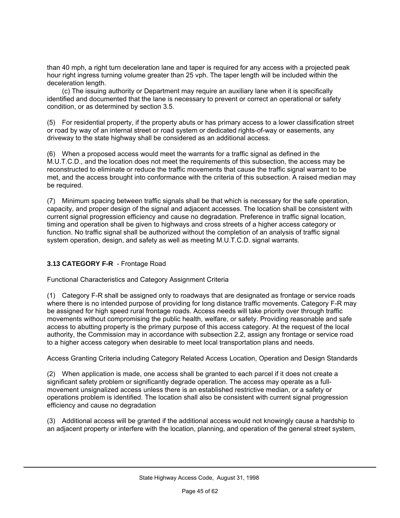than 40 mph, a right turn deceleration lane and taper is required for any access with a projected peak hour right ingress turning volume greater than 25 vph. The taper length will be included within the deceleration length.

(c) The issuing authority or Department may require an auxiliary lane when it is specifically identified and documented that the lane is necessary to prevent or correct an operational or safety condition, or as determined by section 3.5.

(5) For residential property, if the property abuts or has primary access to a lower classification street or road by way of an internal street or road system or dedicated rights-of-way or easements, any driveway to the state highway shall be considered as an additional access.

(6) When a proposed access would meet the warrants for a traffic signal as defined in the M.U.T.C.D., and the location does not meet the requirements of this subsection, the access may be reconstructed to eliminate or reduce the traffic movements that cause the traffic signal warrant to be met, and the access brought into conformance with the criteria of this subsection. A raised median may be required.

(7) Minimum spacing between traffic signals shall be that which is necessary for the safe operation, capacity, and proper design of the signal and adjacent accesses. The location shall be consistent with current signal progression efficiency and cause no degradation. Preference in traffic signal location, timing and operation shall be given to highways and cross streets of a higher access category or function. No traffic signal shall be authorized without the completion of an analysis of traffic signal system operation, design, and safety as well as meeting M.U.T.C.D. signal warrants.

#### **3.13 CATEGORY F-R** - Frontage Road

Functional Characteristics and Category Assignment Criteria

(1) Category F-R shall be assigned only to roadways that are designated as frontage or service roads where there is no intended purpose of providing for long distance traffic movements. Category F-R may be assigned for high speed rural frontage roads. Access needs will take priority over through traffic movements without compromising the public health, welfare, or safety. Providing reasonable and safe access to abutting property is the primary purpose of this access category. At the request of the local authority, the Commission may in accordance with subsection 2.2, assign any frontage or service road to a higher access category when desirable to meet local transportation plans and needs.

Access Granting Criteria including Category Related Access Location, Operation and Design Standards

(2) When application is made, one access shall be granted to each parcel if it does not create a significant safety problem or significantly degrade operation. The access may operate as a fullmovement unsignalized access unless there is an established restrictive median, or a safety or operations problem is identified. The location shall also be consistent with current signal progression efficiency and cause no degradation

(3) Additional access will be granted if the additional access would not knowingly cause a hardship to an adjacent property or interfere with the location, planning, and operation of the general street system,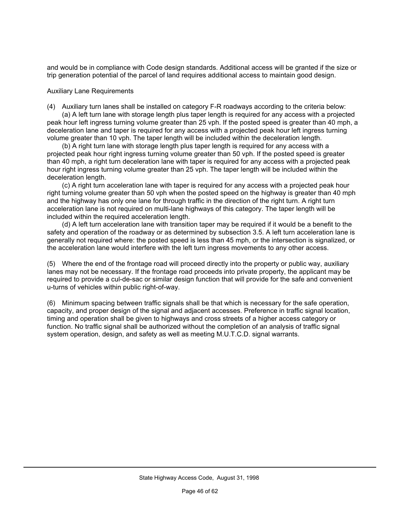and would be in compliance with Code design standards. Additional access will be granted if the size or trip generation potential of the parcel of land requires additional access to maintain good design.

#### Auxiliary Lane Requirements

(4) Auxiliary turn lanes shall be installed on category F-R roadways according to the criteria below:

(a) A left turn lane with storage length plus taper length is required for any access with a projected peak hour left ingress turning volume greater than 25 vph. If the posted speed is greater than 40 mph, a deceleration lane and taper is required for any access with a projected peak hour left ingress turning volume greater than 10 vph. The taper length will be included within the deceleration length.

(b) A right turn lane with storage length plus taper length is required for any access with a projected peak hour right ingress turning volume greater than 50 vph. If the posted speed is greater than 40 mph, a right turn deceleration lane with taper is required for any access with a projected peak hour right ingress turning volume greater than 25 vph. The taper length will be included within the deceleration length.

(c) A right turn acceleration lane with taper is required for any access with a projected peak hour right turning volume greater than 50 vph when the posted speed on the highway is greater than 40 mph and the highway has only one lane for through traffic in the direction of the right turn. A right turn acceleration lane is not required on multi-lane highways of this category. The taper length will be included within the required acceleration length.

(d) A left turn acceleration lane with transition taper may be required if it would be a benefit to the safety and operation of the roadway or as determined by subsection 3.5. A left turn acceleration lane is generally not required where: the posted speed is less than 45 mph, or the intersection is signalized, or the acceleration lane would interfere with the left turn ingress movements to any other access.

(5) Where the end of the frontage road will proceed directly into the property or public way, auxiliary lanes may not be necessary. If the frontage road proceeds into private property, the applicant may be required to provide a cul-de-sac or similar design function that will provide for the safe and convenient u-turns of vehicles within public right-of-way.

(6) Minimum spacing between traffic signals shall be that which is necessary for the safe operation, capacity, and proper design of the signal and adjacent accesses. Preference in traffic signal location, timing and operation shall be given to highways and cross streets of a higher access category or function. No traffic signal shall be authorized without the completion of an analysis of traffic signal system operation, design, and safety as well as meeting M.U.T.C.D. signal warrants.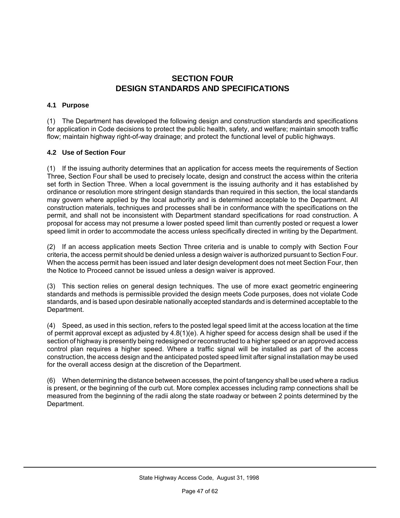#### **SECTION FOUR DESIGN STANDARDS AND SPECIFICATIONS**

#### **4.1 Purpose**

(1) The Department has developed the following design and construction standards and specifications for application in Code decisions to protect the public health, safety, and welfare; maintain smooth traffic flow; maintain highway right-of-way drainage; and protect the functional level of public highways.

#### **4.2 Use of Section Four**

(1) If the issuing authority determines that an application for access meets the requirements of Section Three, Section Four shall be used to precisely locate, design and construct the access within the criteria set forth in Section Three. When a local government is the issuing authority and it has established by ordinance or resolution more stringent design standards than required in this section, the local standards may govern where applied by the local authority and is determined acceptable to the Department. All construction materials, techniques and processes shall be in conformance with the specifications on the permit, and shall not be inconsistent with Department standard specifications for road construction. A proposal for access may not presume a lower posted speed limit than currently posted or request a lower speed limit in order to accommodate the access unless specifically directed in writing by the Department.

(2) If an access application meets Section Three criteria and is unable to comply with Section Four criteria, the access permit should be denied unless a design waiver is authorized pursuant to Section Four. When the access permit has been issued and later design development does not meet Section Four, then the Notice to Proceed cannot be issued unless a design waiver is approved.

(3) This section relies on general design techniques. The use of more exact geometric engineering standards and methods is permissible provided the design meets Code purposes, does not violate Code standards, and is based upon desirable nationally accepted standards and is determined acceptable to the Department.

(4) Speed, as used in this section, refers to the posted legal speed limit at the access location at the time of permit approval except as adjusted by 4.8(1)(e). A higher speed for access design shall be used if the section of highway is presently being redesigned or reconstructed to a higher speed or an approved access control plan requires a higher speed. Where a traffic signal will be installed as part of the access construction, the access design and the anticipated posted speed limit after signal installation may be used for the overall access design at the discretion of the Department.

(6) When determining the distance between accesses, the point of tangency shall be used where a radius is present, or the beginning of the curb cut. More complex accesses including ramp connections shall be measured from the beginning of the radii along the state roadway or between 2 points determined by the Department.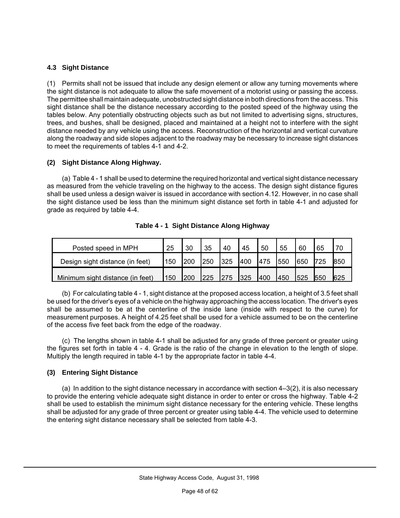#### **4.3 Sight Distance**

(1) Permits shall not be issued that include any design element or allow any turning movements where the sight distance is not adequate to allow the safe movement of a motorist using or passing the access. The permittee shall maintain adequate, unobstructed sight distance in both directions from the access. This sight distance shall be the distance necessary according to the posted speed of the highway using the tables below. Any potentially obstructing objects such as but not limited to advertising signs, structures, trees, and bushes, shall be designed, placed and maintained at a height not to interfere with the sight distance needed by any vehicle using the access. Reconstruction of the horizontal and vertical curvature along the roadway and side slopes adjacent to the roadway may be necessary to increase sight distances to meet the requirements of tables 4-1 and 4-2.

#### **(2) Sight Distance Along Highway.**

(a) Table 4 - 1 shall be used to determine the required horizontal and vertical sight distance necessary as measured from the vehicle traveling on the highway to the access. The design sight distance figures shall be used unless a design waiver is issued in accordance with section 4.12. However, in no case shall the sight distance used be less than the minimum sight distance set forth in table 4-1 and adjusted for grade as required by table 4-4.

| Posted speed in MPH              | 25  | 30  | 35  | 40         | 45  | 50  | 55  | 60  | 65  |     |
|----------------------------------|-----|-----|-----|------------|-----|-----|-----|-----|-----|-----|
| Design sight distance (in feet)  | 150 | 200 | 250 | 1325       | 400 | 475 | 550 | 650 |     | 850 |
| Minimum sight distance (in feet) | 150 | 200 | 225 | <b>275</b> | 325 | 400 | 450 | 525 | 550 | 625 |

**Table 4 - 1 Sight Distance Along Highway**

(b) For calculating table 4 - 1, sight distance at the proposed access location, a height of 3.5 feet shall be used for the driver's eyes of a vehicle on the highway approaching the access location. The driver's eyes shall be assumed to be at the centerline of the inside lane (inside with respect to the curve) for measurement purposes. A height of 4.25 feet shall be used for a vehicle assumed to be on the centerline of the access five feet back from the edge of the roadway.

(c) The lengths shown in table 4-1 shall be adjusted for any grade of three percent or greater using the figures set forth in table 4 - 4. Grade is the ratio of the change in elevation to the length of slope. Multiply the length required in table 4-1 by the appropriate factor in table 4-4.

#### **(3) Entering Sight Distance**

(a) In addition to the sight distance necessary in accordance with section 4–3(2), it is also necessary to provide the entering vehicle adequate sight distance in order to enter or cross the highway. Table 4-2 shall be used to establish the minimum sight distance necessary for the entering vehicle. These lengths shall be adjusted for any grade of three percent or greater using table 4-4. The vehicle used to determine the entering sight distance necessary shall be selected from table 4-3.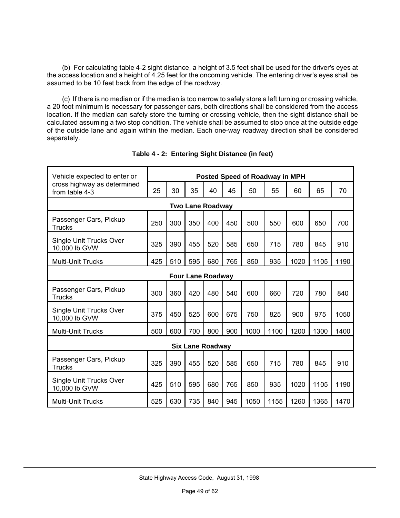(b) For calculating table 4-2 sight distance, a height of 3.5 feet shall be used for the driver's eyes at the access location and a height of 4.25 feet for the oncoming vehicle. The entering driver's eyes shall be assumed to be 10 feet back from the edge of the roadway.

(c) If there is no median or if the median is too narrow to safely store a left turning or crossing vehicle, a 20 foot minimum is necessary for passenger cars, both directions shall be considered from the access location. If the median can safely store the turning or crossing vehicle, then the sight distance shall be calculated assuming a two stop condition. The vehicle shall be assumed to stop once at the outside edge of the outside lane and again within the median. Each one-way roadway direction shall be considered separately.

| Vehicle expected to enter or<br>cross highway as determined<br>from table 4-3 |     | Posted Speed of Roadway in MPH |     |                         |     |      |      |      |      |      |  |
|-------------------------------------------------------------------------------|-----|--------------------------------|-----|-------------------------|-----|------|------|------|------|------|--|
|                                                                               |     | 30                             | 35  | 40                      | 45  | 50   | 55   | 60   | 65   | 70   |  |
| <b>Two Lane Roadway</b>                                                       |     |                                |     |                         |     |      |      |      |      |      |  |
| Passenger Cars, Pickup<br><b>Trucks</b>                                       | 250 | 300                            | 350 | 400                     | 450 | 500  | 550  | 600  | 650  | 700  |  |
| Single Unit Trucks Over<br>10,000 lb GVW                                      | 325 | 390                            | 455 | 520                     | 585 | 650  | 715  | 780  | 845  | 910  |  |
| <b>Multi-Unit Trucks</b>                                                      | 425 | 510                            | 595 | 680                     | 765 | 850  | 935  | 1020 | 1105 | 1190 |  |
| <b>Four Lane Roadway</b>                                                      |     |                                |     |                         |     |      |      |      |      |      |  |
| Passenger Cars, Pickup<br>Trucks                                              | 300 | 360                            | 420 | 480                     | 540 | 600  | 660  | 720  | 780  | 840  |  |
| Single Unit Trucks Over<br>10,000 lb GVW                                      | 375 | 450                            | 525 | 600                     | 675 | 750  | 825  | 900  | 975  | 1050 |  |
| <b>Multi-Unit Trucks</b>                                                      | 500 | 600                            | 700 | 800                     | 900 | 1000 | 1100 | 1200 | 1300 | 1400 |  |
|                                                                               |     |                                |     | <b>Six Lane Roadway</b> |     |      |      |      |      |      |  |
| Passenger Cars, Pickup<br><b>Trucks</b>                                       | 325 | 390                            | 455 | 520                     | 585 | 650  | 715  | 780  | 845  | 910  |  |
| Single Unit Trucks Over<br>10,000 lb GVW                                      | 425 | 510                            | 595 | 680                     | 765 | 850  | 935  | 1020 | 1105 | 1190 |  |
| <b>Multi-Unit Trucks</b>                                                      | 525 | 630                            | 735 | 840                     | 945 | 1050 | 1155 | 1260 | 1365 | 1470 |  |

| Table 4 - 2: Entering Sight Distance (in feet) |  |  |  |  |
|------------------------------------------------|--|--|--|--|
|------------------------------------------------|--|--|--|--|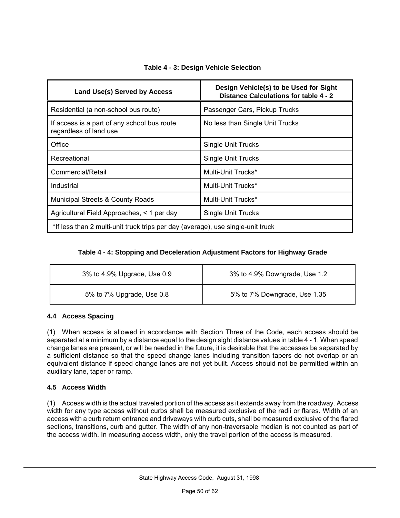| Land Use(s) Served by Access                                                    | Design Vehicle(s) to be Used for Sight<br>Distance Calculations for table 4 - 2 |  |  |  |  |
|---------------------------------------------------------------------------------|---------------------------------------------------------------------------------|--|--|--|--|
| Residential (a non-school bus route)                                            | Passenger Cars, Pickup Trucks                                                   |  |  |  |  |
| If access is a part of any school bus route<br>regardless of land use           | No less than Single Unit Trucks                                                 |  |  |  |  |
| Office                                                                          | <b>Single Unit Trucks</b>                                                       |  |  |  |  |
| Recreational                                                                    | <b>Single Unit Trucks</b>                                                       |  |  |  |  |
| Commercial/Retail                                                               | Multi-Unit Trucks*                                                              |  |  |  |  |
| Industrial                                                                      | Multi-Unit Trucks*                                                              |  |  |  |  |
| <b>Municipal Streets &amp; County Roads</b>                                     | Multi-Unit Trucks*                                                              |  |  |  |  |
| Agricultural Field Approaches, < 1 per day                                      | <b>Single Unit Trucks</b>                                                       |  |  |  |  |
| *If less than 2 multi-unit truck trips per day (average), use single-unit truck |                                                                                 |  |  |  |  |

#### **Table 4 - 3: Design Vehicle Selection**

#### **Table 4 - 4: Stopping and Deceleration Adjustment Factors for Highway Grade**

| 3% to 4.9% Upgrade, Use 0.9 | 3% to 4.9% Downgrade, Use 1.2 |
|-----------------------------|-------------------------------|
| 5% to 7% Upgrade, Use 0.8   | 5% to 7% Downgrade, Use 1.35  |

#### **4.4 Access Spacing**

(1) When access is allowed in accordance with Section Three of the Code, each access should be separated at a minimum by a distance equal to the design sight distance values in table 4 - 1. When speed change lanes are present, or will be needed in the future, it is desirable that the accesses be separated by a sufficient distance so that the speed change lanes including transition tapers do not overlap or an equivalent distance if speed change lanes are not yet built. Access should not be permitted within an auxiliary lane, taper or ramp.

#### **4.5 Access Width**

(1) Access width is the actual traveled portion of the access as it extends away from the roadway. Access width for any type access without curbs shall be measured exclusive of the radii or flares. Width of an access with a curb return entrance and driveways with curb cuts, shall be measured exclusive of the flared sections, transitions, curb and gutter. The width of any non-traversable median is not counted as part of the access width. In measuring access width, only the travel portion of the access is measured.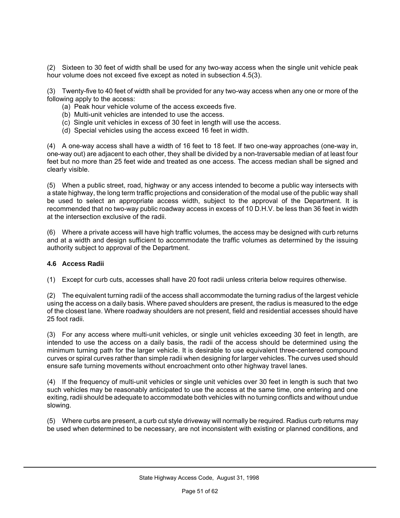(2) Sixteen to 30 feet of width shall be used for any two-way access when the single unit vehicle peak hour volume does not exceed five except as noted in subsection 4.5(3).

(3) Twenty-five to 40 feet of width shall be provided for any two-way access when any one or more of the following apply to the access:

- (a) Peak hour vehicle volume of the access exceeds five.
- (b) Multi-unit vehicles are intended to use the access.
- (c) Single unit vehicles in excess of 30 feet in length will use the access.
- (d) Special vehicles using the access exceed 16 feet in width.

(4) A one-way access shall have a width of 16 feet to 18 feet. If two one-way approaches (one-way in, one-way out) are adjacent to each other, they shall be divided by a non-traversable median of at least four feet but no more than 25 feet wide and treated as one access. The access median shall be signed and clearly visible.

(5) When a public street, road, highway or any access intended to become a public way intersects with a state highway, the long term traffic projections and consideration of the modal use of the public way shall be used to select an appropriate access width, subject to the approval of the Department. It is recommended that no two-way public roadway access in excess of 10 D.H.V. be less than 36 feet in width at the intersection exclusive of the radii.

(6) Where a private access will have high traffic volumes, the access may be designed with curb returns and at a width and design sufficient to accommodate the traffic volumes as determined by the issuing authority subject to approval of the Department.

#### **4.6 Access Radii**

(1) Except for curb cuts, accesses shall have 20 foot radii unless criteria below requires otherwise.

(2) The equivalent turning radii of the access shall accommodate the turning radius of the largest vehicle using the access on a daily basis. Where paved shoulders are present, the radius is measured to the edge of the closest lane. Where roadway shoulders are not present, field and residential accesses should have 25 foot radii.

(3) For any access where multi-unit vehicles, or single unit vehicles exceeding 30 feet in length, are intended to use the access on a daily basis, the radii of the access should be determined using the minimum turning path for the larger vehicle. It is desirable to use equivalent three-centered compound curves or spiral curves rather than simple radii when designing for larger vehicles. The curves used should ensure safe turning movements without encroachment onto other highway travel lanes.

(4) If the frequency of multi-unit vehicles or single unit vehicles over 30 feet in length is such that two such vehicles may be reasonably anticipated to use the access at the same time, one entering and one exiting, radii should be adequate to accommodate both vehicles with no turning conflicts and without undue slowing.

(5) Where curbs are present, a curb cut style driveway will normally be required. Radius curb returns may be used when determined to be necessary, are not inconsistent with existing or planned conditions, and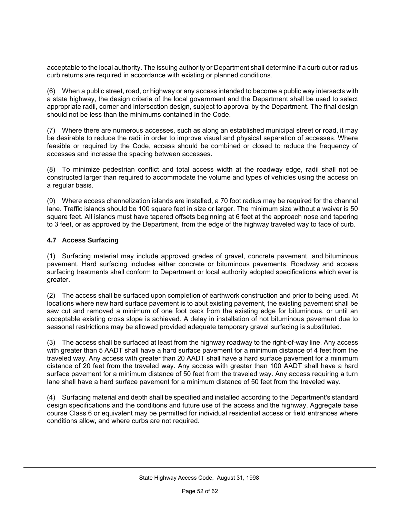acceptable to the local authority. The issuing authority or Department shall determine if a curb cut or radius curb returns are required in accordance with existing or planned conditions.

(6) When a public street, road, or highway or any access intended to become a public way intersects with a state highway, the design criteria of the local government and the Department shall be used to select appropriate radii, corner and intersection design, subject to approval by the Department. The final design should not be less than the minimums contained in the Code.

(7) Where there are numerous accesses, such as along an established municipal street or road, it may be desirable to reduce the radii in order to improve visual and physical separation of accesses. Where feasible or required by the Code, access should be combined or closed to reduce the frequency of accesses and increase the spacing between accesses.

(8) To minimize pedestrian conflict and total access width at the roadway edge, radii shall not be constructed larger than required to accommodate the volume and types of vehicles using the access on a regular basis.

(9) Where access channelization islands are installed, a 70 foot radius may be required for the channel lane. Traffic islands should be 100 square feet in size or larger. The minimum size without a waiver is 50 square feet. All islands must have tapered offsets beginning at 6 feet at the approach nose and tapering to 3 feet, or as approved by the Department, from the edge of the highway traveled way to face of curb.

#### **4.7 Access Surfacing**

(1) Surfacing material may include approved grades of gravel, concrete pavement, and bituminous pavement. Hard surfacing includes either concrete or bituminous pavements. Roadway and access surfacing treatments shall conform to Department or local authority adopted specifications which ever is greater.

(2) The access shall be surfaced upon completion of earthwork construction and prior to being used. At locations where new hard surface pavement is to abut existing pavement, the existing pavement shall be saw cut and removed a minimum of one foot back from the existing edge for bituminous, or until an acceptable existing cross slope is achieved. A delay in installation of hot bituminous pavement due to seasonal restrictions may be allowed provided adequate temporary gravel surfacing is substituted.

(3) The access shall be surfaced at least from the highway roadway to the right-of-way line. Any access with greater than 5 AADT shall have a hard surface pavement for a minimum distance of 4 feet from the traveled way. Any access with greater than 20 AADT shall have a hard surface pavement for a minimum distance of 20 feet from the traveled way. Any access with greater than 100 AADT shall have a hard surface pavement for a minimum distance of 50 feet from the traveled way. Any access requiring a turn lane shall have a hard surface pavement for a minimum distance of 50 feet from the traveled way.

(4) Surfacing material and depth shall be specified and installed according to the Department's standard design specifications and the conditions and future use of the access and the highway. Aggregate base course Class 6 or equivalent may be permitted for individual residential access or field entrances where conditions allow, and where curbs are not required.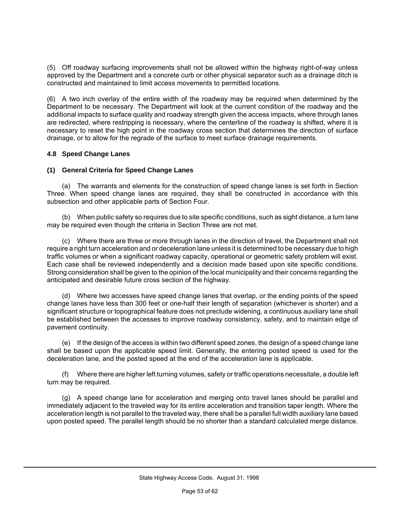(5) Off roadway surfacing improvements shall not be allowed within the highway right-of-way unless approved by the Department and a concrete curb or other physical separator such as a drainage ditch is constructed and maintained to limit access movements to permitted locations.

(6) A two inch overlay of the entire width of the roadway may be required when determined by the Department to be necessary. The Department will look at the current condition of the roadway and the additional impacts to surface quality and roadway strength given the access impacts, where through lanes are redirected, where restripping is necessary, where the centerline of the roadway is shifted, where it is necessary to reset the high point in the roadway cross section that determines the direction of surface drainage, or to allow for the regrade of the surface to meet surface drainage requirements.

#### **4.8 Speed Change Lanes**

#### **(1) General Criteria for Speed Change Lanes**

(a) The warrants and elements for the construction of speed change lanes is set forth in Section Three. When speed change lanes are required, they shall be constructed in accordance with this subsection and other applicable parts of Section Four.

(b) When public safety so requires due to site specific conditions, such as sight distance, a turn lane may be required even though the criteria in Section Three are not met.

(c) Where there are three or more through lanes in the direction of travel, the Department shall not require a right turn acceleration and or deceleration lane unless it is determined to be necessary due to high traffic volumes or when a significant roadway capacity, operational or geometric safety problem will exist. Each case shall be reviewed independently and a decision made based upon site specific conditions. Strong consideration shall be given to the opinion of the local municipality and their concerns regarding the anticipated and desirable future cross section of the highway.

(d) Where two accesses have speed change lanes that overlap, or the ending points of the speed change lanes have less than 300 feet or one-half their length of separation (whichever is shorter) and a significant structure or topographical feature does not preclude widening, a continuous auxiliary lane shall be established between the accesses to improve roadway consistency, safety, and to maintain edge of pavement continuity.

(e) If the design of the access is within two different speed zones, the design of a speed change lane shall be based upon the applicable speed limit. Generally, the entering posted speed is used for the deceleration lane, and the posted speed at the end of the acceleration lane is applicable.

(f) Where there are higher left turning volumes, safety or traffic operations necessitate, a double left turn may be required.

(g) A speed change lane for acceleration and merging onto travel lanes should be parallel and immediately adjacent to the traveled way for its entire acceleration and transition taper length. Where the acceleration length is not parallel to the traveled way, there shall be a parallel full width auxiliary lane based upon posted speed. The parallel length should be no shorter than a standard calculated merge distance.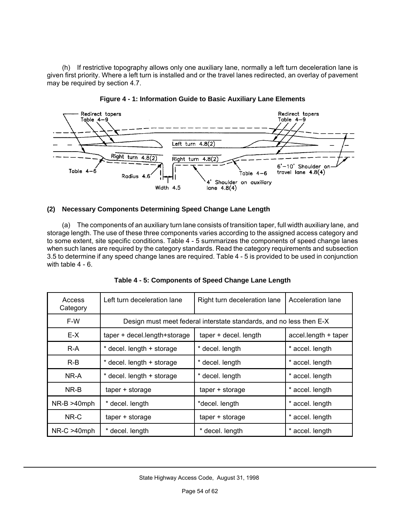(h) If restrictive topography allows only one auxiliary lane, normally a left turn deceleration lane is given first priority. Where a left turn is installed and or the travel lanes redirected, an overlay of pavement may be required by section 4.7.





#### **(2) Necessary Components Determining Speed Change Lane Length**

(a) The components of an auxiliary turn lane consists of transition taper, full width auxiliary lane, and storage length. The use of these three components varies according to the assigned access category and to some extent, site specific conditions. Table 4 - 5 summarizes the components of speed change lanes when such lanes are required by the category standards. Read the category requirements and subsection 3.5 to determine if any speed change lanes are required. Table 4 - 5 is provided to be used in conjunction with table 4 - 6.

| Access<br>Category | Left turn deceleration lane                                         | Right turn deceleration lane | Acceleration lane    |  |  |  |  |  |  |
|--------------------|---------------------------------------------------------------------|------------------------------|----------------------|--|--|--|--|--|--|
| F-W                | Design must meet federal interstate standards, and no less then E-X |                              |                      |  |  |  |  |  |  |
| E-X                | taper + decel.length+storage                                        | taper + decel. length        | accel.length + taper |  |  |  |  |  |  |
| R-A                | * decel. length + storage                                           | * decel. length              | * accel. length      |  |  |  |  |  |  |
| $R-B$              | * decel. length + storage                                           | * decel. length              | * accel. length      |  |  |  |  |  |  |
| NR-A               | decel. length + storage                                             | decel. length                | * accel. length      |  |  |  |  |  |  |
| NR-B               | $taper + storage$                                                   | $taper + storage$            | * accel. length      |  |  |  |  |  |  |
| $NR-B > 40$ mph    | * decel. length                                                     | *decel. length               | * accel. length      |  |  |  |  |  |  |
| NR-C               | $taper + storage$                                                   | $taper + storage$            | * accel. length      |  |  |  |  |  |  |
| $NR-C > 40$ mph    | * decel. length                                                     | decel. length                | * accel. length      |  |  |  |  |  |  |

**Table 4 - 5: Components of Speed Change Lane Length**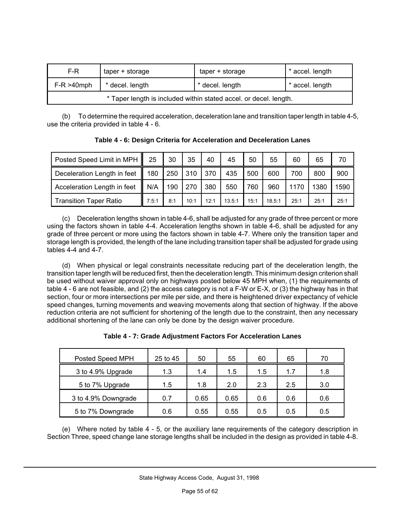| F-R<br>taper + storage                                            |  | taper + storage | * accel. length |  |  |  |  |
|-------------------------------------------------------------------|--|-----------------|-----------------|--|--|--|--|
| $F-R > 40$ mph<br>* decel. length                                 |  | * decel. length | * accel. length |  |  |  |  |
| * Taper length is included within stated accel. or decel. length. |  |                 |                 |  |  |  |  |

(b) To determine the required acceleration, deceleration lane and transition taper length in table 4-5, use the criteria provided in table 4 - 6.

**Table 4 - 6: Design Criteria for Acceleration and Deceleration Lanes**

| Posted Speed Limit in MPH     | 25    | 30  | 35   | 40   | 45     | 50   | 55     | 60   | 65   | 70   |
|-------------------------------|-------|-----|------|------|--------|------|--------|------|------|------|
| Deceleration Length in feet   | 180   | 250 | 310  | 370  | 435    | 500  | 600    | 700  | 800  | 900  |
| Acceleration Length in feet   | N/A   | 190 | 270  | 380  | 550    | 760  | 960    | 1170 | 1380 | 1590 |
| <b>Transition Taper Ratio</b> | 7.5:1 | 8:1 | 10:1 | 12:1 | 13.5:1 | 15:1 | 18.5:1 | 25:1 | 25:1 | 25:1 |

(c) Deceleration lengths shown in table 4-6, shall be adjusted for any grade of three percent or more using the factors shown in table 4-4. Acceleration lengths shown in table 4-6, shall be adjusted for any grade of three percent or more using the factors shown in table 4-7. Where only the transition taper and storage length is provided, the length of the lane including transition taper shall be adjusted for grade using tables 4-4 and 4-7.

(d) When physical or legal constraints necessitate reducing part of the deceleration length, the transition taper length will be reduced first, then the deceleration length. This minimum design criterion shall be used without waiver approval only on highways posted below 45 MPH when, (1) the requirements of table 4 - 6 are not feasible, and (2) the access category is not a F-W or E-X, or (3) the highway has in that section, four or more intersections per mile per side, and there is heightened driver expectancy of vehicle speed changes, turning movements and weaving movements along that section of highway. If the above reduction criteria are not sufficient for shortening of the length due to the constraint, then any necessary additional shortening of the lane can only be done by the design waiver procedure.

| Posted Speed MPH    | 25 to 45 | 50   | 55   | 60  | 65  | 70  |
|---------------------|----------|------|------|-----|-----|-----|
| 3 to 4.9% Upgrade   | 1.3      | 1.4  | 1.5  | 1.5 | 1.7 | 1.8 |
| 5 to 7% Upgrade     | 1.5      | 1.8  | 2.0  | 2.3 | 2.5 | 3.0 |
| 3 to 4.9% Downgrade | 0.7      | 0.65 | 0.65 | 0.6 | 0.6 | 0.6 |
| 5 to 7% Downgrade   | 0.6      | 0.55 | 0.55 | 0.5 | 0.5 | 0.5 |

**Table 4 - 7: Grade Adjustment Factors For Acceleration Lanes**

(e) Where noted by table 4 - 5, or the auxiliary lane requirements of the category description in Section Three, speed change lane storage lengths shall be included in the design as provided in table 4-8.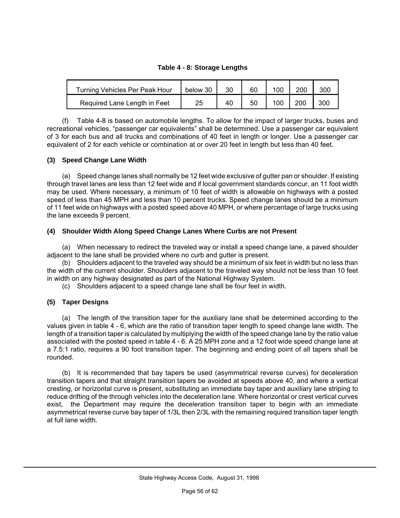#### **Table 4 - 8: Storage Lengths**

| <b>Turning Vehicles Per Peak Hour</b> | below 30 | 30 | 60 | 100 | 200 | 300 |
|---------------------------------------|----------|----|----|-----|-----|-----|
| Required Lane Length in Feet          | 25       | 40 | 50 | 100 | 200 | 300 |

(f) Table 4-8 is based on automobile lengths. To allow for the impact of larger trucks, buses and recreational vehicles, "passenger car equivalents" shall be determined. Use a passenger car equivalent of 3 for each bus and all trucks and combinations of 40 feet in length or longer. Use a passenger car equivalent of 2 for each vehicle or combination at or over 20 feet in length but less than 40 feet.

#### **(3) Speed Change Lane Width**

(a) Speed change lanes shall normally be 12 feet wide exclusive of gutter pan or shoulder. If existing through travel lanes are less than 12 feet wide and if local government standards concur, an 11 foot width may be used. Where necessary, a minimum of 10 feet of width is allowable on highways with a posted speed of less than 45 MPH and less than 10 percent trucks. Speed change lanes should be a minimum of 11 feet wide on highways with a posted speed above 40 MPH, or where percentage of large trucks using the lane exceeds 9 percent.

#### **(4) Shoulder Width Along Speed Change Lanes Where Curbs are not Present**

(a) When necessary to redirect the traveled way or install a speed change lane, a paved shoulder adjacent to the lane shall be provided where no curb and gutter is present.

(b) Shoulders adjacent to the traveled way should be a minimum of six feet in width but no less than the width of the current shoulder. Shoulders adjacent to the traveled way should not be less than 10 feet in width on any highway designated as part of the National Highway System.

(c) Shoulders adjacent to a speed change lane shall be four feet in width.

#### **(5) Taper Designs**

(a) The length of the transition taper for the auxiliary lane shall be determined according to the values given in table 4 - 6, which are the ratio of transition taper length to speed change lane width. The length of a transition taper is calculated by multiplying the width of the speed change lane by the ratio value associated with the posted speed in table 4 - 6. A 25 MPH zone and a 12 foot wide speed change lane at a 7.5:1 ratio, requires a 90 foot transition taper. The beginning and ending point of all tapers shall be rounded.

(b) It is recommended that bay tapers be used (asymmetrical reverse curves) for deceleration transition tapers and that straight transition tapers be avoided at speeds above 40, and where a vertical cresting, or horizontal curve is present, substituting an immediate bay taper and auxiliary lane striping to reduce drifting of the through vehicles into the deceleration lane. Where horizontal or crest vertical curves exist, the Department may require the deceleration transition taper to begin with an immediate asymmetrical reverse curve bay taper of 1/3L then 2/3L with the remaining required transition taper length at full lane width.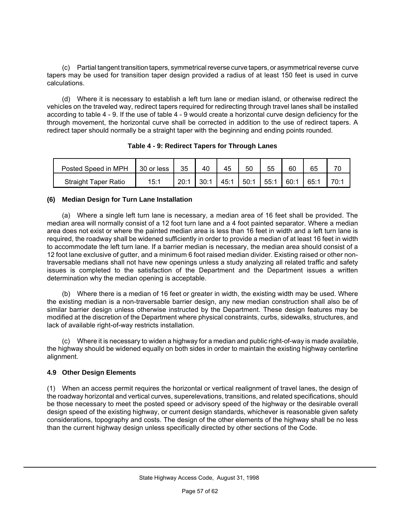(c) Partial tangent transition tapers, symmetrical reverse curve tapers, or asymmetrical reverse curve tapers may be used for transition taper design provided a radius of at least 150 feet is used in curve calculations.

(d) Where it is necessary to establish a left turn lane or median island, or otherwise redirect the vehicles on the traveled way, redirect tapers required for redirecting through travel lanes shall be installed according to table 4 - 9. If the use of table 4 - 9 would create a horizontal curve design deficiency for the through movement, the horizontal curve shall be corrected in addition to the use of redirect tapers. A redirect taper should normally be a straight taper with the beginning and ending points rounded.

| Posted Speed in MPH         | 30 or less | 35   | 40   | 45   | 50   | 55   | 60   | 65   |      |
|-----------------------------|------------|------|------|------|------|------|------|------|------|
| <b>Straight Taper Ratio</b> | 15:1       | 20:1 | 30:1 | 45:1 | 50:1 | 55:1 | 60:1 | 65:1 | 70:1 |

**Table 4 - 9: Redirect Tapers for Through Lanes**

#### **(6) Median Design for Turn Lane Installation**

(a) Where a single left turn lane is necessary, a median area of 16 feet shall be provided. The median area will normally consist of a 12 foot turn lane and a 4 foot painted separator. Where a median area does not exist or where the painted median area is less than 16 feet in width and a left turn lane is required, the roadway shall be widened sufficiently in order to provide a median of at least 16 feet in width to accommodate the left turn lane. If a barrier median is necessary, the median area should consist of a 12 foot lane exclusive of gutter, and a minimum 6 foot raised median divider. Existing raised or other nontraversable medians shall not have new openings unless a study analyzing all related traffic and safety issues is completed to the satisfaction of the Department and the Department issues a written determination why the median opening is acceptable.

(b) Where there is a median of 16 feet or greater in width, the existing width may be used. Where the existing median is a non-traversable barrier design, any new median construction shall also be of similar barrier design unless otherwise instructed by the Department. These design features may be modified at the discretion of the Department where physical constraints, curbs, sidewalks, structures, and lack of available right-of-way restricts installation.

(c) Where it is necessary to widen a highway for a median and public right-of-way is made available, the highway should be widened equally on both sides in order to maintain the existing highway centerline alignment.

#### **4.9 Other Design Elements**

(1) When an access permit requires the horizontal or vertical realignment of travel lanes, the design of the roadway horizontal and vertical curves, superelevations, transitions, and related specifications, should be those necessary to meet the posted speed or advisory speed of the highway or the desirable overall design speed of the existing highway, or current design standards, whichever is reasonable given safety considerations, topography and costs. The design of the other elements of the highway shall be no less than the current highway design unless specifically directed by other sections of the Code.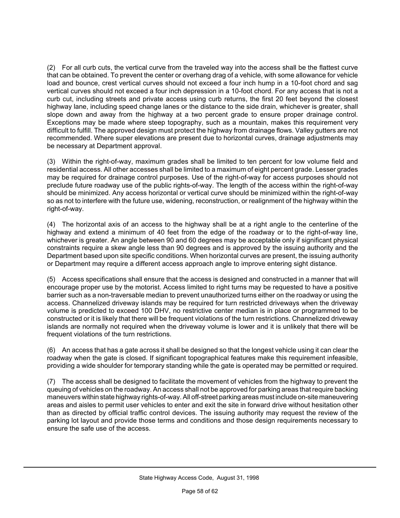(2) For all curb cuts, the vertical curve from the traveled way into the access shall be the flattest curve that can be obtained. To prevent the center or overhang drag of a vehicle, with some allowance for vehicle load and bounce, crest vertical curves should not exceed a four inch hump in a 10-foot chord and sag vertical curves should not exceed a four inch depression in a 10-foot chord. For any access that is not a curb cut, including streets and private access using curb returns, the first 20 feet beyond the closest highway lane, including speed change lanes or the distance to the side drain, whichever is greater, shall slope down and away from the highway at a two percent grade to ensure proper drainage control. Exceptions may be made where steep topography, such as a mountain, makes this requirement very difficult to fulfill. The approved design must protect the highway from drainage flows. Valley gutters are not recommended. Where super elevations are present due to horizontal curves, drainage adjustments may be necessary at Department approval.

(3) Within the right-of-way, maximum grades shall be limited to ten percent for low volume field and residential access. All other accesses shall be limited to a maximum of eight percent grade. Lesser grades may be required for drainage control purposes. Use of the right-of-way for access purposes should not preclude future roadway use of the public rights-of-way. The length of the access within the right-of-way should be minimized. Any access horizontal or vertical curve should be minimized within the right-of-way so as not to interfere with the future use, widening, reconstruction, or realignment of the highway within the right-of-way.

(4) The horizontal axis of an access to the highway shall be at a right angle to the centerline of the highway and extend a minimum of 40 feet from the edge of the roadway or to the right-of-way line, whichever is greater. An angle between 90 and 60 degrees may be acceptable only if significant physical constraints require a skew angle less than 90 degrees and is approved by the issuing authority and the Department based upon site specific conditions. When horizontal curves are present, the issuing authority or Department may require a different access approach angle to improve entering sight distance.

(5) Access specifications shall ensure that the access is designed and constructed in a manner that will encourage proper use by the motorist. Access limited to right turns may be requested to have a positive barrier such as a non-traversable median to prevent unauthorized turns either on the roadway or using the access. Channelized driveway islands may be required for turn restricted driveways when the driveway volume is predicted to exceed 100 DHV, no restrictive center median is in place or programmed to be constructed or it is likely that there will be frequent violations of the turn restrictions. Channelized driveway islands are normally not required when the driveway volume is lower and it is unlikely that there will be frequent violations of the turn restrictions.

(6) An access that has a gate across it shall be designed so that the longest vehicle using it can clear the roadway when the gate is closed. If significant topographical features make this requirement infeasible, providing a wide shoulder for temporary standing while the gate is operated may be permitted or required.

(7) The access shall be designed to facilitate the movement of vehicles from the highway to prevent the queuing of vehicles on the roadway. An access shall not be approved for parking areas that require backing maneuvers within state highway rights-of-way. All off-street parking areas must include on-site maneuvering areas and aisles to permit user vehicles to enter and exit the site in forward drive without hesitation other than as directed by official traffic control devices. The issuing authority may request the review of the parking lot layout and provide those terms and conditions and those design requirements necessary to ensure the safe use of the access.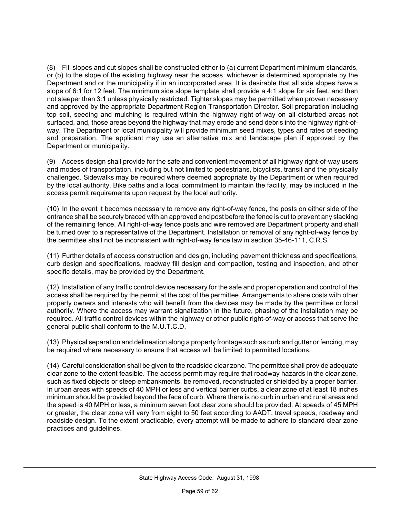(8) Fill slopes and cut slopes shall be constructed either to (a) current Department minimum standards, or (b) to the slope of the existing highway near the access, whichever is determined appropriate by the Department and or the municipality if in an incorporated area. It is desirable that all side slopes have a slope of 6:1 for 12 feet. The minimum side slope template shall provide a 4:1 slope for six feet, and then not steeper than 3:1 unless physically restricted. Tighter slopes may be permitted when proven necessary and approved by the appropriate Department Region Transportation Director. Soil preparation including top soil, seeding and mulching is required within the highway right-of-way on all disturbed areas not surfaced, and, those areas beyond the highway that may erode and send debris into the highway right-ofway. The Department or local municipality will provide minimum seed mixes, types and rates of seeding and preparation. The applicant may use an alternative mix and landscape plan if approved by the Department or municipality.

(9) Access design shall provide for the safe and convenient movement of all highway right-of-way users and modes of transportation, including but not limited to pedestrians, bicyclists, transit and the physically challenged. Sidewalks may be required where deemed appropriate by the Department or when required by the local authority. Bike paths and a local commitment to maintain the facility, may be included in the access permit requirements upon request by the local authority.

(10) In the event it becomes necessary to remove any right-of-way fence, the posts on either side of the entrance shall be securely braced with an approved end post before the fence is cut to prevent any slacking of the remaining fence. All right-of-way fence posts and wire removed are Department property and shall be turned over to a representative of the Department. Installation or removal of any right-of-way fence by the permittee shall not be inconsistent with right-of-way fence law in section 35-46-111, C.R.S.

(11) Further details of access construction and design, including pavement thickness and specifications, curb design and specifications, roadway fill design and compaction, testing and inspection, and other specific details, may be provided by the Department.

(12) Installation of any traffic control device necessary for the safe and proper operation and control of the access shall be required by the permit at the cost of the permittee. Arrangements to share costs with other property owners and interests who will benefit from the devices may be made by the permittee or local authority. Where the access may warrant signalization in the future, phasing of the installation may be required. All traffic control devices within the highway or other public right-of-way or access that serve the general public shall conform to the M.U.T.C.D.

(13) Physical separation and delineation along a property frontage such as curb and gutter or fencing, may be required where necessary to ensure that access will be limited to permitted locations.

(14) Careful consideration shall be given to the roadside clear zone. The permittee shall provide adequate clear zone to the extent feasible. The access permit may require that roadway hazards in the clear zone, such as fixed objects or steep embankments, be removed, reconstructed or shielded by a proper barrier. In urban areas with speeds of 40 MPH or less and vertical barrier curbs, a clear zone of at least 18 inches minimum should be provided beyond the face of curb. Where there is no curb in urban and rural areas and the speed is 40 MPH or less, a minimum seven foot clear zone should be provided. At speeds of 45 MPH or greater, the clear zone will vary from eight to 50 feet according to AADT, travel speeds, roadway and roadside design. To the extent practicable, every attempt will be made to adhere to standard clear zone practices and guidelines.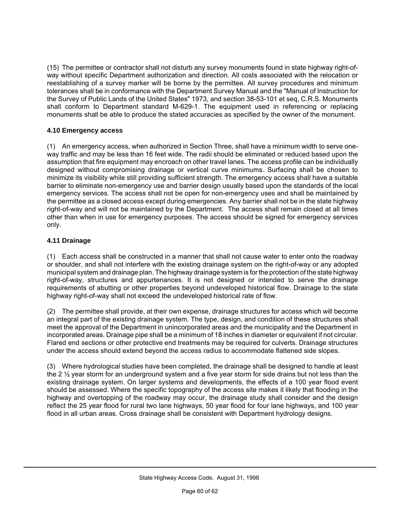(15) The permittee or contractor shall not disturb any survey monuments found in state highway right-ofway without specific Department authorization and direction. All costs associated with the relocation or reestablishing of a survey marker will be borne by the permittee. All survey procedures and minimum tolerances shall be in conformance with the Department Survey Manual and the "Manual of Instruction for the Survey of Public Lands of the United States" 1973, and section 38-53-101 et seq, C.R.S. Monuments shall conform to Department standard M-629-1. The equipment used in referencing or replacing monuments shall be able to produce the stated accuracies as specified by the owner of the monument.

#### **4.10 Emergency access**

(1) An emergency access, when authorized in Section Three, shall have a minimum width to serve oneway traffic and may be less than 16 feet wide. The radii should be eliminated or reduced based upon the assumption that fire equipment may encroach on other travel lanes. The access profile can be individually designed without compromising drainage or vertical curve minimums. Surfacing shall be chosen to minimize its visibility while still providing sufficient strength. The emergency access shall have a suitable barrier to eliminate non-emergency use and barrier design usually based upon the standards of the local emergency services. The access shall not be open for non-emergency uses and shall be maintained by the permittee as a closed access except during emergencies. Any barrier shall not be in the state highway right-of-way and will not be maintained by the Department. The access shall remain closed at all times other than when in use for emergency purposes. The access should be signed for emergency services only.

#### **4.11 Drainage**

(1) Each access shall be constructed in a manner that shall not cause water to enter onto the roadway or shoulder, and shall not interfere with the existing drainage system on the right-of-way or any adopted municipal system and drainage plan. The highway drainage system is for the protection of the state highway right-of-way, structures and appurtenances. It is not designed or intended to serve the drainage requirements of abutting or other properties beyond undeveloped historical flow. Drainage to the state highway right-of-way shall not exceed the undeveloped historical rate of flow.

(2) The permittee shall provide, at their own expense, drainage structures for access which will become an integral part of the existing drainage system. The type, design, and condition of these structures shall meet the approval of the Department in unincorporated areas and the municipality and the Department in incorporated areas. Drainage pipe shall be a minimum of 18 inches in diameter or equivalent if not circular. Flared end sections or other protective end treatments may be required for culverts. Drainage structures under the access should extend beyond the access radius to accommodate flattened side slopes.

(3) Where hydrological studies have been completed, the drainage shall be designed to handle at least the 2  $\frac{1}{2}$  year storm for an underground system and a five year storm for side drains but not less than the existing drainage system. On larger systems and developments, the effects of a 100 year flood event should be assessed. Where the specific topography of the access site makes it likely that flooding in the highway and overtopping of the roadway may occur, the drainage study shall consider and the design reflect the 25 year flood for rural two lane highways, 50 year flood for four lane highways, and 100 year flood in all urban areas. Cross drainage shall be consistent with Department hydrology designs.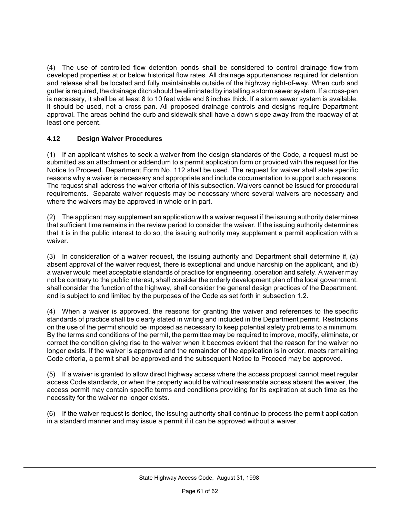(4) The use of controlled flow detention ponds shall be considered to control drainage flow from developed properties at or below historical flow rates. All drainage appurtenances required for detention and release shall be located and fully maintainable outside of the highway right-of-way. When curb and gutter is required, the drainage ditch should be eliminated by installing a storm sewer system. If a cross-pan is necessary, it shall be at least 8 to 10 feet wide and 8 inches thick. If a storm sewer system is available, it should be used, not a cross pan. All proposed drainage controls and designs require Department approval. The areas behind the curb and sidewalk shall have a down slope away from the roadway of at least one percent.

#### **4.12 Design Waiver Procedures**

(1) If an applicant wishes to seek a waiver from the design standards of the Code, a request must be submitted as an attachment or addendum to a permit application form or provided with the request for the Notice to Proceed. Department Form No. 112 shall be used. The request for waiver shall state specific reasons why a waiver is necessary and appropriate and include documentation to support such reasons. The request shall address the waiver criteria of this subsection. Waivers cannot be issued for procedural requirements. Separate waiver requests may be necessary where several waivers are necessary and where the waivers may be approved in whole or in part.

(2) The applicant may supplement an application with a waiver request if the issuing authority determines that sufficient time remains in the review period to consider the waiver. If the issuing authority determines that it is in the public interest to do so, the issuing authority may supplement a permit application with a waiver.

(3) In consideration of a waiver request, the issuing authority and Department shall determine if, (a) absent approval of the waiver request, there is exceptional and undue hardship on the applicant, and (b) a waiver would meet acceptable standards of practice for engineering, operation and safety. A waiver may not be contrary to the public interest, shall consider the orderly development plan of the local government, shall consider the function of the highway, shall consider the general design practices of the Department, and is subject to and limited by the purposes of the Code as set forth in subsection 1.2.

(4) When a waiver is approved, the reasons for granting the waiver and references to the specific standards of practice shall be clearly stated in writing and included in the Department permit. Restrictions on the use of the permit should be imposed as necessary to keep potential safety problems to a minimum. By the terms and conditions of the permit, the permittee may be required to improve, modify, eliminate, or correct the condition giving rise to the waiver when it becomes evident that the reason for the waiver no longer exists. If the waiver is approved and the remainder of the application is in order, meets remaining Code criteria, a permit shall be approved and the subsequent Notice to Proceed may be approved.

(5) If a waiver is granted to allow direct highway access where the access proposal cannot meet regular access Code standards, or when the property would be without reasonable access absent the waiver, the access permit may contain specific terms and conditions providing for its expiration at such time as the necessity for the waiver no longer exists.

(6) If the waiver request is denied, the issuing authority shall continue to process the permit application in a standard manner and may issue a permit if it can be approved without a waiver.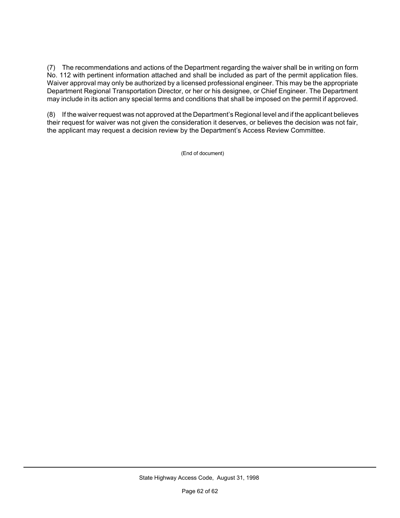(7) The recommendations and actions of the Department regarding the waiver shall be in writing on form No. 112 with pertinent information attached and shall be included as part of the permit application files. Waiver approval may only be authorized by a licensed professional engineer. This may be the appropriate Department Regional Transportation Director, or her or his designee, or Chief Engineer. The Department may include in its action any special terms and conditions that shall be imposed on the permit if approved.

(8) If the waiver request was not approved at the Department's Regional level and if the applicant believes their request for waiver was not given the consideration it deserves, or believes the decision was not fair, the applicant may request a decision review by the Department's Access Review Committee.

(End of document)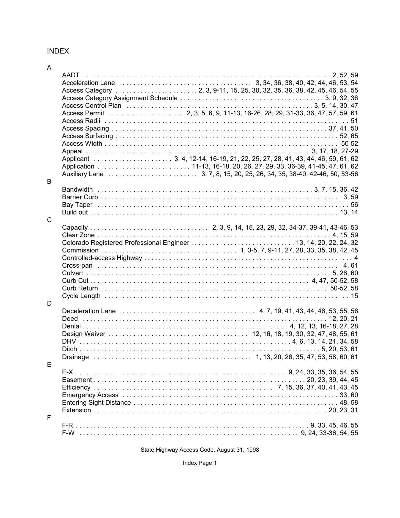#### **INDEX**

| _ |
|---|

| B |  |  |
|---|--|--|
| Ć |  |  |
| D |  |  |
| E |  |  |
| F |  |  |
|   |  |  |

State Highway Access Code, August 31, 1998

Index Page 1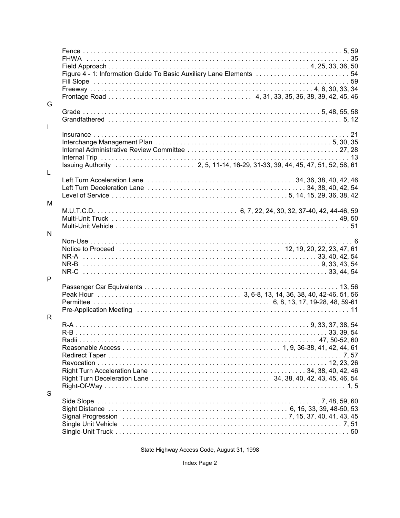| G      | Figure 4 - 1: Information Guide To Basic Auxiliary Lane Elements  54                    |  |
|--------|-----------------------------------------------------------------------------------------|--|
|        |                                                                                         |  |
| L      |                                                                                         |  |
| L      | Left Turn Acceleration Lane (also contained a series and contained a series 140, 42, 46 |  |
| M      |                                                                                         |  |
| N<br>P |                                                                                         |  |
|        |                                                                                         |  |
| R<br>S |                                                                                         |  |
|        |                                                                                         |  |

State Highway Access Code, August 31, 1998

Index Page 2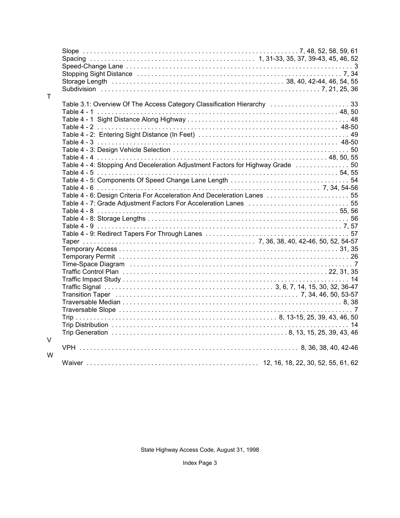| T. |                                                                                 |  |  |
|----|---------------------------------------------------------------------------------|--|--|
|    | Table 3.1: Overview Of The Access Category Classification Hierarchy  33         |  |  |
|    |                                                                                 |  |  |
|    |                                                                                 |  |  |
|    |                                                                                 |  |  |
|    |                                                                                 |  |  |
|    | Table 4 - 4: Stopping And Deceleration Adjustment Factors for Highway Grade  50 |  |  |
|    |                                                                                 |  |  |
|    |                                                                                 |  |  |
|    |                                                                                 |  |  |
|    | Table 4 - 6: Design Criteria For Acceleration And Deceleration Lanes  55        |  |  |
|    |                                                                                 |  |  |
|    |                                                                                 |  |  |
|    |                                                                                 |  |  |
|    |                                                                                 |  |  |
|    |                                                                                 |  |  |
|    |                                                                                 |  |  |
|    |                                                                                 |  |  |
|    |                                                                                 |  |  |
|    |                                                                                 |  |  |
|    |                                                                                 |  |  |
|    |                                                                                 |  |  |
|    |                                                                                 |  |  |
|    |                                                                                 |  |  |
|    |                                                                                 |  |  |
| V  |                                                                                 |  |  |
| W  |                                                                                 |  |  |
|    |                                                                                 |  |  |

State Highway Access Code, August 31, 1998

Index Page 3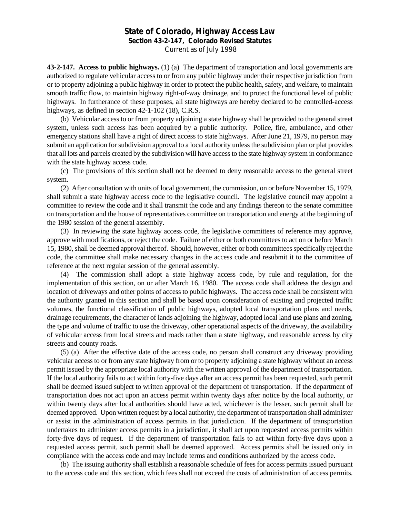#### **State of Colorado, Highway Access Law**

**Section 43-2-147, Colorado Revised Statutes**

Current as of July 1998

**43-2-147. Access to public highways.** (1) (a) The department of transportation and local governments are authorized to regulate vehicular access to or from any public highway under their respective jurisdiction from or to property adjoining a public highway in order to protect the public health, safety, and welfare, to maintain smooth traffic flow, to maintain highway right-of-way drainage, and to protect the functional level of public highways. In furtherance of these purposes, all state highways are hereby declared to be controlled-access highways, as defined in section 42-1-102 (18), C.R.S.

(b) Vehicular access to or from property adjoining a state highway shall be provided to the general street system, unless such access has been acquired by a public authority. Police, fire, ambulance, and other emergency stations shall have a right of direct access to state highways. After June 21, 1979, no person may submit an application for subdivision approval to a local authority unless the subdivision plan or plat provides that all lots and parcels created by the subdivision will have access to the state highway system in conformance with the state highway access code.

(c) The provisions of this section shall not be deemed to deny reasonable access to the general street system.

(2) After consultation with units of local government, the commission, on or before November 15, 1979, shall submit a state highway access code to the legislative council. The legislative council may appoint a committee to review the code and it shall transmit the code and any findings thereon to the senate committee on transportation and the house of representatives committee on transportation and energy at the beginning of the 1980 session of the general assembly.

(3) In reviewing the state highway access code, the legislative committees of reference may approve, approve with modifications, or reject the code. Failure of either or both committees to act on or before March 15, 1980, shall be deemed approval thereof. Should, however, either or both committees specifically reject the code, the committee shall make necessary changes in the access code and resubmit it to the committee of reference at the next regular session of the general assembly.

(4) The commission shall adopt a state highway access code, by rule and regulation, for the implementation of this section, on or after March 16, 1980. The access code shall address the design and location of driveways and other points of access to public highways. The access code shall be consistent with the authority granted in this section and shall be based upon consideration of existing and projected traffic volumes, the functional classification of public highways, adopted local transportation plans and needs, drainage requirements, the character of lands adjoining the highway, adopted local land use plans and zoning, the type and volume of traffic to use the driveway, other operational aspects of the driveway, the availability of vehicular access from local streets and roads rather than a state highway, and reasonable access by city streets and county roads.

(5) (a) After the effective date of the access code, no person shall construct any driveway providing vehicular access to or from any state highway from or to property adjoining a state highway without an access permit issued by the appropriate local authority with the written approval of the department of transportation. If the local authority fails to act within forty-five days after an access permit has been requested, such permit shall be deemed issued subject to written approval of the department of transportation. If the department of transportation does not act upon an access permit within twenty days after notice by the local authority, or within twenty days after local authorities should have acted, whichever is the lesser, such permit shall be deemed approved. Upon written request by a local authority, the department of transportation shall administer or assist in the administration of access permits in that jurisdiction. If the department of transportation undertakes to administer access permits in a jurisdiction, it shall act upon requested access permits within forty-five days of request. If the department of transportation fails to act within forty-five days upon a requested access permit, such permit shall be deemed approved. Access permits shall be issued only in compliance with the access code and may include terms and conditions authorized by the access code.

(b) The issuing authority shall establish a reasonable schedule of fees for access permits issued pursuant to the access code and this section, which fees shall not exceed the costs of administration of access permits.